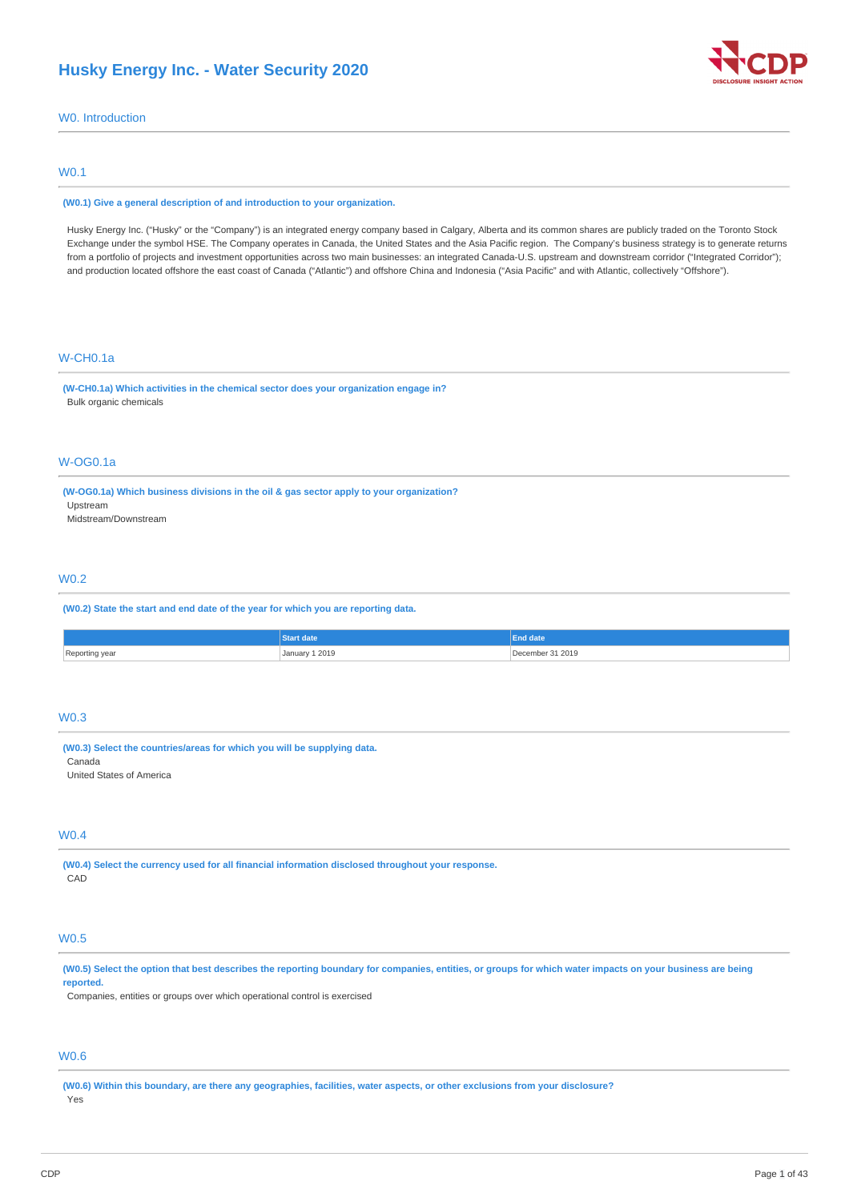

W0. Introduction

# W0.1

#### **(W0.1) Give a general description of and introduction to your organization.**

Husky Energy Inc. ("Husky" or the "Company") is an integrated energy company based in Calgary, Alberta and its common shares are publicly traded on the Toronto Stock Exchange under the symbol HSE. The Company operates in Canada, the United States and the Asia Pacific region. The Company's business strategy is to generate returns from a portfolio of projects and investment opportunities across two main businesses: an integrated Canada-U.S. upstream and downstream corridor ("Integrated Corridor"); and production located offshore the east coast of Canada ("Atlantic") and offshore China and Indonesia ("Asia Pacific" and with Atlantic, collectively "Offshore").

# W-CH0.1a

**(W-CH0.1a) Which activities in the chemical sector does your organization engage in?** Bulk organic chemicals

# W-OG0.1a

**(W-OG0.1a) Which business divisions in the oil & gas sector apply to your organization?** Upstream Midstream/Downstream

## W0.2

**(W0.2) State the start and end date of the year for which you are reporting data.**

|           |                | <b>End date</b> |
|-----------|----------------|-----------------|
| Reporting | January 1 2019 | r 31 2019       |
| , ca      |                | remher          |
|           | .              |                 |

# W0.3

**(W0.3) Select the countries/areas for which you will be supplying data.** Canada United States of America

# W0.4

**(W0.4) Select the currency used for all financial information disclosed throughout your response.** CAD

# W0.5

(W0.5) Select the option that best describes the reporting boundary for companies, entities, or groups for which water impacts on your business are being **reported.**

Companies, entities or groups over which operational control is exercised

# W0.6

(W0.6) Within this boundary, are there any geographies, facilities, water aspects, or other exclusions from your disclosure? Yes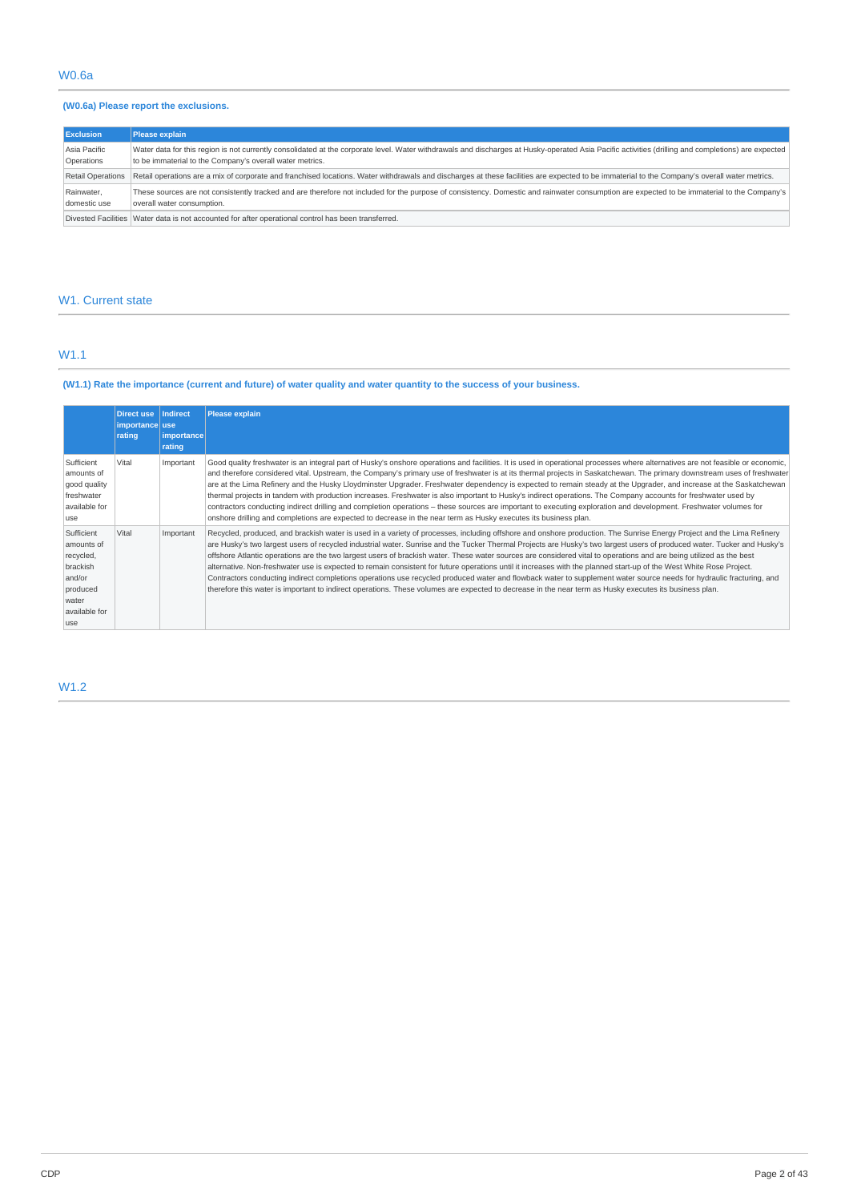# **(W0.6a) Please report the exclusions.**

| <b>Exclusion</b>           | Please explain                                                                                                                                                                                                                                                  |
|----------------------------|-----------------------------------------------------------------------------------------------------------------------------------------------------------------------------------------------------------------------------------------------------------------|
| Asia Pacific<br>Operations | Water data for this region is not currently consolidated at the corporate level. Water withdrawals and discharges at Husky-operated Asia Pacific activities (drilling and completions) are expected<br>to be immaterial to the Company's overall water metrics. |
| Retail Operations          | Retail operations are a mix of corporate and franchised locations. Water withdrawals and discharges at these facilities are expected to be immaterial to the Company's overall water metrics.                                                                   |
| Rainwater,<br>domestic use | These sources are not consistently tracked and are therefore not included for the purpose of consistency. Domestic and rainwater consumption are expected to be immaterial to the Company's<br>overall water consumption.                                       |
|                            | Divested Facilities Water data is not accounted for after operational control has been transferred.                                                                                                                                                             |

# W1. Current state

# W1.1

(W1.1) Rate the importance (current and future) of water quality and water quantity to the success of your business.

|                                                                                                           | Direct use<br>importance use<br>rating | <b>Indirect</b><br><i>importance</i><br>rating | Please explain                                                                                                                                                                                                                                                                                                                                                                                                                                                                                                                                                                                                                                                                                                                                                                                                                                                                                                                                                                                                                   |
|-----------------------------------------------------------------------------------------------------------|----------------------------------------|------------------------------------------------|----------------------------------------------------------------------------------------------------------------------------------------------------------------------------------------------------------------------------------------------------------------------------------------------------------------------------------------------------------------------------------------------------------------------------------------------------------------------------------------------------------------------------------------------------------------------------------------------------------------------------------------------------------------------------------------------------------------------------------------------------------------------------------------------------------------------------------------------------------------------------------------------------------------------------------------------------------------------------------------------------------------------------------|
| Sufficient<br>amounts of<br>good quality<br>freshwater<br>available for<br>luse                           | Vital                                  | Important                                      | Good quality freshwater is an integral part of Husky's onshore operations and facilities. It is used in operational processes where alternatives are not feasible or economic,<br>and therefore considered vital. Upstream, the Company's primary use of freshwater is at its thermal projects in Saskatchewan. The primary downstream uses of freshwater<br>are at the Lima Refinery and the Husky Lloydminster Upgrader. Freshwater dependency is expected to remain steady at the Upgrader, and increase at the Saskatchewan<br>thermal projects in tandem with production increases. Freshwater is also important to Husky's indirect operations. The Company accounts for freshwater used by<br>contractors conducting indirect drilling and completion operations – these sources are important to executing exploration and development. Freshwater volumes for<br>onshore drilling and completions are expected to decrease in the near term as Husky executes its business plan.                                        |
| Sufficient<br>amounts of<br>recycled,<br>brackish<br>and/or<br>produced<br>water<br>available for<br>luse | Vital                                  | Important                                      | Recycled, produced, and brackish water is used in a variety of processes, including offshore and onshore production. The Sunrise Energy Project and the Lima Refinery<br>are Husky's two largest users of recycled industrial water. Sunrise and the Tucker Thermal Projects are Husky's two largest users of produced water. Tucker and Husky's<br>offshore Atlantic operations are the two largest users of brackish water. These water sources are considered vital to operations and are being utilized as the best<br>alternative. Non-freshwater use is expected to remain consistent for future operations until it increases with the planned start-up of the West White Rose Project.<br>Contractors conducting indirect completions operations use recycled produced water and flowback water to supplement water source needs for hydraulic fracturing, and<br>therefore this water is important to indirect operations. These volumes are expected to decrease in the near term as Husky executes its business plan. |

# W1.2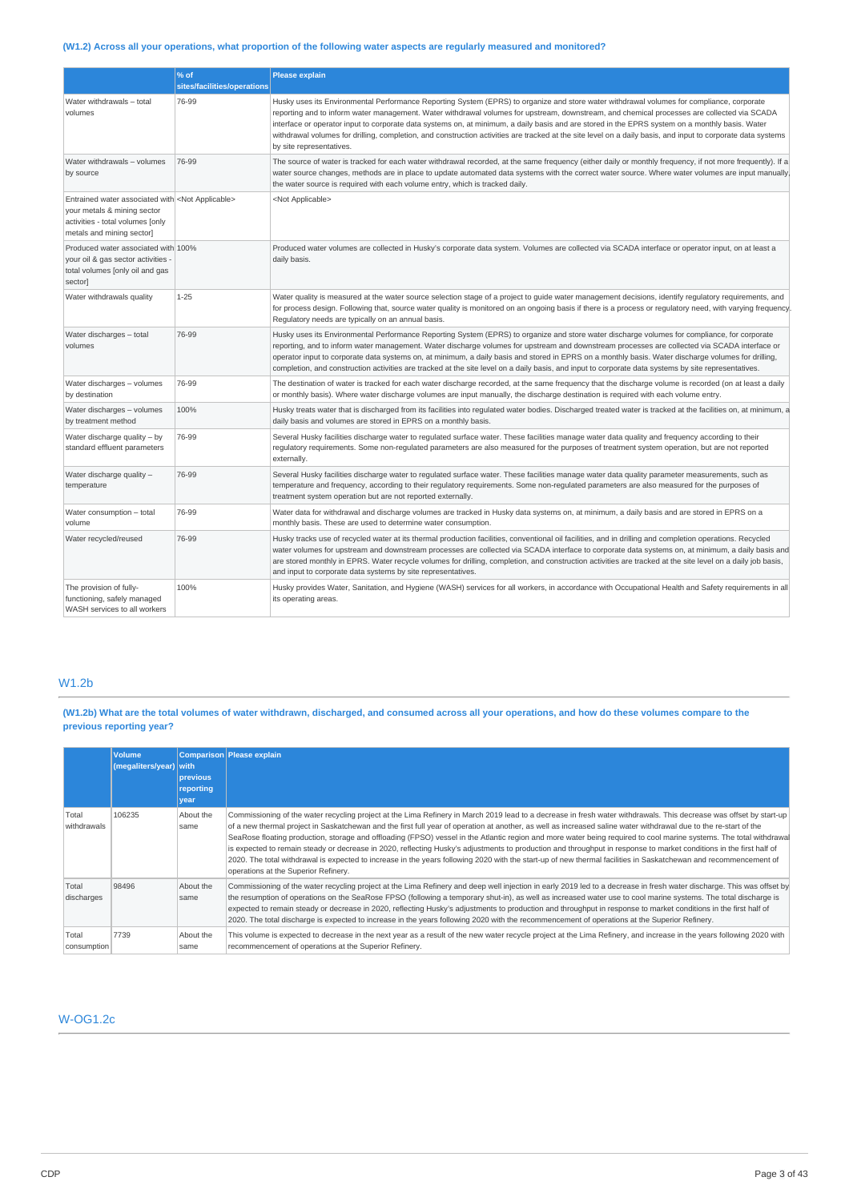# (W1.2) Across all your operations, what proportion of the following water aspects are regularly measured and monitored?

|                                                                                                                                                                  | % of<br>sites/facilities/operations | <b>Please explain</b>                                                                                                                                                                                                                                                                                                                                                                                                                                                                                                                                                                                                                   |
|------------------------------------------------------------------------------------------------------------------------------------------------------------------|-------------------------------------|-----------------------------------------------------------------------------------------------------------------------------------------------------------------------------------------------------------------------------------------------------------------------------------------------------------------------------------------------------------------------------------------------------------------------------------------------------------------------------------------------------------------------------------------------------------------------------------------------------------------------------------------|
| Water withdrawals - total<br>volumes                                                                                                                             | 76-99                               | Husky uses its Environmental Performance Reporting System (EPRS) to organize and store water withdrawal volumes for compliance, corporate<br>reporting and to inform water management. Water withdrawal volumes for upstream, downstream, and chemical processes are collected via SCADA<br>interface or operator input to corporate data systems on, at minimum, a daily basis and are stored in the EPRS system on a monthly basis. Water<br>withdrawal volumes for drilling, completion, and construction activities are tracked at the site level on a daily basis, and input to corporate data systems<br>by site representatives. |
| Water withdrawals - volumes<br>by source                                                                                                                         | 76-99                               | The source of water is tracked for each water withdrawal recorded, at the same frequency (either daily or monthly frequency, if not more frequently). If a<br>water source changes, methods are in place to update automated data systems with the correct water source. Where water volumes are input manually,<br>the water source is required with each volume entry, which is tracked daily.                                                                                                                                                                                                                                        |
| Entrained water associated with <not applicable=""><br/>your metals &amp; mining sector<br/>activities - total volumes [only<br/>metals and mining sector]</not> |                                     | <not applicable=""></not>                                                                                                                                                                                                                                                                                                                                                                                                                                                                                                                                                                                                               |
| Produced water associated with 100%<br>your oil & gas sector activities -<br>total volumes [only oil and gas<br>sector                                           |                                     | Produced water volumes are collected in Husky's corporate data system. Volumes are collected via SCADA interface or operator input, on at least a<br>daily basis.                                                                                                                                                                                                                                                                                                                                                                                                                                                                       |
| Water withdrawals quality                                                                                                                                        | $1 - 25$                            | Water quality is measured at the water source selection stage of a project to quide water management decisions, identify requlatory requirements, and<br>for process design. Following that, source water quality is monitored on an ongoing basis if there is a process or regulatory need, with varying frequency.<br>Regulatory needs are typically on an annual basis.                                                                                                                                                                                                                                                              |
| Water discharges - total<br>volumes                                                                                                                              | 76-99                               | Husky uses its Environmental Performance Reporting System (EPRS) to organize and store water discharge volumes for compliance, for corporate<br>reporting, and to inform water management. Water discharge volumes for upstream and downstream processes are collected via SCADA interface or<br>operator input to corporate data systems on, at minimum, a daily basis and stored in EPRS on a monthly basis. Water discharge volumes for drilling,<br>completion, and construction activities are tracked at the site level on a daily basis, and input to corporate data systems by site representatives.                            |
| Water discharges - volumes<br>by destination                                                                                                                     | 76-99                               | The destination of water is tracked for each water discharge recorded, at the same frequency that the discharge volume is recorded (on at least a daily<br>or monthly basis). Where water discharge volumes are input manually, the discharge destination is required with each volume entry.                                                                                                                                                                                                                                                                                                                                           |
| Water discharges - volumes<br>by treatment method                                                                                                                | 100%                                | Husky treats water that is discharged from its facilities into regulated water bodies. Discharged treated water is tracked at the facilities on, at minimum, a<br>daily basis and volumes are stored in EPRS on a monthly basis.                                                                                                                                                                                                                                                                                                                                                                                                        |
| Water discharge quality - by<br>standard effluent parameters                                                                                                     | 76-99                               | Several Husky facilities discharge water to regulated surface water. These facilities manage water data quality and frequency according to their<br>regulatory requirements. Some non-regulated parameters are also measured for the purposes of treatment system operation, but are not reported<br>externally.                                                                                                                                                                                                                                                                                                                        |
| Water discharge quality -<br>temperature                                                                                                                         | 76-99                               | Several Husky facilities discharge water to regulated surface water. These facilities manage water data quality parameter measurements, such as<br>temperature and frequency, according to their regulatory requirements. Some non-regulated parameters are also measured for the purposes of<br>treatment system operation but are not reported externally.                                                                                                                                                                                                                                                                            |
| Water consumption - total<br>volume                                                                                                                              | 76-99                               | Water data for withdrawal and discharge volumes are tracked in Husky data systems on, at minimum, a daily basis and are stored in EPRS on a<br>monthly basis. These are used to determine water consumption.                                                                                                                                                                                                                                                                                                                                                                                                                            |
| Water recycled/reused                                                                                                                                            | 76-99                               | Husky tracks use of recycled water at its thermal production facilities, conventional oil facilities, and in drilling and completion operations. Recycled<br>water volumes for upstream and downstream processes are collected via SCADA interface to corporate data systems on, at minimum, a daily basis and<br>are stored monthly in EPRS. Water recycle volumes for drilling, completion, and construction activities are tracked at the site level on a daily job basis,<br>and input to corporate data systems by site representatives.                                                                                           |
| The provision of fully-<br>functioning, safely managed<br>WASH services to all workers                                                                           | 100%                                | Husky provides Water, Sanitation, and Hygiene (WASH) services for all workers, in accordance with Occupational Health and Safety requirements in all<br>its operating areas.                                                                                                                                                                                                                                                                                                                                                                                                                                                            |

# W1.2b

(W1.2b) What are the total volumes of water withdrawn, discharged, and consumed across all your operations, and how do these volumes compare to the **previous reporting year?**

|                      | <b>Volume</b><br>(megaliters/year) with | previous<br>reporting<br>year | Comparison Please explain                                                                                                                                                                                                                                                                                                                                                                                                                                                                                                                                                                                                                                                                                                                                                                                                                                                                          |
|----------------------|-----------------------------------------|-------------------------------|----------------------------------------------------------------------------------------------------------------------------------------------------------------------------------------------------------------------------------------------------------------------------------------------------------------------------------------------------------------------------------------------------------------------------------------------------------------------------------------------------------------------------------------------------------------------------------------------------------------------------------------------------------------------------------------------------------------------------------------------------------------------------------------------------------------------------------------------------------------------------------------------------|
| Total<br>withdrawals | 106235                                  | About the<br>same             | Commissioning of the water recycling project at the Lima Refinery in March 2019 lead to a decrease in fresh water withdrawals. This decrease was offset by start-up<br>of a new thermal project in Saskatchewan and the first full year of operation at another, as well as increased saline water withdrawal due to the re-start of the<br>SeaRose floating production, storage and offloading (FPSO) vessel in the Atlantic region and more water being reguired to cool marine systems. The total withdrawal<br>is expected to remain steady or decrease in 2020, reflecting Husky's adjustments to production and throughput in response to market conditions in the first half of<br>2020. The total withdrawal is expected to increase in the years following 2020 with the start-up of new thermal facilities in Saskatchewan and recommencement of<br>operations at the Superior Refinery. |
| Total<br>discharges  | 98496                                   | About the<br>same             | Commissioning of the water recycling project at the Lima Refinery and deep well injection in early 2019 led to a decrease in fresh water discharge. This was offset by<br>the resumption of operations on the SeaRose FPSO (following a temporary shut-in), as well as increased water use to cool marine systems. The total discharge is<br>expected to remain steady or decrease in 2020, reflecting Husky's adjustments to production and throughput in response to market conditions in the first half of<br>2020. The total discharge is expected to increase in the years following 2020 with the recommencement of operations at the Superior Refinery.                                                                                                                                                                                                                                     |
| Total<br>consumption | 7739                                    | About the<br>same             | This volume is expected to decrease in the next year as a result of the new water recycle project at the Lima Refinery, and increase in the years following 2020 with<br>recommencement of operations at the Superior Refinery.                                                                                                                                                                                                                                                                                                                                                                                                                                                                                                                                                                                                                                                                    |

# W-OG1.2c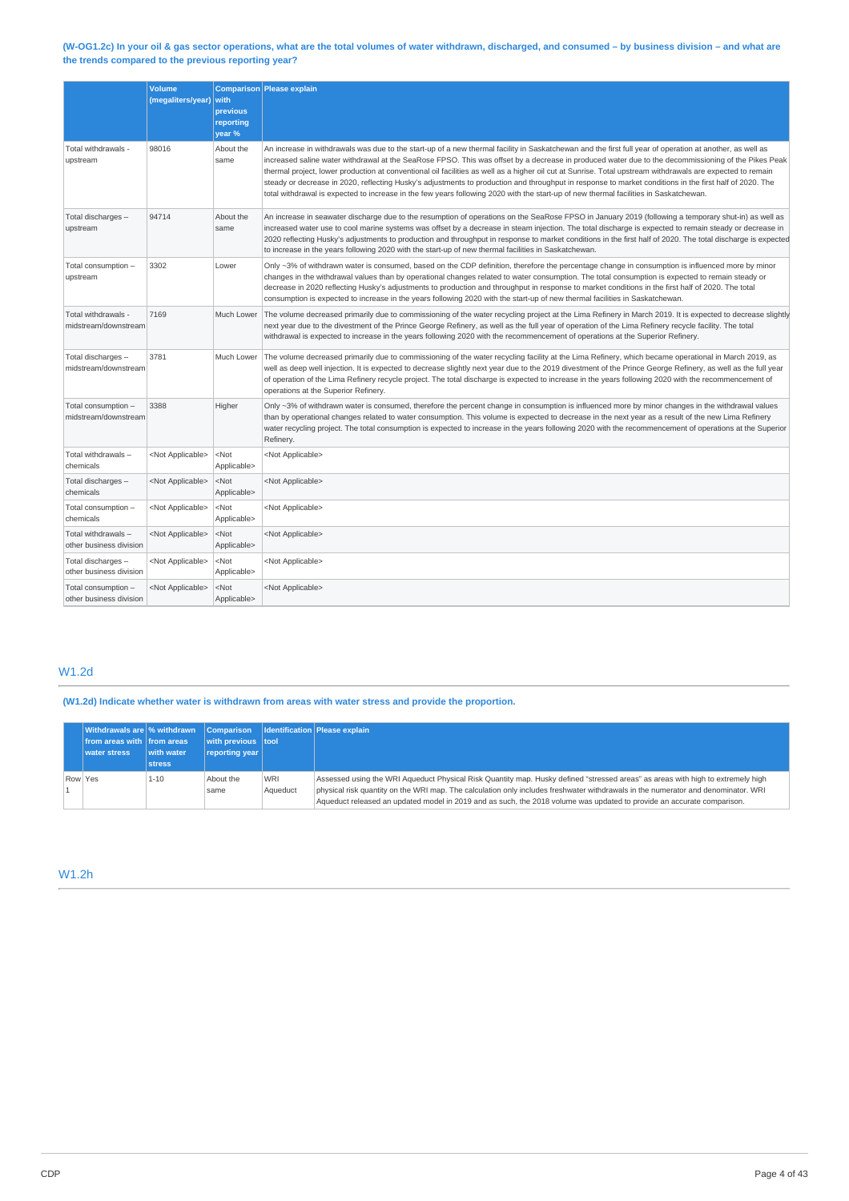### (W-OG1.2c) In your oil & gas sector operations, what are the total volumes of water withdrawn, discharged, and consumed - by business division - and what are **the trends compared to the previous reporting year?**

|                                                | <b>Volume</b><br>(megaliters/year) with | previous<br>reporting<br>year % | Comparison Please explain                                                                                                                                                                                                                                                                                                                                                                                                                                                                                                                                                                                                                                                                                                                                                         |
|------------------------------------------------|-----------------------------------------|---------------------------------|-----------------------------------------------------------------------------------------------------------------------------------------------------------------------------------------------------------------------------------------------------------------------------------------------------------------------------------------------------------------------------------------------------------------------------------------------------------------------------------------------------------------------------------------------------------------------------------------------------------------------------------------------------------------------------------------------------------------------------------------------------------------------------------|
| Total withdrawals -<br>upstream                | 98016                                   | About the<br>same               | An increase in withdrawals was due to the start-up of a new thermal facility in Saskatchewan and the first full year of operation at another, as well as<br>increased saline water withdrawal at the SeaRose FPSO. This was offset by a decrease in produced water due to the decommissioning of the Pikes Peak<br>thermal project, lower production at conventional oil facilities as well as a higher oil cut at Sunrise. Total upstream withdrawals are expected to remain<br>steady or decrease in 2020, reflecting Husky's adjustments to production and throughput in response to market conditions in the first half of 2020. The<br>total withdrawal is expected to increase in the few years following 2020 with the start-up of new thermal facilities in Saskatchewan. |
| Total discharges -<br>upstream                 | 94714                                   | About the<br>same               | An increase in seawater discharge due to the resumption of operations on the SeaRose FPSO in January 2019 (following a temporary shut-in) as well as<br>increased water use to cool marine systems was offset by a decrease in steam injection. The total discharge is expected to remain steady or decrease in<br>2020 reflecting Husky's adjustments to production and throughput in response to market conditions in the first half of 2020. The total discharge is expected<br>to increase in the years following 2020 with the start-up of new thermal facilities in Saskatchewan.                                                                                                                                                                                           |
| Total consumption -<br>upstream                | 3302                                    | Lower                           | Only ~3% of withdrawn water is consumed, based on the CDP definition, therefore the percentage change in consumption is influenced more by minor<br>changes in the withdrawal values than by operational changes related to water consumption. The total consumption is expected to remain steady or<br>decrease in 2020 reflecting Husky's adjustments to production and throughput in response to market conditions in the first half of 2020. The total<br>consumption is expected to increase in the years following 2020 with the start-up of new thermal facilities in Saskatchewan.                                                                                                                                                                                        |
| Total withdrawals -<br>midstream/downstream    | 7169                                    | Much Lower                      | The volume decreased primarily due to commissioning of the water recycling project at the Lima Refinery in March 2019. It is expected to decrease slightly<br>next year due to the divestment of the Prince George Refinery, as well as the full year of operation of the Lima Refinery recycle facility. The total<br>withdrawal is expected to increase in the years following 2020 with the recommencement of operations at the Superior Refinery.                                                                                                                                                                                                                                                                                                                             |
| Total discharges -<br>midstream/downstream     | 3781                                    | Much Lower                      | The volume decreased primarily due to commissioning of the water recycling facility at the Lima Refinery, which became operational in March 2019, as<br>well as deep well injection. It is expected to decrease slightly next year due to the 2019 divestment of the Prince George Refinery, as well as the full year<br>of operation of the Lima Refinery recycle project. The total discharge is expected to increase in the years following 2020 with the recommencement of<br>operations at the Superior Refinery.                                                                                                                                                                                                                                                            |
| Total consumption -<br>midstream/downstream    | 3388                                    | Higher                          | Only ~3% of withdrawn water is consumed, therefore the percent change in consumption is influenced more by minor changes in the withdrawal values<br>than by operational changes related to water consumption. This volume is expected to decrease in the next year as a result of the new Lima Refinery<br>water recycling project. The total consumption is expected to increase in the years following 2020 with the recommencement of operations at the Superior<br>Refinery.                                                                                                                                                                                                                                                                                                 |
| Total withdrawals -<br>chemicals               | <not applicable=""></not>               | $<$ Not<br>Applicable>          | <not applicable=""></not>                                                                                                                                                                                                                                                                                                                                                                                                                                                                                                                                                                                                                                                                                                                                                         |
| Total discharges -<br>chemicals                | <not applicable=""></not>               | $<$ Not<br>Applicable>          | <not applicable=""></not>                                                                                                                                                                                                                                                                                                                                                                                                                                                                                                                                                                                                                                                                                                                                                         |
| Total consumption -<br>chemicals               | <not applicable=""></not>               | $<$ Not<br>Applicable>          | <not applicable=""></not>                                                                                                                                                                                                                                                                                                                                                                                                                                                                                                                                                                                                                                                                                                                                                         |
| Total withdrawals -<br>other business division | <not applicable=""></not>               | $<$ Not<br>Applicable>          | <not applicable=""></not>                                                                                                                                                                                                                                                                                                                                                                                                                                                                                                                                                                                                                                                                                                                                                         |
| Total discharges -<br>other business division  | <not applicable=""></not>               | $<$ Not<br>Applicable>          | <not applicable=""></not>                                                                                                                                                                                                                                                                                                                                                                                                                                                                                                                                                                                                                                                                                                                                                         |
| Total consumption -<br>other business division | <not applicable=""></not>               | $<$ Not<br>Applicable>          | <not applicable=""></not>                                                                                                                                                                                                                                                                                                                                                                                                                                                                                                                                                                                                                                                                                                                                                         |

# W1.2d

**(W1.2d) Indicate whether water is withdrawn from areas with water stress and provide the proportion.**

|         | Withdrawals are % withdrawn Comparison Identification Please explain |               |                    |            |                                                                                                                                   |
|---------|----------------------------------------------------------------------|---------------|--------------------|------------|-----------------------------------------------------------------------------------------------------------------------------------|
|         | from areas with from areas                                           |               | with previous tool |            |                                                                                                                                   |
|         | <b>water stress</b>                                                  | with water    | reporting year     |            |                                                                                                                                   |
|         |                                                                      | <b>stress</b> |                    |            |                                                                                                                                   |
| Row Yes |                                                                      | $1 - 10$      | About the          | <b>WRI</b> | Assessed using the WRI Aqueduct Physical Risk Quantity map. Husky defined "stressed areas" as areas with high to extremely high   |
|         |                                                                      |               | same               | Aqueduct   | physical risk quantity on the WRI map. The calculation only includes freshwater withdrawals in the numerator and denominator. WRI |
|         |                                                                      |               |                    |            | Aqueduct released an updated model in 2019 and as such, the 2018 volume was updated to provide an accurate comparison.            |

# W1.2h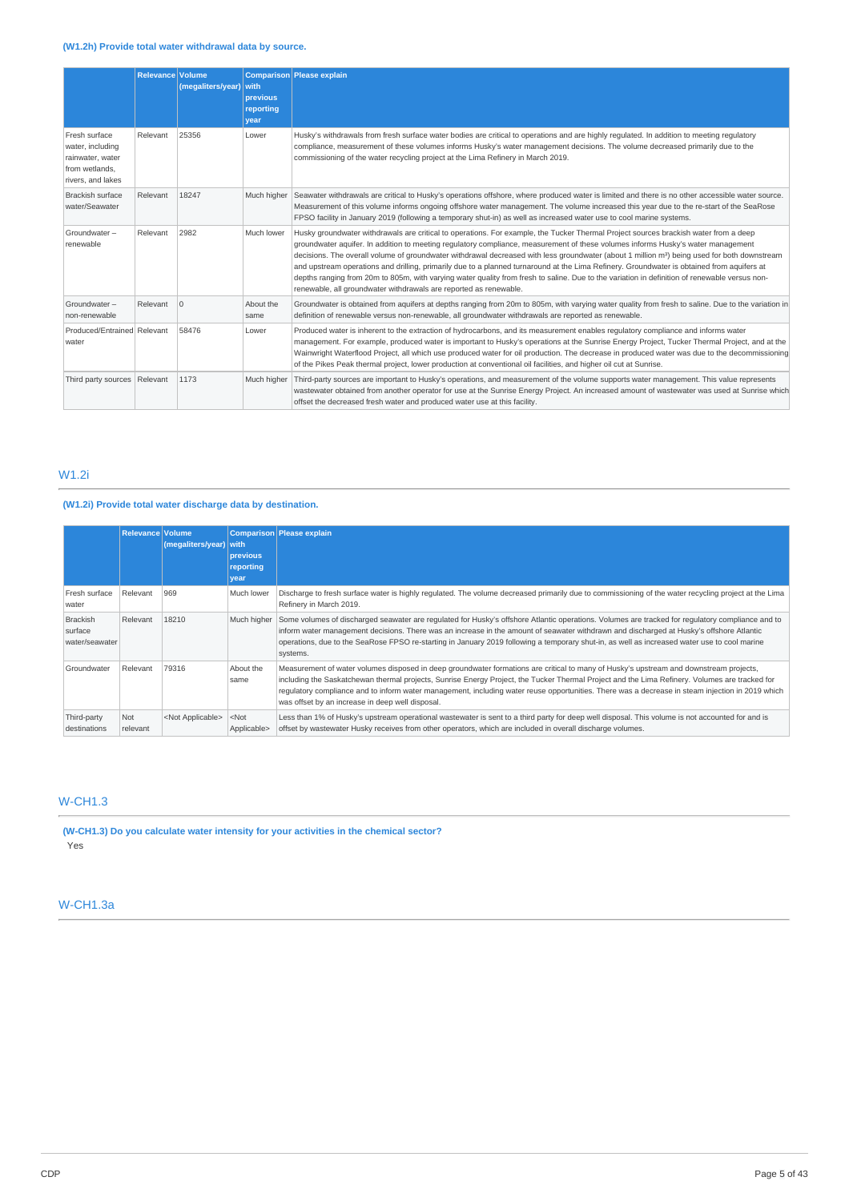|                                                                                              | <b>Relevance Volume</b> | (megaliters/year) with | <b>previous</b><br>reporting<br>year | Comparison Please explain                                                                                                                                                                                                                                                                                                                                                                                                                                                                                                                                                                                                                                                                                                                                                                                |
|----------------------------------------------------------------------------------------------|-------------------------|------------------------|--------------------------------------|----------------------------------------------------------------------------------------------------------------------------------------------------------------------------------------------------------------------------------------------------------------------------------------------------------------------------------------------------------------------------------------------------------------------------------------------------------------------------------------------------------------------------------------------------------------------------------------------------------------------------------------------------------------------------------------------------------------------------------------------------------------------------------------------------------|
| Fresh surface<br>water, including<br>rainwater, water<br>from wetlands.<br>rivers, and lakes | Relevant                | 25356                  | Lower                                | Husky's withdrawals from fresh surface water bodies are critical to operations and are highly regulated. In addition to meeting regulatory<br>compliance, measurement of these volumes informs Husky's water management decisions. The volume decreased primarily due to the<br>commissioning of the water recycling project at the Lima Refinery in March 2019.                                                                                                                                                                                                                                                                                                                                                                                                                                         |
| <b>Brackish surface</b><br>water/Seawater                                                    | Relevant                | 18247                  | Much higher                          | Seawater withdrawals are critical to Husky's operations offshore, where produced water is limited and there is no other accessible water source.<br>Measurement of this volume informs ongoing offshore water management. The volume increased this year due to the re-start of the SeaRose<br>FPSO facility in January 2019 (following a temporary shut-in) as well as increased water use to cool marine systems.                                                                                                                                                                                                                                                                                                                                                                                      |
| Groundwater -<br>renewable                                                                   | Relevant                | 2982                   | Much lower                           | Husky groundwater withdrawals are critical to operations. For example, the Tucker Thermal Project sources brackish water from a deep<br>groundwater aquifer. In addition to meeting regulatory compliance, measurement of these volumes informs Husky's water management<br>decisions. The overall volume of groundwater withdrawal decreased with less groundwater (about 1 million m <sup>3</sup> ) being used for both downstream<br>and upstream operations and drilling, primarily due to a planned turnaround at the Lima Refinery. Groundwater is obtained from aquifers at<br>depths ranging from 20m to 805m, with varying water quality from fresh to saline. Due to the variation in definition of renewable versus non-<br>renewable, all groundwater withdrawals are reported as renewable. |
| Groundwater-<br>non-renewable                                                                | Relevant                | $\Omega$               | About the<br>same                    | Groundwater is obtained from aquifers at depths ranging from 20m to 805m, with varying water quality from fresh to saline. Due to the variation in<br>definition of renewable versus non-renewable, all groundwater withdrawals are reported as renewable.                                                                                                                                                                                                                                                                                                                                                                                                                                                                                                                                               |
| Produced/Entrained Relevant<br>water                                                         |                         | 58476                  | Lower                                | Produced water is inherent to the extraction of hydrocarbons, and its measurement enables regulatory compliance and informs water<br>management. For example, produced water is important to Husky's operations at the Sunrise Energy Project, Tucker Thermal Project, and at the<br>Wainwright Waterflood Project, all which use produced water for oil production. The decrease in produced water was due to the decommissioning<br>of the Pikes Peak thermal project, lower production at conventional oil facilities, and higher oil cut at Sunrise.                                                                                                                                                                                                                                                 |
| Third party sources Relevant                                                                 |                         | 1173                   | Much higher                          | Third-party sources are important to Husky's operations, and measurement of the volume supports water management. This value represents<br>wastewater obtained from another operator for use at the Sunrise Energy Project. An increased amount of wastewater was used at Sunrise which<br>offset the decreased fresh water and produced water use at this facility.                                                                                                                                                                                                                                                                                                                                                                                                                                     |

# W1.2i

# **(W1.2i) Provide total water discharge data by destination.**

|                                              | Relevance Volume | (megaliters/year)         | with<br>previous       | Comparison Please explain                                                                                                                                                                                                                                                                                                                                                                                                                                                                        |
|----------------------------------------------|------------------|---------------------------|------------------------|--------------------------------------------------------------------------------------------------------------------------------------------------------------------------------------------------------------------------------------------------------------------------------------------------------------------------------------------------------------------------------------------------------------------------------------------------------------------------------------------------|
|                                              |                  |                           | reporting              |                                                                                                                                                                                                                                                                                                                                                                                                                                                                                                  |
|                                              |                  |                           | year                   |                                                                                                                                                                                                                                                                                                                                                                                                                                                                                                  |
| Fresh surface<br>water                       | Relevant         | 969                       | Much lower             | Discharge to fresh surface water is highly regulated. The volume decreased primarily due to commissioning of the water recycling project at the Lima<br>Refinery in March 2019.                                                                                                                                                                                                                                                                                                                  |
| <b>Brackish</b><br>surface<br>water/seawater | Relevant         | 18210                     | Much higher            | Some volumes of discharged seawater are regulated for Husky's offshore Atlantic operations. Volumes are tracked for regulatory compliance and to<br>inform water management decisions. There was an increase in the amount of seawater withdrawn and discharged at Husky's offshore Atlantic<br>operations, due to the SeaRose FPSO re-starting in January 2019 following a temporary shut-in, as well as increased water use to cool marine<br>systems.                                         |
| Groundwater                                  | Relevant         | 79316                     | About the<br>same      | Measurement of water volumes disposed in deep groundwater formations are critical to many of Husky's upstream and downstream projects,<br>including the Saskatchewan thermal projects, Sunrise Energy Project, the Tucker Thermal Project and the Lima Refinery. Volumes are tracked for<br>requlatory compliance and to inform water management, including water reuse opportunities. There was a decrease in steam injection in 2019 which<br>was offset by an increase in deep well disposal. |
| Third-party<br>destinations                  | Not<br>relevant  | <not applicable=""></not> | $<$ Not<br>Applicable> | Less than 1% of Husky's upstream operational wastewater is sent to a third party for deep well disposal. This volume is not accounted for and is<br>offset by wastewater Husky receives from other operators, which are included in overall discharge volumes.                                                                                                                                                                                                                                   |

# W-CH1.3

**(W-CH1.3) Do you calculate water intensity for your activities in the chemical sector?** Yes

# W-CH1.3a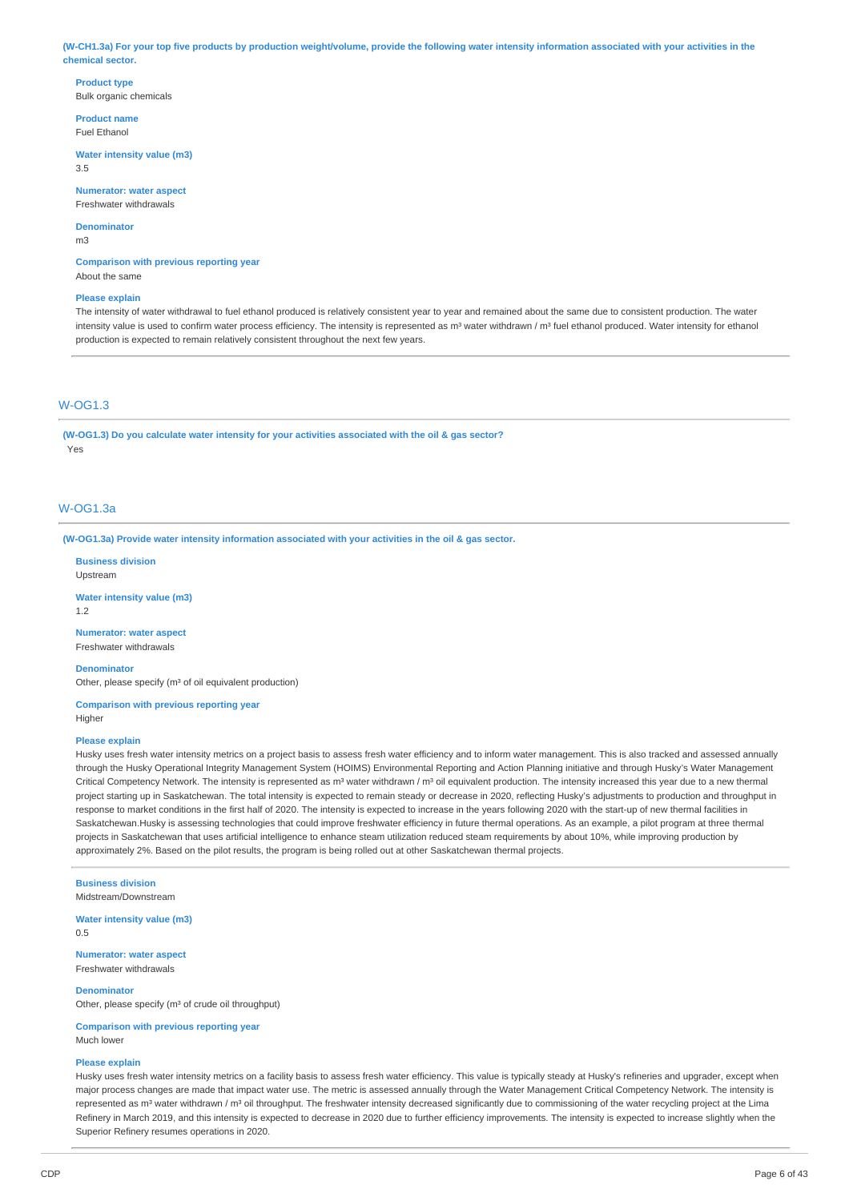(W-CH1.3a) For your top five products by production weight/volume, provide the following water intensity information associated with your activities in the **chemical sector.**

**Product type** Bulk organic chemicals

**Product name** Fuel Ethanol

**Water intensity value (m3)** 3.5

**Numerator: water aspect** Freshwater withdrawals

**Denominator** m3

**Comparison with previous reporting year** About the same

#### **Please explain**

The intensity of water withdrawal to fuel ethanol produced is relatively consistent year to year and remained about the same due to consistent production. The water intensity value is used to confirm water process efficiency. The intensity is represented as m<sup>3</sup> water withdrawn / m<sup>3</sup> fuel ethanol produced. Water intensity for ethanol production is expected to remain relatively consistent throughout the next few years.

# W-OG1.3

**(W-OG1.3) Do you calculate water intensity for your activities associated with the oil & gas sector?** Yes

# W-OG1.3a

**(W-OG1.3a) Provide water intensity information associated with your activities in the oil & gas sector.**

**Business division** Upstream

**Water intensity value (m3)**

1.2

**Numerator: water aspect** Freshwater withdrawals

**Denominator** Other, please specify (m<sup>3</sup> of oil equivalent production)

**Comparison with previous reporting year Higher** 

#### **Please explain**

Husky uses fresh water intensity metrics on a project basis to assess fresh water efficiency and to inform water management. This is also tracked and assessed annually through the Husky Operational Integrity Management System (HOIMS) Environmental Reporting and Action Planning initiative and through Husky's Water Management Critical Competency Network. The intensity is represented as  $m^3$  water withdrawn /  $m^3$  oil equivalent production. The intensity increased this year due to a new thermal project starting up in Saskatchewan. The total intensity is expected to remain steady or decrease in 2020, reflecting Husky's adjustments to production and throughput in response to market conditions in the first half of 2020. The intensity is expected to increase in the years following 2020 with the start-up of new thermal facilities in Saskatchewan.Husky is assessing technologies that could improve freshwater efficiency in future thermal operations. As an example, a pilot program at three thermal projects in Saskatchewan that uses artificial intelligence to enhance steam utilization reduced steam requirements by about 10%, while improving production by approximately 2%. Based on the pilot results, the program is being rolled out at other Saskatchewan thermal projects.

**Business division** Midstream/Downstream

**Water intensity value (m3)** 0.5

**Numerator: water aspect** Freshwater withdrawals

**Denominator**

Other, please specify (m<sup>3</sup> of crude oil throughput)

**Comparison with previous reporting year** Much lower

#### **Please explain**

Husky uses fresh water intensity metrics on a facility basis to assess fresh water efficiency. This value is typically steady at Husky's refineries and upgrader, except when major process changes are made that impact water use. The metric is assessed annually through the Water Management Critical Competency Network. The intensity is represented as m<sup>3</sup> water withdrawn / m<sup>3</sup> oil throughput. The freshwater intensity decreased significantly due to commissioning of the water recycling project at the Lima Refinery in March 2019, and this intensity is expected to decrease in 2020 due to further efficiency improvements. The intensity is expected to increase slightly when the Superior Refinery resumes operations in 2020.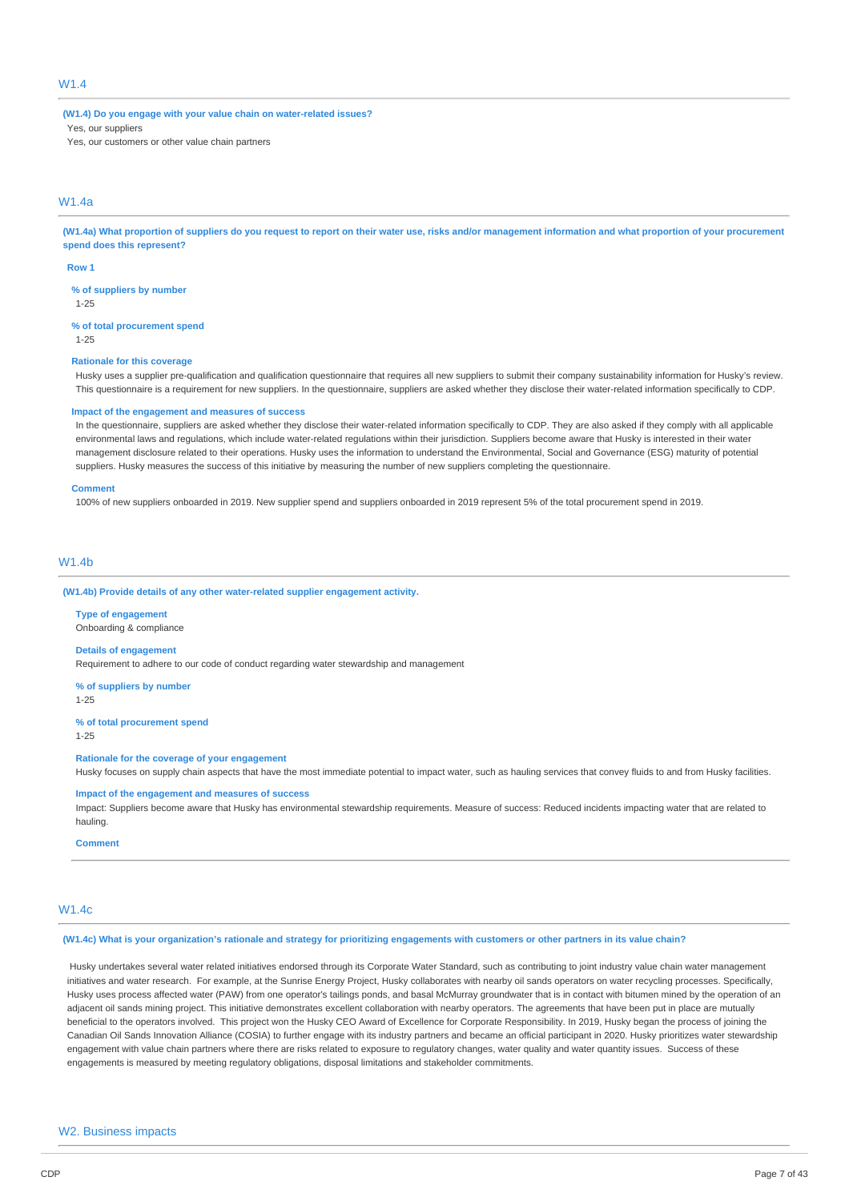# W1.4

**(W1.4) Do you engage with your value chain on water-related issues?** Yes, our suppliers

Yes, our customers or other value chain partners

# W1.4a

(W1.4a) What proportion of suppliers do you request to report on their water use, risks and/or management information and what proportion of your procurement **spend does this represent?**

#### **Row 1**

**% of suppliers by number**

1-25

**% of total procurement spend**

1-25

#### **Rationale for this coverage**

Husky uses a supplier pre-qualification and qualification questionnaire that requires all new suppliers to submit their company sustainability information for Husky's review. This questionnaire is a requirement for new suppliers. In the questionnaire, suppliers are asked whether they disclose their water-related information specifically to CDP.

#### **Impact of the engagement and measures of success**

In the questionnaire, suppliers are asked whether they disclose their water-related information specifically to CDP. They are also asked if they comply with all applicable environmental laws and regulations, which include water-related regulations within their jurisdiction. Suppliers become aware that Husky is interested in their water management disclosure related to their operations. Husky uses the information to understand the Environmental, Social and Governance (ESG) maturity of potential suppliers. Husky measures the success of this initiative by measuring the number of new suppliers completing the questionnaire.

#### **Comment**

100% of new suppliers onboarded in 2019. New supplier spend and suppliers onboarded in 2019 represent 5% of the total procurement spend in 2019.

# W1.4b

**(W1.4b) Provide details of any other water-related supplier engagement activity.**

**Type of engagement** Onboarding & compliance

#### **Details of engagement**

Requirement to adhere to our code of conduct regarding water stewardship and management

**% of suppliers by number**

1-25

**% of total procurement spend**

1-25

## **Rationale for the coverage of your engagement**

Husky focuses on supply chain aspects that have the most immediate potential to impact water, such as hauling services that convey fluids to and from Husky facilities.

#### **Impact of the engagement and measures of success**

Impact: Suppliers become aware that Husky has environmental stewardship requirements. Measure of success: Reduced incidents impacting water that are related to hauling.

**Comment**

#### W1.4c

(W1.4c) What is your organization's rationale and strategy for prioritizing engagements with customers or other partners in its value chain?

Husky undertakes several water related initiatives endorsed through its Corporate Water Standard, such as contributing to joint industry value chain water management initiatives and water research. For example, at the Sunrise Energy Project, Husky collaborates with nearby oil sands operators on water recycling processes. Specifically, Husky uses process affected water (PAW) from one operator's tailings ponds, and basal McMurray groundwater that is in contact with bitumen mined by the operation of an adjacent oil sands mining project. This initiative demonstrates excellent collaboration with nearby operators. The agreements that have been put in place are mutually beneficial to the operators involved. This project won the Husky CEO Award of Excellence for Corporate Responsibility. In 2019, Husky began the process of joining the Canadian Oil Sands Innovation Alliance (COSIA) to further engage with its industry partners and became an official participant in 2020. Husky prioritizes water stewardship engagement with value chain partners where there are risks related to exposure to regulatory changes, water quality and water quantity issues. Success of these engagements is measured by meeting regulatory obligations, disposal limitations and stakeholder commitments.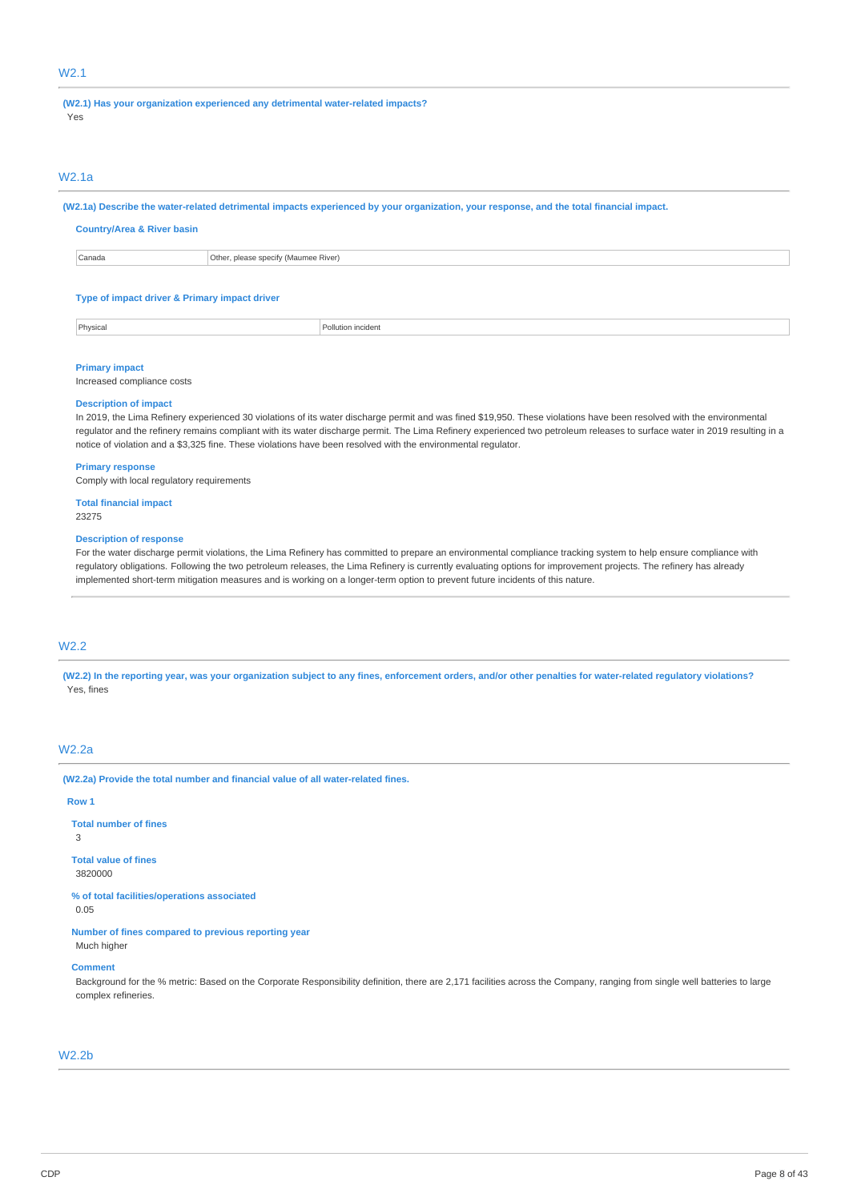# W2.1

**(W2.1) Has your organization experienced any detrimental water-related impacts?** Yes

### W2.1a

(W2.1a) Describe the water-related detrimental impacts experienced by your organization, your response, and the total financial impact.

| <b>Country/Area &amp; River basin</b>         |                                      |  |  |  |  |  |
|-----------------------------------------------|--------------------------------------|--|--|--|--|--|
| Canada                                        | Other, please specify (Maumee River) |  |  |  |  |  |
|                                               |                                      |  |  |  |  |  |
| Type of impact driver & Primary impact driver |                                      |  |  |  |  |  |
|                                               |                                      |  |  |  |  |  |
| Physical<br>Pollution incident                |                                      |  |  |  |  |  |

# **Primary impact**

Increased compliance costs

#### **Description of impact**

In 2019, the Lima Refinery experienced 30 violations of its water discharge permit and was fined \$19,950. These violations have been resolved with the environmental regulator and the refinery remains compliant with its water discharge permit. The Lima Refinery experienced two petroleum releases to surface water in 2019 resulting in a notice of violation and a \$3,325 fine. These violations have been resolved with the environmental regulator.

#### **Primary response**

Comply with local regulatory requirements

# **Total financial impact**

23275

#### **Description of response**

For the water discharge permit violations, the Lima Refinery has committed to prepare an environmental compliance tracking system to help ensure compliance with regulatory obligations. Following the two petroleum releases, the Lima Refinery is currently evaluating options for improvement projects. The refinery has already implemented short-term mitigation measures and is working on a longer-term option to prevent future incidents of this nature.

# W2.2

(W2.2) In the reporting year, was your organization subject to any fines, enforcement orders, and/or other penalties for water-related regulatory violations? Yes, fines

# W2.2a

**(W2.2a) Provide the total number and financial value of all water-related fines.**

### **Row 1**

**Total number of fines** 3

**Total value of fines** 3820000

**% of total facilities/operations associated** 0.05

**Number of fines compared to previous reporting year** Much higher

#### **Comment**

Background for the % metric: Based on the Corporate Responsibility definition, there are 2,171 facilities across the Company, ranging from single well batteries to large complex refineries.

# W2.2b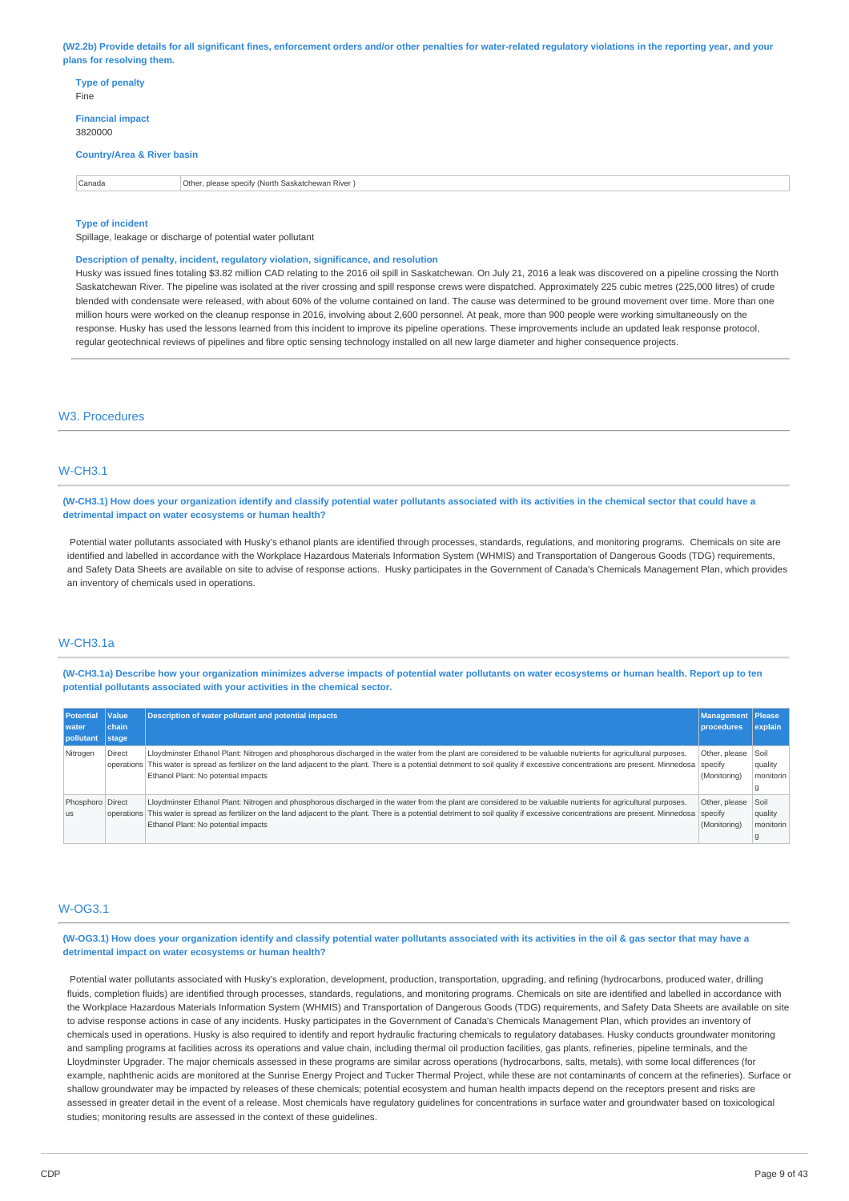(W2.2b) Provide details for all significant fines, enforcement orders and/or other penalties for water-related regulatory violations in the reporting year, and your **plans for resolving them.**

| <b>Type of penalty</b><br>Fine        |                                                  |
|---------------------------------------|--------------------------------------------------|
| <b>Financial impact</b><br>3820000    |                                                  |
| <b>Country/Area &amp; River basin</b> |                                                  |
| Canada                                | Other, please specify (North Saskatchewan River) |
|                                       |                                                  |

#### **Type of incident**

Spillage, leakage or discharge of potential water pollutant

#### **Description of penalty, incident, regulatory violation, significance, and resolution**

Husky was issued fines totaling \$3.82 million CAD relating to the 2016 oil spill in Saskatchewan. On July 21, 2016 a leak was discovered on a pipeline crossing the North Saskatchewan River. The pipeline was isolated at the river crossing and spill response crews were dispatched. Approximately 225 cubic metres (225,000 litres) of crude blended with condensate were released, with about 60% of the volume contained on land. The cause was determined to be ground movement over time. More than one million hours were worked on the cleanup response in 2016, involving about 2,600 personnel. At peak, more than 900 people were working simultaneously on the response. Husky has used the lessons learned from this incident to improve its pipeline operations. These improvements include an updated leak response protocol, regular geotechnical reviews of pipelines and fibre optic sensing technology installed on all new large diameter and higher consequence projects.

### W3. Procedures

### W-CH3.1

(W-CH3.1) How does your organization identify and classify potential water pollutants associated with its activities in the chemical sector that could have a **detrimental impact on water ecosystems or human health?**

Potential water pollutants associated with Husky's ethanol plants are identified through processes, standards, regulations, and monitoring programs. Chemicals on site are identified and labelled in accordance with the Workplace Hazardous Materials Information System (WHMIS) and Transportation of Dangerous Goods (TDG) requirements, and Safety Data Sheets are available on site to advise of response actions. Husky participates in the Government of Canada's Chemicals Management Plan, which provides an inventory of chemicals used in operations.

#### W-CH3.1a

(W-CH3.1a) Describe how your organization minimizes adverse impacts of potential water pollutants on water ecosystems or human health. Report up to ten **potential pollutants associated with your activities in the chemical sector.**

| <b>Potential</b><br>water | <b>Value</b><br>chain | <b>Description of water pollutant and potential impacts</b>                                                                                                                                                                                                                                                                                                                                         | Management<br><b>procedures</b> | <b>Please</b><br>explain       |
|---------------------------|-----------------------|-----------------------------------------------------------------------------------------------------------------------------------------------------------------------------------------------------------------------------------------------------------------------------------------------------------------------------------------------------------------------------------------------------|---------------------------------|--------------------------------|
| pollutant                 | stage                 |                                                                                                                                                                                                                                                                                                                                                                                                     |                                 |                                |
| Nitrogen                  | <b>Direct</b>         | Lloydminster Ethanol Plant: Nitrogen and phosphorous discharged in the water from the plant are considered to be valuable nutrients for agricultural purposes.<br>operations This water is spread as fertilizer on the land adjacent to the plant. There is a potential detriment to soil quality if excessive concentrations are present. Minnedosa specify<br>Ethanol Plant: No potential impacts | Other, please<br>(Monitoring)   | Soil<br>  quality<br>monitorin |
| Phosphoro Direct<br>l us  |                       | Lloydminster Ethanol Plant: Nitrogen and phosphorous discharged in the water from the plant are considered to be valuable nutrients for agricultural purposes.<br>operations This water is spread as fertilizer on the land adjacent to the plant. There is a potential detriment to soil quality if excessive concentrations are present. Minnedosa specify<br>Ethanol Plant: No potential impacts | Other, please<br>(Monitoring)   | Soil<br>quality<br>monitorin   |

#### W-OG3.1

(W-OG3.1) How does your organization identify and classify potential water pollutants associated with its activities in the oil & gas sector that may have a **detrimental impact on water ecosystems or human health?**

Potential water pollutants associated with Husky's exploration, development, production, transportation, upgrading, and refining (hydrocarbons, produced water, drilling fluids, completion fluids) are identified through processes, standards, regulations, and monitoring programs. Chemicals on site are identified and labelled in accordance with the Workplace Hazardous Materials Information System (WHMIS) and Transportation of Dangerous Goods (TDG) requirements, and Safety Data Sheets are available on site to advise response actions in case of any incidents. Husky participates in the Government of Canada's Chemicals Management Plan, which provides an inventory of chemicals used in operations. Husky is also required to identify and report hydraulic fracturing chemicals to regulatory databases. Husky conducts groundwater monitoring and sampling programs at facilities across its operations and value chain, including thermal oil production facilities, gas plants, refineries, pipeline terminals, and the Lloydminster Upgrader. The major chemicals assessed in these programs are similar across operations (hydrocarbons, salts, metals), with some local differences (for example, naphthenic acids are monitored at the Sunrise Energy Project and Tucker Thermal Project, while these are not contaminants of concern at the refineries). Surface or shallow groundwater may be impacted by releases of these chemicals; potential ecosystem and human health impacts depend on the receptors present and risks are assessed in greater detail in the event of a release. Most chemicals have regulatory guidelines for concentrations in surface water and groundwater based on toxicological studies; monitoring results are assessed in the context of these guidelines.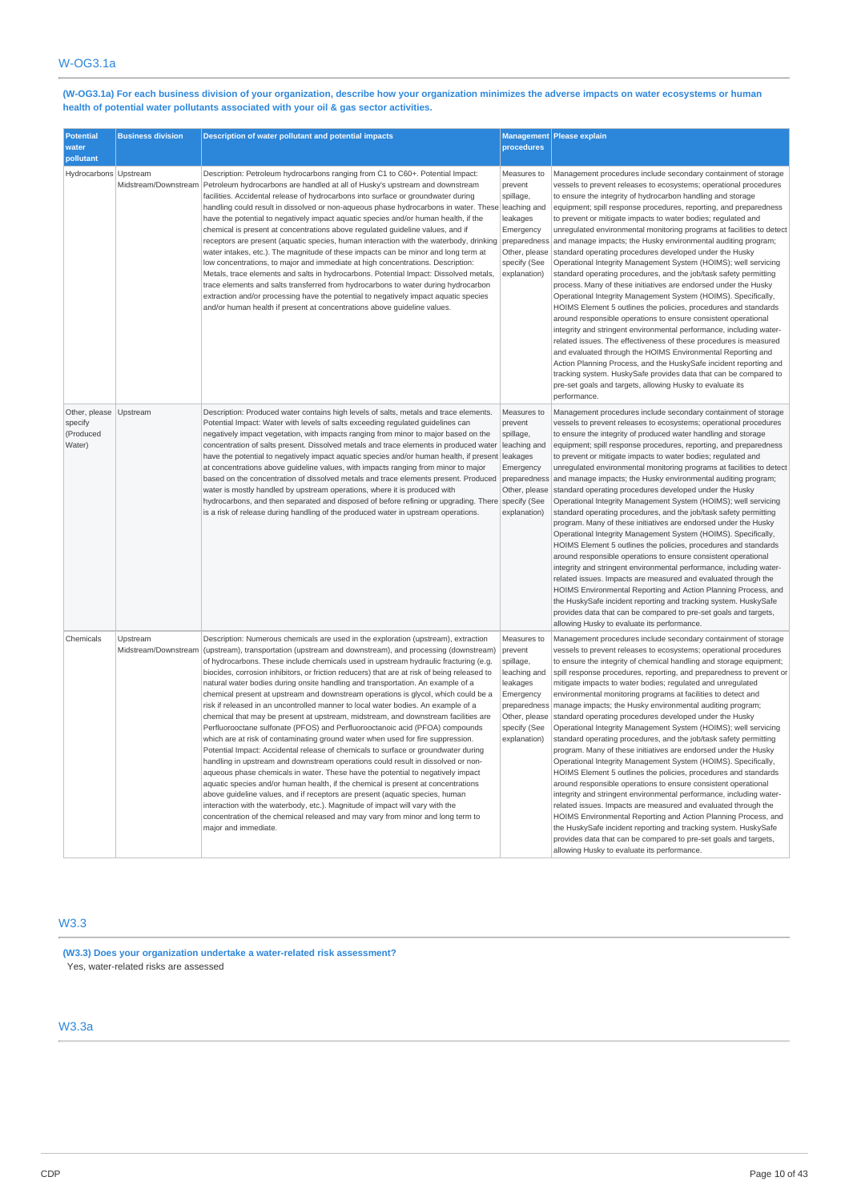(W-OG3.1a) For each business division of your organization, describe how your organization minimizes the adverse impacts on water ecosystems or human **health of potential water pollutants associated with your oil & gas sector activities.**

| <b>Potential</b><br>water<br>pollutant                   | <b>Business division</b>         | Description of water pollutant and potential impacts                                                                                                                                                                                                                                                                                                                                                                                                                                                                                                                                                                                                                                                                                                                                                                                                                                                                                                                                                                                                                                                                                                                                                                                                                                                                                                                                                                                                                                                                | procedures                                                                                                                                    | Management Please explain                                                                                                                                                                                                                                                                                                                                                                                                                                                                                                                                                                                                                                                                                                                                                                                                                                                                                                                                                                                                                                                                                                                                                                                                                                                                                                                                                                        |
|----------------------------------------------------------|----------------------------------|---------------------------------------------------------------------------------------------------------------------------------------------------------------------------------------------------------------------------------------------------------------------------------------------------------------------------------------------------------------------------------------------------------------------------------------------------------------------------------------------------------------------------------------------------------------------------------------------------------------------------------------------------------------------------------------------------------------------------------------------------------------------------------------------------------------------------------------------------------------------------------------------------------------------------------------------------------------------------------------------------------------------------------------------------------------------------------------------------------------------------------------------------------------------------------------------------------------------------------------------------------------------------------------------------------------------------------------------------------------------------------------------------------------------------------------------------------------------------------------------------------------------|-----------------------------------------------------------------------------------------------------------------------------------------------|--------------------------------------------------------------------------------------------------------------------------------------------------------------------------------------------------------------------------------------------------------------------------------------------------------------------------------------------------------------------------------------------------------------------------------------------------------------------------------------------------------------------------------------------------------------------------------------------------------------------------------------------------------------------------------------------------------------------------------------------------------------------------------------------------------------------------------------------------------------------------------------------------------------------------------------------------------------------------------------------------------------------------------------------------------------------------------------------------------------------------------------------------------------------------------------------------------------------------------------------------------------------------------------------------------------------------------------------------------------------------------------------------|
| Hydrocarbons Upstream                                    |                                  | Description: Petroleum hydrocarbons ranging from C1 to C60+. Potential Impact:<br>Midstream/Downstream Petroleum hydrocarbons are handled at all of Husky's upstream and downstream<br>facilities. Accidental release of hydrocarbons into surface or groundwater during<br>handling could result in dissolved or non-aqueous phase hydrocarbons in water. These leaching and<br>have the potential to negatively impact aquatic species and/or human health, if the<br>chemical is present at concentrations above regulated quideline values, and if<br>receptors are present (aquatic species, human interaction with the waterbody, drinking preparedness<br>water intakes, etc.). The magnitude of these impacts can be minor and long term at<br>low concentrations, to major and immediate at high concentrations. Description:<br>Metals, trace elements and salts in hydrocarbons. Potential Impact: Dissolved metals,<br>trace elements and salts transferred from hydrocarbons to water during hydrocarbon<br>extraction and/or processing have the potential to negatively impact aquatic species<br>and/or human health if present at concentrations above guideline values.                                                                                                                                                                                                                                                                                                                           | Measures to<br>prevent<br>spillage,<br>leakages<br>Emergency<br>Other, please<br>specify (See<br>explanation)                                 | Management procedures include secondary containment of storage<br>vessels to prevent releases to ecosystems; operational procedures<br>to ensure the integrity of hydrocarbon handling and storage<br>equipment; spill response procedures, reporting, and preparedness<br>to prevent or mitigate impacts to water bodies; regulated and<br>unregulated environmental monitoring programs at facilities to detect<br>and manage impacts; the Husky environmental auditing program;<br>standard operating procedures developed under the Husky<br>Operational Integrity Management System (HOIMS); well servicing<br>standard operating procedures, and the job/task safety permitting<br>process. Many of these initiatives are endorsed under the Husky<br>Operational Integrity Management System (HOIMS). Specifically,<br>HOIMS Element 5 outlines the policies, procedures and standards<br>around responsible operations to ensure consistent operational<br>integrity and stringent environmental performance, including water-<br>related issues. The effectiveness of these procedures is measured<br>and evaluated through the HOIMS Environmental Reporting and<br>Action Planning Process, and the HuskySafe incident reporting and<br>tracking system. HuskySafe provides data that can be compared to<br>pre-set goals and targets, allowing Husky to evaluate its<br>performance. |
| Other, please Upstream<br>specify<br>(Produced<br>Water) |                                  | Description: Produced water contains high levels of salts, metals and trace elements.<br>Potential Impact: Water with levels of salts exceeding regulated guidelines can<br>negatively impact vegetation, with impacts ranging from minor to major based on the<br>concentration of salts present. Dissolved metals and trace elements in produced water<br>have the potential to negatively impact aquatic species and/or human health, if present leakages<br>at concentrations above guideline values, with impacts ranging from minor to major<br>based on the concentration of dissolved metals and trace elements present. Produced<br>water is mostly handled by upstream operations, where it is produced with<br>hydrocarbons, and then separated and disposed of before refining or upgrading. There specify (See<br>is a risk of release during handling of the produced water in upstream operations.                                                                                                                                                                                                                                                                                                                                                                                                                                                                                                                                                                                                   | Measures to<br>prevent<br>spillage,<br>leaching and<br>Emergency<br>preparedness<br>Other, please<br>explanation)                             | Management procedures include secondary containment of storage<br>vessels to prevent releases to ecosystems; operational procedures<br>to ensure the integrity of produced water handling and storage<br>equipment; spill response procedures, reporting, and preparedness<br>to prevent or mitigate impacts to water bodies; regulated and<br>unregulated environmental monitoring programs at facilities to detect<br>and manage impacts; the Husky environmental auditing program;<br>standard operating procedures developed under the Husky<br>Operational Integrity Management System (HOIMS); well servicing<br>standard operating procedures, and the job/task safety permitting<br>program. Many of these initiatives are endorsed under the Husky<br>Operational Integrity Management System (HOIMS). Specifically,<br>HOIMS Element 5 outlines the policies, procedures and standards<br>around responsible operations to ensure consistent operational<br>integrity and stringent environmental performance, including water-<br>related issues. Impacts are measured and evaluated through the<br>HOIMS Environmental Reporting and Action Planning Process, and<br>the HuskySafe incident reporting and tracking system. HuskySafe<br>provides data that can be compared to pre-set goals and targets,<br>allowing Husky to evaluate its performance.                              |
| Chemicals                                                | Upstream<br>Midstream/Downstream | Description: Numerous chemicals are used in the exploration (upstream), extraction<br>(upstream), transportation (upstream and downstream), and processing (downstream)<br>of hydrocarbons. These include chemicals used in upstream hydraulic fracturing (e.g.<br>biocides, corrosion inhibitors, or friction reducers) that are at risk of being released to<br>natural water bodies during onsite handling and transportation. An example of a<br>chemical present at upstream and downstream operations is glycol, which could be a<br>risk if released in an uncontrolled manner to local water bodies. An example of a<br>chemical that may be present at upstream, midstream, and downstream facilities are<br>Perfluorooctane sulfonate (PFOS) and Perfluorooctanoic acid (PFOA) compounds<br>which are at risk of contaminating ground water when used for fire suppression.<br>Potential Impact: Accidental release of chemicals to surface or groundwater during<br>handling in upstream and downstream operations could result in dissolved or non-<br>aqueous phase chemicals in water. These have the potential to negatively impact<br>aquatic species and/or human health, if the chemical is present at concentrations<br>above guideline values, and if receptors are present (aquatic species, human<br>interaction with the waterbody, etc.). Magnitude of impact will vary with the<br>concentration of the chemical released and may vary from minor and long term to<br>major and immediate. | Measures to<br>prevent<br>spillage,<br>leaching and<br>leakages<br>Emergency<br>preparedness<br>Other, please<br>specify (See<br>explanation) | Management procedures include secondary containment of storage<br>vessels to prevent releases to ecosystems; operational procedures<br>to ensure the integrity of chemical handling and storage equipment;<br>spill response procedures, reporting, and preparedness to prevent or<br>mitigate impacts to water bodies; regulated and unregulated<br>environmental monitoring programs at facilities to detect and<br>manage impacts; the Husky environmental auditing program;<br>standard operating procedures developed under the Husky<br>Operational Integrity Management System (HOIMS); well servicing<br>standard operating procedures, and the job/task safety permitting<br>program. Many of these initiatives are endorsed under the Husky<br>Operational Integrity Management System (HOIMS). Specifically,<br>HOIMS Element 5 outlines the policies, procedures and standards<br>around responsible operations to ensure consistent operational<br>integrity and stringent environmental performance, including water-<br>related issues. Impacts are measured and evaluated through the<br>HOIMS Environmental Reporting and Action Planning Process, and<br>the HuskySafe incident reporting and tracking system. HuskySafe<br>provides data that can be compared to pre-set goals and targets,<br>allowing Husky to evaluate its performance.                                    |

# W3.3

**(W3.3) Does your organization undertake a water-related risk assessment?** Yes, water-related risks are assessed

# W3.3a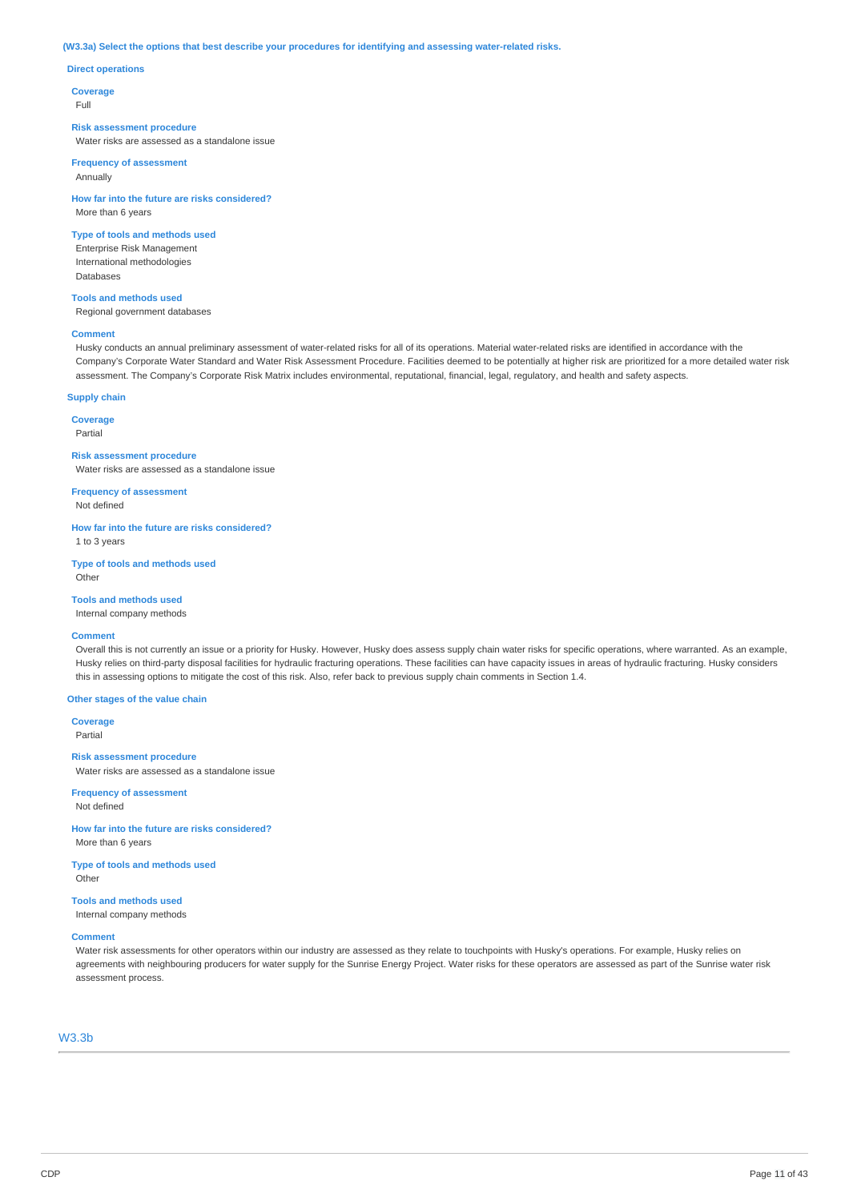#### **(W3.3a) Select the options that best describe your procedures for identifying and assessing water-related risks.**

#### **Direct operations**

**Coverage**

Full

#### **Risk assessment procedure**

Water risks are assessed as a standalone issue

#### **Frequency of assessment** Annually

**How far into the future are risks considered?** More than 6 years

#### **Type of tools and methods used**

Enterprise Risk Management International methodologies Databases

### **Tools and methods used**

Regional government databases

#### **Comment**

Husky conducts an annual preliminary assessment of water-related risks for all of its operations. Material water-related risks are identified in accordance with the Company's Corporate Water Standard and Water Risk Assessment Procedure. Facilities deemed to be potentially at higher risk are prioritized for a more detailed water risk assessment. The Company's Corporate Risk Matrix includes environmental, reputational, financial, legal, regulatory, and health and safety aspects.

### **Supply chain**

**Coverage**

Partial

#### **Risk assessment procedure**

Water risks are assessed as a standalone issue

**Frequency of assessment** Not defined

**How far into the future are risks considered?** 1 to 3 years

**Type of tools and methods used** Other

**Tools and methods used**

# Internal company methods

#### **Comment**

Overall this is not currently an issue or a priority for Husky. However, Husky does assess supply chain water risks for specific operations, where warranted. As an example, Husky relies on third-party disposal facilities for hydraulic fracturing operations. These facilities can have capacity issues in areas of hydraulic fracturing. Husky considers this in assessing options to mitigate the cost of this risk. Also, refer back to previous supply chain comments in Section 1.4.

#### **Other stages of the value chain**

**Coverage** Partial

**Risk assessment procedure** Water risks are assessed as a standalone issue

#### **Frequency of assessment** Not defined

**How far into the future are risks considered?** More than 6 years

**Type of tools and methods used** Other

#### **Tools and methods used** Internal company methods

#### **Comment**

Water risk assessments for other operators within our industry are assessed as they relate to touchpoints with Husky's operations. For example, Husky relies on agreements with neighbouring producers for water supply for the Sunrise Energy Project. Water risks for these operators are assessed as part of the Sunrise water risk assessment process.

# W3.3b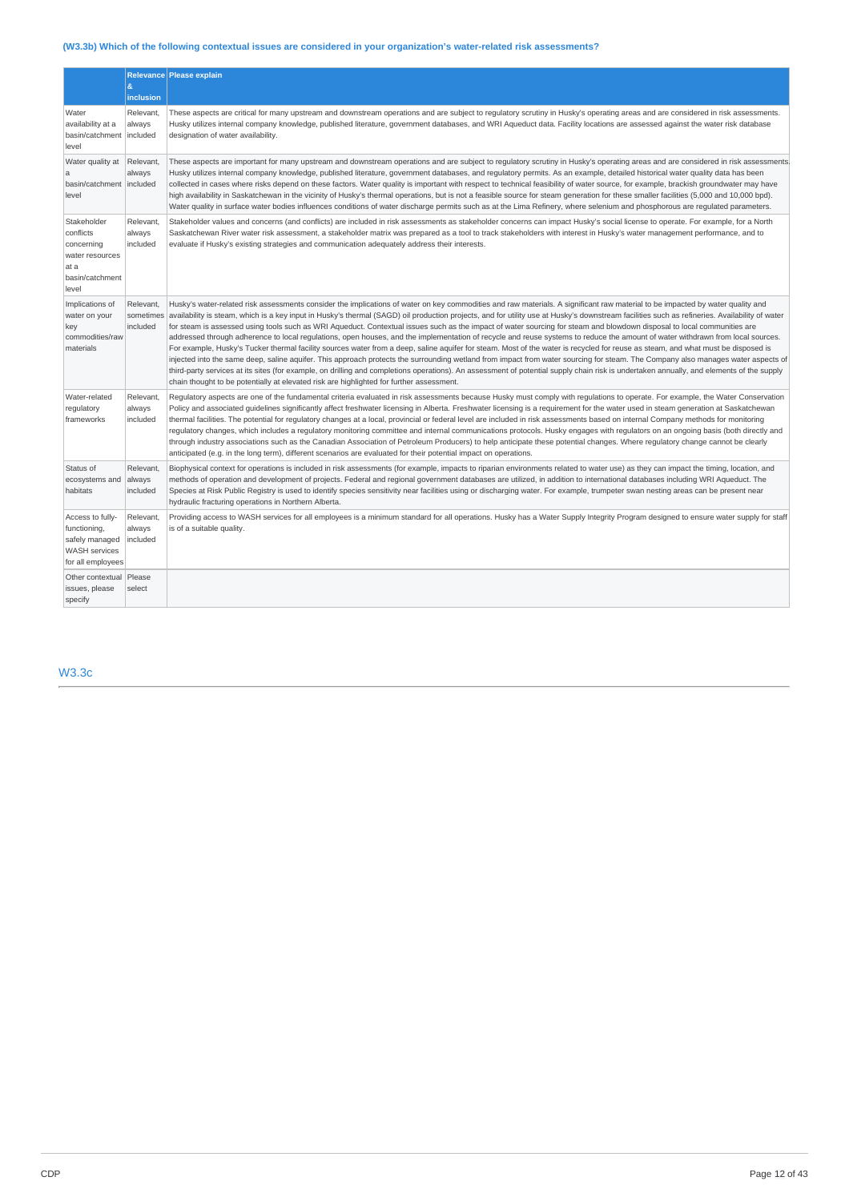# **(W3.3b) Which of the following contextual issues are considered in your organization's water-related risk assessments?**

|                                                                                                 |                                    | Relevance Please explain                                                                                                                                                                                                                                                                                                                                                                                                                                                                                                                                                                                                                                                                                                                                                                                                                                                                                                                                                                                                                                                                                                                                                                                                                                                                                                                                                                                     |
|-------------------------------------------------------------------------------------------------|------------------------------------|--------------------------------------------------------------------------------------------------------------------------------------------------------------------------------------------------------------------------------------------------------------------------------------------------------------------------------------------------------------------------------------------------------------------------------------------------------------------------------------------------------------------------------------------------------------------------------------------------------------------------------------------------------------------------------------------------------------------------------------------------------------------------------------------------------------------------------------------------------------------------------------------------------------------------------------------------------------------------------------------------------------------------------------------------------------------------------------------------------------------------------------------------------------------------------------------------------------------------------------------------------------------------------------------------------------------------------------------------------------------------------------------------------------|
|                                                                                                 | $\mathbf{g}$<br>inclusion          |                                                                                                                                                                                                                                                                                                                                                                                                                                                                                                                                                                                                                                                                                                                                                                                                                                                                                                                                                                                                                                                                                                                                                                                                                                                                                                                                                                                                              |
| Water<br>availability at a<br>basin/catchment<br>level                                          | Relevant,<br>always<br>included    | These aspects are critical for many upstream and downstream operations and are subject to regulatory scrutiny in Husky's operating areas and are considered in risk assessments.<br>Husky utilizes internal company knowledge, published literature, government databases, and WRI Aqueduct data. Facility locations are assessed against the water risk database<br>designation of water availability.                                                                                                                                                                                                                                                                                                                                                                                                                                                                                                                                                                                                                                                                                                                                                                                                                                                                                                                                                                                                      |
| Water quality at<br>a<br>basin/catchment included<br>level                                      | Relevant,<br>always                | These aspects are important for many upstream and downstream operations and are subject to regulatory scrutiny in Husky's operating areas and are considered in risk assessments<br>Husky utilizes internal company knowledge, published literature, government databases, and regulatory permits. As an example, detailed historical water quality data has been<br>collected in cases where risks depend on these factors. Water quality is important with respect to technical feasibility of water source, for example, brackish groundwater may have<br>high availability in Saskatchewan in the vicinity of Husky's thermal operations, but is not a feasible source for steam generation for these smaller facilities (5,000 and 10,000 bpd).<br>Water quality in surface water bodies influences conditions of water discharge permits such as at the Lima Refinery, where selenium and phosphorous are regulated parameters.                                                                                                                                                                                                                                                                                                                                                                                                                                                                        |
| Stakeholder<br>conflicts<br>concerning<br>water resources<br>at a<br>basin/catchment<br>level   | Relevant,<br>always<br>included    | Stakeholder values and concerns (and conflicts) are included in risk assessments as stakeholder concerns can impact Husky's social license to operate. For example, for a North<br>Saskatchewan River water risk assessment, a stakeholder matrix was prepared as a tool to track stakeholders with interest in Husky's water management performance, and to<br>evaluate if Husky's existing strategies and communication adequately address their interests.                                                                                                                                                                                                                                                                                                                                                                                                                                                                                                                                                                                                                                                                                                                                                                                                                                                                                                                                                |
| Implications of<br>water on your<br>key<br>commodities/raw<br>materials                         | Relevant.<br>sometimes<br>included | Husky's water-related risk assessments consider the implications of water on key commodities and raw materials. A significant raw material to be impacted by water quality and<br>availability is steam, which is a key input in Husky's thermal (SAGD) oil production projects, and for utility use at Husky's downstream facilities such as refineries. Availability of water<br>for steam is assessed using tools such as WRI Aqueduct. Contextual issues such as the impact of water sourcing for steam and blowdown disposal to local communities are<br>addressed through adherence to local regulations, open houses, and the implementation of recycle and reuse systems to reduce the amount of water withdrawn from local sources.<br>For example, Husky's Tucker thermal facility sources water from a deep, saline aquifer for steam. Most of the water is recycled for reuse as steam, and what must be disposed is<br>injected into the same deep, saline aquifer. This approach protects the surrounding wetland from impact from water sourcing for steam. The Company also manages water aspects of<br>third-party services at its sites (for example, on drilling and completions operations). An assessment of potential supply chain risk is undertaken annually, and elements of the supply<br>chain thought to be potentially at elevated risk are highlighted for further assessment. |
| Water-related<br>regulatory<br>frameworks                                                       | Relevant,<br>always<br>included    | Regulatory aspects are one of the fundamental criteria evaluated in risk assessments because Husky must comply with regulations to operate. For example, the Water Conservation<br>Policy and associated quidelines significantly affect freshwater licensing in Alberta. Freshwater licensing is a requirement for the water used in steam generation at Saskatchewan<br>thermal facilities. The potential for requlatory changes at a local, provincial or federal level are included in risk assessments based on internal Company methods for monitoring<br>regulatory changes, which includes a regulatory monitoring committee and internal communications protocols. Husky engages with regulators on an ongoing basis (both directly and<br>through industry associations such as the Canadian Association of Petroleum Producers) to help anticipate these potential changes. Where regulatory change cannot be clearly<br>anticipated (e.g. in the long term), different scenarios are evaluated for their potential impact on operations.                                                                                                                                                                                                                                                                                                                                                         |
| Status of<br>ecosystems and<br>habitats                                                         | Relevant,<br>always<br>included    | Biophysical context for operations is included in risk assessments (for example, impacts to riparian environments related to water use) as they can impact the timing, location, and<br>methods of operation and development of projects. Federal and regional government databases are utilized, in addition to international databases including WRI Aqueduct. The<br>Species at Risk Public Registry is used to identify species sensitivity near facilities using or discharging water. For example, trumpeter swan nesting areas can be present near<br>hydraulic fracturing operations in Northern Alberta.                                                                                                                                                                                                                                                                                                                                                                                                                                                                                                                                                                                                                                                                                                                                                                                            |
| Access to fully-<br>functioning,<br>safely managed<br><b>WASH</b> services<br>for all employees | Relevant,<br>always<br>included    | Providing access to WASH services for all employees is a minimum standard for all operations. Husky has a Water Supply Integrity Program designed to ensure water supply for staff<br>is of a suitable quality.                                                                                                                                                                                                                                                                                                                                                                                                                                                                                                                                                                                                                                                                                                                                                                                                                                                                                                                                                                                                                                                                                                                                                                                              |
| Other contextual Please<br>issues, please<br>specify                                            | select                             |                                                                                                                                                                                                                                                                                                                                                                                                                                                                                                                                                                                                                                                                                                                                                                                                                                                                                                                                                                                                                                                                                                                                                                                                                                                                                                                                                                                                              |

# W3.3c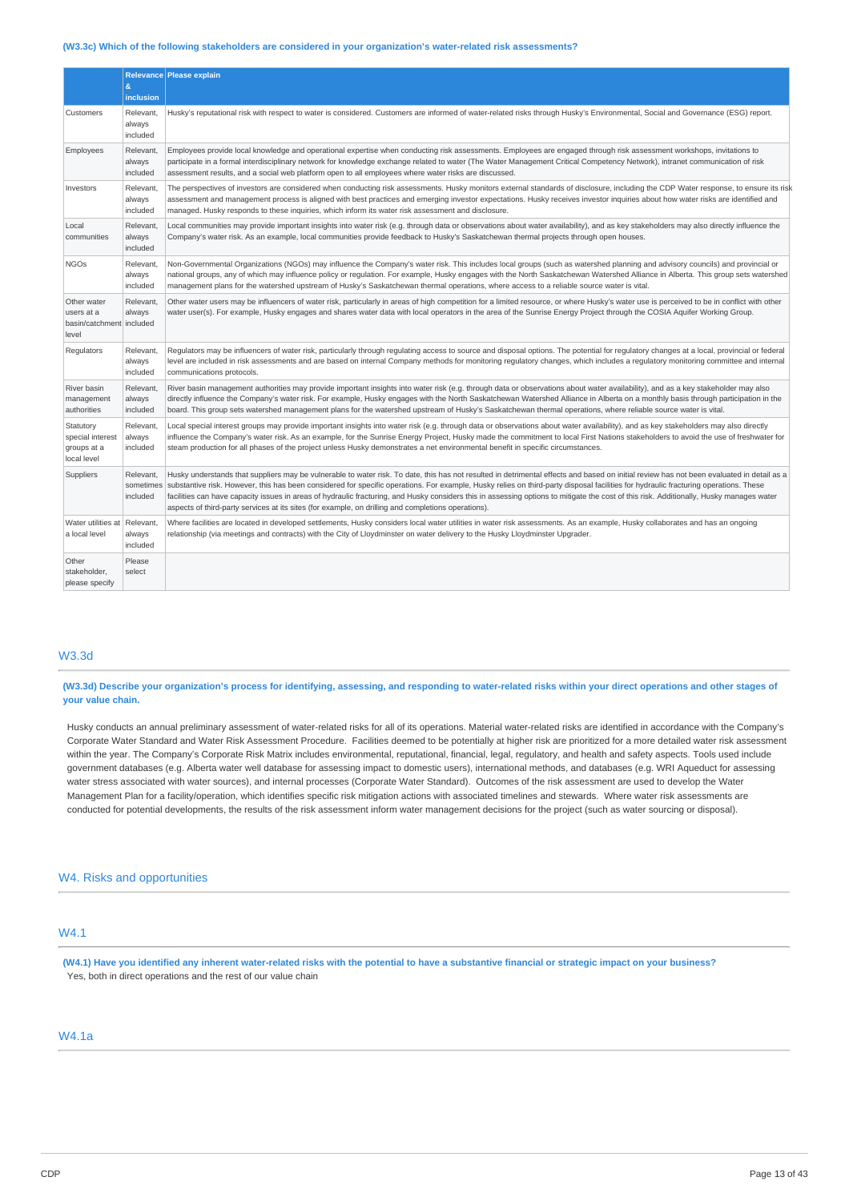#### **(W3.3c) Which of the following stakeholders are considered in your organization's water-related risk assessments?**

|                                                                | $\mathbf{g}$                       | Relevance Please explain                                                                                                                                                                                                                                                                                                                                                                                                                                                                                                                                                                                                                                                             |
|----------------------------------------------------------------|------------------------------------|--------------------------------------------------------------------------------------------------------------------------------------------------------------------------------------------------------------------------------------------------------------------------------------------------------------------------------------------------------------------------------------------------------------------------------------------------------------------------------------------------------------------------------------------------------------------------------------------------------------------------------------------------------------------------------------|
|                                                                | inclusion                          |                                                                                                                                                                                                                                                                                                                                                                                                                                                                                                                                                                                                                                                                                      |
| Customers                                                      | Relevant,<br>always<br>included    | Husky's reputational risk with respect to water is considered. Customers are informed of water-related risks through Husky's Environmental, Social and Governance (ESG) report.                                                                                                                                                                                                                                                                                                                                                                                                                                                                                                      |
| Employees                                                      | Relevant.<br>always<br>included    | Employees provide local knowledge and operational expertise when conducting risk assessments. Employees are engaged through risk assessment workshops, invitations to<br>participate in a formal interdisciplinary network for knowledge exchange related to water (The Water Management Critical Competency Network), intranet communication of risk<br>assessment results, and a social web platform open to all employees where water risks are discussed.                                                                                                                                                                                                                        |
| Investors                                                      | Relevant,<br>always<br>included    | The perspectives of investors are considered when conducting risk assessments. Husky monitors external standards of disclosure, including the CDP Water response, to ensure its risk<br>assessment and management process is aligned with best practices and emerging investor expectations. Husky receives investor inquiries about how water risks are identified and<br>managed. Husky responds to these inquiries, which inform its water risk assessment and disclosure.                                                                                                                                                                                                        |
| Local<br>communities                                           | Relevant.<br>always<br>included    | Local communities may provide important insights into water risk (e.g. through data or observations about water availability), and as key stakeholders may also directly influence the<br>Company's water risk. As an example, local communities provide feedback to Husky's Saskatchewan thermal projects through open houses.                                                                                                                                                                                                                                                                                                                                                      |
| <b>NGOs</b>                                                    | Relevant,<br>always<br>included    | Non-Governmental Organizations (NGOs) may influence the Company's water risk. This includes local groups (such as watershed planning and advisory councils) and provincial or<br>national groups, any of which may influence policy or requlation. For example, Husky engages with the North Saskatchewan Watershed Alliance in Alberta. This group sets watershed<br>management plans for the watershed upstream of Husky's Saskatchewan thermal operations, where access to a reliable source water is vital.                                                                                                                                                                      |
| Other water<br>users at a<br>basin/catchment included<br>level | Relevant,<br>always                | Other water users may be influencers of water risk, particularly in areas of high competition for a limited resource, or where Husky's water use is perceived to be in conflict with other<br>water user(s). For example, Husky engages and shares water data with local operators in the area of the Sunrise Energy Project through the COSIA Aquifer Working Group.                                                                                                                                                                                                                                                                                                                |
| Regulators                                                     | Relevant,<br>always<br>included    | Regulators may be influencers of water risk, particularly through regulating access to source and disposal options. The potential for regulatory changes at a local, provincial or federal<br>level are included in risk assessments and are based on internal Company methods for monitoring regulatory changes, which includes a regulatory monitoring committee and internal<br>communications protocols.                                                                                                                                                                                                                                                                         |
| River basin<br>management<br>authorities                       | Relevant.<br>always<br>included    | River basin management authorities may provide important insights into water risk (e.g. through data or observations about water availability), and as a key stakeholder may also<br>directly influence the Company's water risk. For example, Husky engages with the North Saskatchewan Watershed Alliance in Alberta on a monthly basis through participation in the<br>board. This group sets watershed management plans for the watershed upstream of Husky's Saskatchewan thermal operations, where reliable source water is vital.                                                                                                                                             |
| Statutory<br>special interest<br>groups at a<br>local level    | Relevant,<br>always<br>included    | Local special interest groups may provide important insights into water risk (e.g. through data or observations about water availability), and as key stakeholders may also directly<br>influence the Company's water risk. As an example, for the Sunrise Energy Project, Husky made the commitment to local First Nations stakeholders to avoid the use of freshwater for<br>steam production for all phases of the project unless Husky demonstrates a net environmental benefit in specific circumstances.                                                                                                                                                                       |
| Suppliers                                                      | Relevant,<br>sometimes<br>included | Husky understands that suppliers may be vulnerable to water risk. To date, this has not resulted in detrimental effects and based on initial review has not been evaluated in detail as a<br>substantive risk. However, this has been considered for specific operations. For example, Husky relies on third-party disposal facilities for hydraulic fracturing operations. These<br>facilities can have capacity issues in areas of hydraulic fracturing, and Husky considers this in assessing options to mitigate the cost of this risk. Additionally, Husky manages water<br>aspects of third-party services at its sites (for example, on drilling and completions operations). |
| Water utilities at<br>a local level                            | Relevant,<br>always<br>included    | Where facilities are located in developed settlements, Husky considers local water utilities in water risk assessments. As an example, Husky collaborates and has an ongoing<br>relationship (via meetings and contracts) with the City of Lloydminster on water delivery to the Husky Lloydminster Upgrader.                                                                                                                                                                                                                                                                                                                                                                        |
| Other<br>stakeholder.<br>please specify                        | Please<br>select                   |                                                                                                                                                                                                                                                                                                                                                                                                                                                                                                                                                                                                                                                                                      |

# W3.3d

(W3.3d) Describe your organization's process for identifying, assessing, and responding to water-related risks within your direct operations and other stages of **your value chain.**

Husky conducts an annual preliminary assessment of water-related risks for all of its operations. Material water-related risks are identified in accordance with the Company's Corporate Water Standard and Water Risk Assessment Procedure. Facilities deemed to be potentially at higher risk are prioritized for a more detailed water risk assessment within the year. The Company's Corporate Risk Matrix includes environmental, reputational, financial, legal, regulatory, and health and safety aspects. Tools used include government databases (e.g. Alberta water well database for assessing impact to domestic users), international methods, and databases (e.g. WRI Aqueduct for assessing water stress associated with water sources), and internal processes (Corporate Water Standard). Outcomes of the risk assessment are used to develop the Water Management Plan for a facility/operation, which identifies specific risk mitigation actions with associated timelines and stewards. Where water risk assessments are conducted for potential developments, the results of the risk assessment inform water management decisions for the project (such as water sourcing or disposal).

#### W4. Risks and opportunities

# W4.1

(W4.1) Have you identified any inherent water-related risks with the potential to have a substantive financial or strategic impact on your business? Yes, both in direct operations and the rest of our value chain

# W4.1a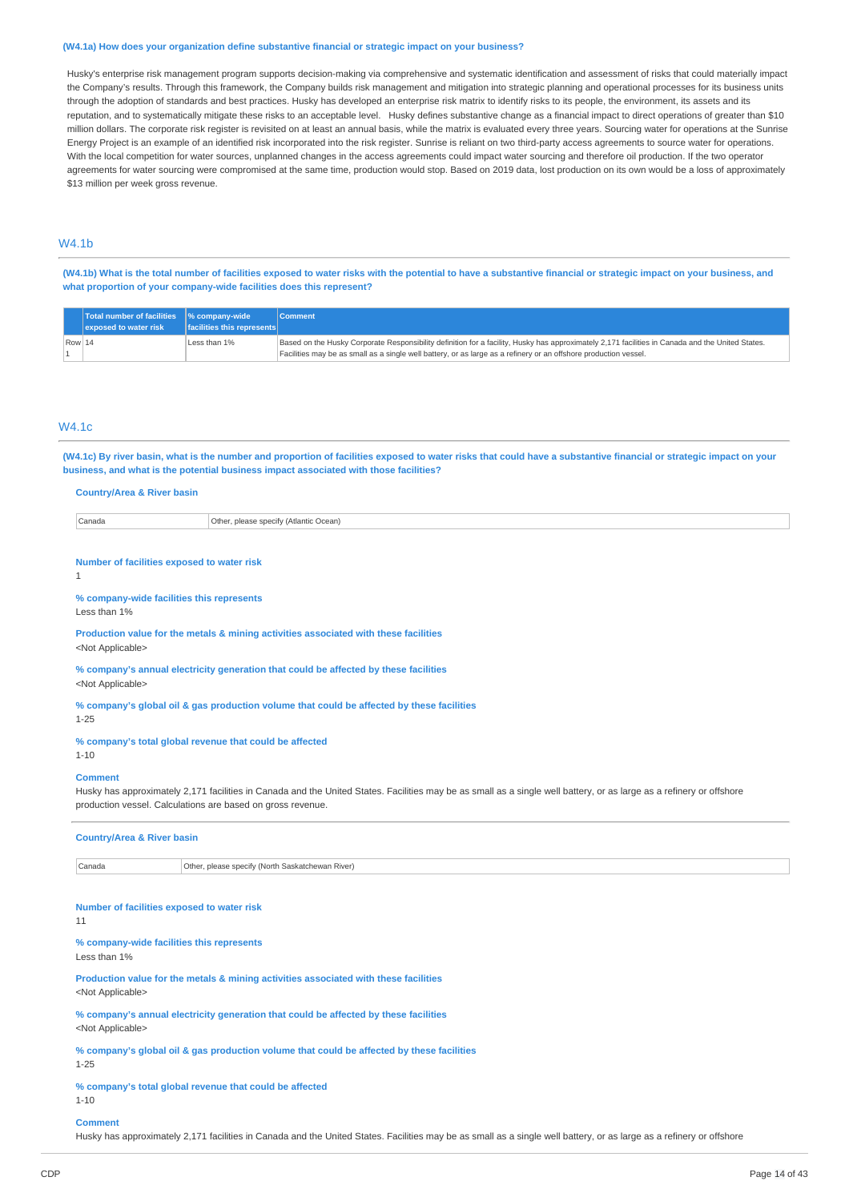#### **(W4.1a) How does your organization define substantive financial or strategic impact on your business?**

Husky's enterprise risk management program supports decision-making via comprehensive and systematic identification and assessment of risks that could materially impact the Company's results. Through this framework, the Company builds risk management and mitigation into strategic planning and operational processes for its business units through the adoption of standards and best practices. Husky has developed an enterprise risk matrix to identify risks to its people, the environment, its assets and its reputation, and to systematically mitigate these risks to an acceptable level. Husky defines substantive change as a financial impact to direct operations of greater than \$10 million dollars. The corporate risk register is revisited on at least an annual basis, while the matrix is evaluated every three years. Sourcing water for operations at the Sunrise Energy Project is an example of an identified risk incorporated into the risk register. Sunrise is reliant on two third-party access agreements to source water for operations. With the local competition for water sources, unplanned changes in the access agreements could impact water sourcing and therefore oil production. If the two operator agreements for water sourcing were compromised at the same time, production would stop. Based on 2019 data, lost production on its own would be a loss of approximately \$13 million per week gross revenue.

# W4.1b

(W4.1b) What is the total number of facilities exposed to water risks with the potential to have a substantive financial or strategic impact on your business, and **what proportion of your company-wide facilities does this represent?**

|                 | Total number of facilities 9% company-wide<br>exposed to water risk | <b>facilities this represents</b> | Comment                                                                                                                                                                                                                                                              |
|-----------------|---------------------------------------------------------------------|-----------------------------------|----------------------------------------------------------------------------------------------------------------------------------------------------------------------------------------------------------------------------------------------------------------------|
| $\sqrt{$ Row 14 |                                                                     | Less than 1%                      | Based on the Husky Corporate Responsibility definition for a facility, Husky has approximately 2,171 facilities in Canada and the United States.<br>Facilities may be as small as a single well battery, or as large as a refinery or an offshore production vessel. |

#### W4.1c

(W4.1c) By river basin, what is the number and proportion of facilities exposed to water risks that could have a substantive financial or strategic impact on your **business, and what is the potential business impact associated with those facilities?**

#### **Country/Area & River basin**

| Canada<br>-<br>' (Atlantic<br>Ocean)<br>nlease specify<br>1ther |  |
|-----------------------------------------------------------------|--|
|-----------------------------------------------------------------|--|

#### **Number of facilities exposed to water risk** 1

**% company-wide facilities this represents** Less than 1%

**Production value for the metals & mining activities associated with these facilities** <Not Applicable>

**% company's annual electricity generation that could be affected by these facilities** <Not Applicable>

**% company's global oil & gas production volume that could be affected by these facilities** 1-25

# **% company's total global revenue that could be affected**

1-10

### **Comment**

Husky has approximately 2,171 facilities in Canada and the United States. Facilities may be as small as a single well battery, or as large as a refinery or offshore production vessel. Calculations are based on gross revenue.

| <b>Country/Area &amp; River basin</b>                                                                             |                                                                                      |  |
|-------------------------------------------------------------------------------------------------------------------|--------------------------------------------------------------------------------------|--|
| Canada                                                                                                            | Other, please specify (North Saskatchewan River)                                     |  |
|                                                                                                                   |                                                                                      |  |
| Number of facilities exposed to water risk<br>11                                                                  |                                                                                      |  |
| % company-wide facilities this represents<br>Less than 1%                                                         |                                                                                      |  |
| <not applicable=""></not>                                                                                         | Production value for the metals & mining activities associated with these facilities |  |
| % company's annual electricity generation that could be affected by these facilities<br><not applicable=""></not> |                                                                                      |  |
| % company's global oil & gas production volume that could be affected by these facilities<br>$1 - 25$             |                                                                                      |  |
| % company's total global revenue that could be affected<br>$1 - 10$                                               |                                                                                      |  |

#### **Comment**

Husky has approximately 2,171 facilities in Canada and the United States. Facilities may be as small as a single well battery, or as large as a refinery or offshore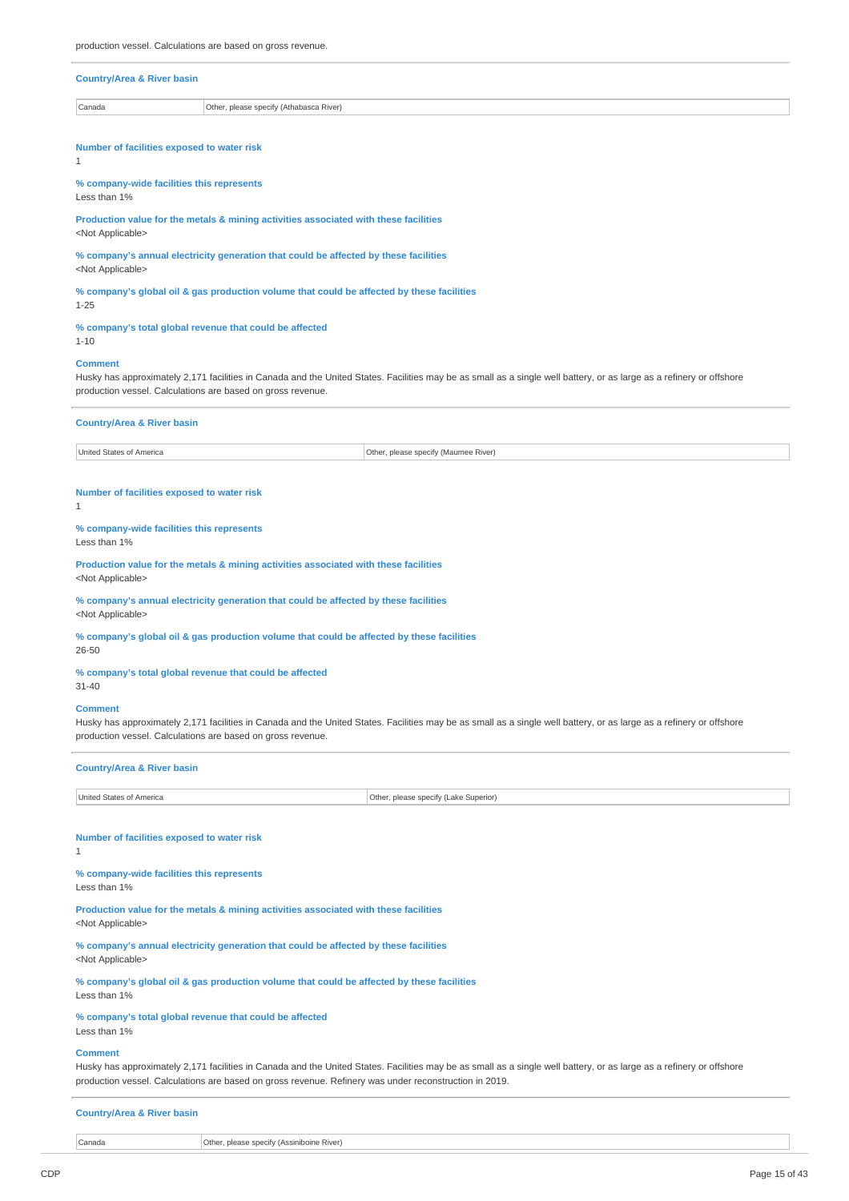#### **Country/Area & River basin**

Canada Other, please specify (Athabasca River)

# **Number of facilities exposed to water risk**

1

**% company-wide facilities this represents** Less than 1%

**Production value for the metals & mining activities associated with these facilities** <Not Applicable>

**% company's annual electricity generation that could be affected by these facilities** <Not Applicable>

**% company's global oil & gas production volume that could be affected by these facilities** 1-25

#### **% company's total global revenue that could be affected**

1-10

#### **Comment**

Husky has approximately 2,171 facilities in Canada and the United States. Facilities may be as small as a single well battery, or as large as a refinery or offshore production vessel. Calculations are based on gross revenue.

|  | <b>Country/Area &amp; River basin</b> |  |
|--|---------------------------------------|--|
|--|---------------------------------------|--|

United States of America **Other, please specify (Maumee River)** 

# **Number of facilities exposed to water risk**

1

**% company-wide facilities this represents**

Less than 1%

**Production value for the metals & mining activities associated with these facilities** <Not Applicable>

**% company's annual electricity generation that could be affected by these facilities** <Not Applicable>

**% company's global oil & gas production volume that could be affected by these facilities** 26-50

#### **% company's total global revenue that could be affected**

31-40

# **Comment**

Husky has approximately 2,171 facilities in Canada and the United States. Facilities may be as small as a single well battery, or as large as a refinery or offshore production vessel. Calculations are based on gross revenue.

| <b>Country/Area &amp; River basin</b>                                                |                                       |  |
|--------------------------------------------------------------------------------------|---------------------------------------|--|
| United States of America                                                             | Other, please specify (Lake Superior) |  |
| Number of facilities exposed to water risk<br>1                                      |                                       |  |
| % company-wide facilities this represents<br>Less than 1%                            |                                       |  |
| Production value for the metals & mining activities associated with these facilities |                                       |  |

<Not Applicable>

**% company's annual electricity generation that could be affected by these facilities** <Not Applicable>

**% company's global oil & gas production volume that could be affected by these facilities** Less than 1%

#### **% company's total global revenue that could be affected**

Less than 1%

#### **Comment**

Husky has approximately 2,171 facilities in Canada and the United States. Facilities may be as small as a single well battery, or as large as a refinery or offshore production vessel. Calculations are based on gross revenue. Refinery was under reconstruction in 2019.

#### **Country/Area & River basin**

| Canada | r. please specify (Assiniboine River).<br>Other. |
|--------|--------------------------------------------------|
|        |                                                  |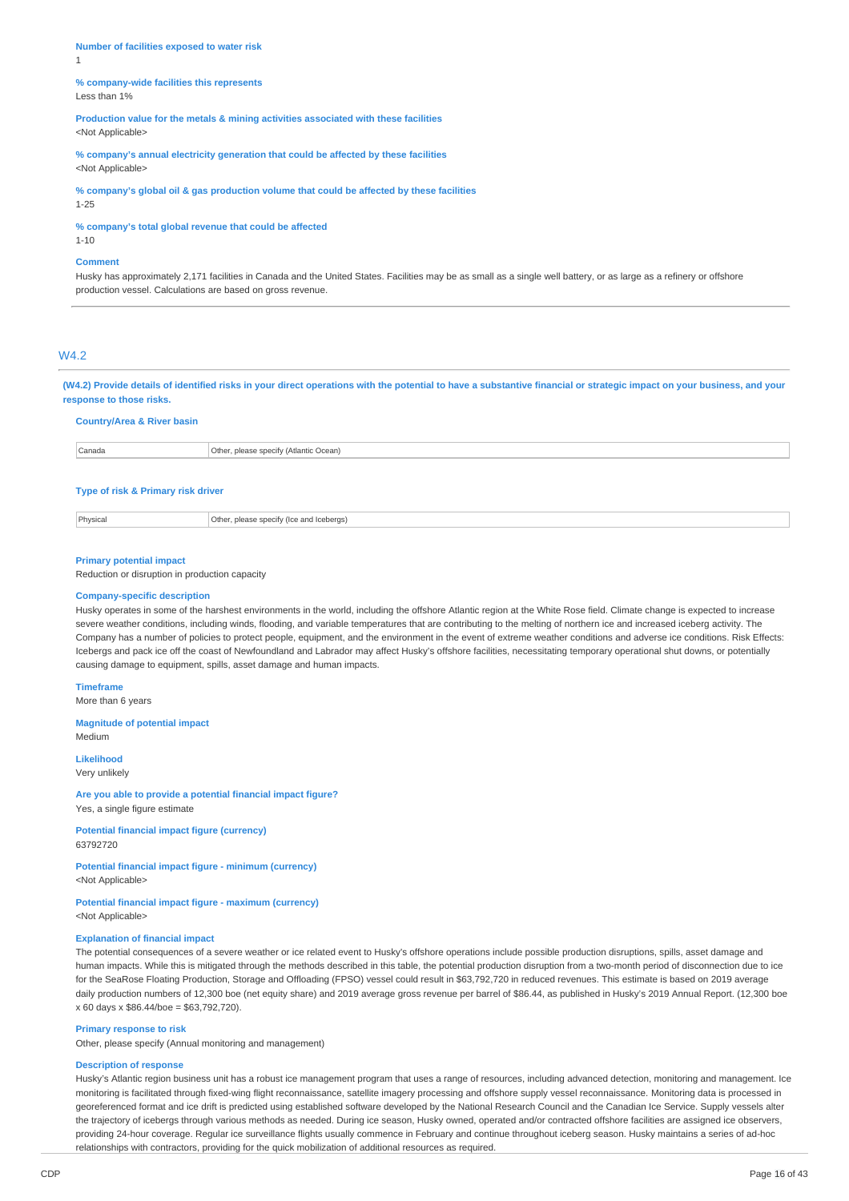**Number of facilities exposed to water risk** 1

#### **% company-wide facilities this represents** Less than 1%

**Production value for the metals & mining activities associated with these facilities** <Not Applicable>

**% company's annual electricity generation that could be affected by these facilities** <Not Applicable>

**% company's global oil & gas production volume that could be affected by these facilities** 1-25

**% company's total global revenue that could be affected**

1-10

#### **Comment**

Husky has approximately 2,171 facilities in Canada and the United States. Facilities may be as small as a single well battery, or as large as a refinery or offshore production vessel. Calculations are based on gross revenue.

# W4.2

(W4.2) Provide details of identified risks in your direct operations with the potential to have a substantive financial or strategic impact on your business, and your **response to those risks.**

### **Country/Area & River basin**

Canada Other, please specify (Atlantic Ocean)

#### **Type of risk & Primary risk driver**

Physical Other, please specify (Ice and Icebergs)

#### **Primary potential impact**

Reduction or disruption in production capacity

#### **Company-specific description**

Husky operates in some of the harshest environments in the world, including the offshore Atlantic region at the White Rose field. Climate change is expected to increase severe weather conditions, including winds, flooding, and variable temperatures that are contributing to the melting of northern ice and increased iceberg activity. The Company has a number of policies to protect people, equipment, and the environment in the event of extreme weather conditions and adverse ice conditions. Risk Effects: Icebergs and pack ice off the coast of Newfoundland and Labrador may affect Husky's offshore facilities, necessitating temporary operational shut downs, or potentially causing damage to equipment, spills, asset damage and human impacts.

#### **Timeframe**

More than 6 years

# **Magnitude of potential impact**

Medium

**Likelihood**

# Very unlikely

**Are you able to provide a potential financial impact figure?**

Yes, a single figure estimate

### **Potential financial impact figure (currency)** 63792720

#### **Potential financial impact figure - minimum (currency)** <Not Applicable>

# **Potential financial impact figure - maximum (currency)**

<Not Applicable>

#### **Explanation of financial impact**

The potential consequences of a severe weather or ice related event to Husky's offshore operations include possible production disruptions, spills, asset damage and human impacts. While this is mitigated through the methods described in this table, the potential production disruption from a two-month period of disconnection due to ice for the SeaRose Floating Production, Storage and Offloading (FPSO) vessel could result in \$63,792,720 in reduced revenues. This estimate is based on 2019 average daily production numbers of 12,300 boe (net equity share) and 2019 average gross revenue per barrel of \$86.44, as published in Husky's 2019 Annual Report. (12,300 boe x 60 days x \$86.44/boe = \$63,792,720).

#### **Primary response to risk**

Other, please specify (Annual monitoring and management)

#### **Description of response**

Husky's Atlantic region business unit has a robust ice management program that uses a range of resources, including advanced detection, monitoring and management. Ice monitoring is facilitated through fixed-wing flight reconnaissance, satellite imagery processing and offshore supply vessel reconnaissance. Monitoring data is processed in georeferenced format and ice drift is predicted using established software developed by the National Research Council and the Canadian Ice Service. Supply vessels alter the trajectory of icebergs through various methods as needed. During ice season, Husky owned, operated and/or contracted offshore facilities are assigned ice observers, providing 24-hour coverage. Regular ice surveillance flights usually commence in February and continue throughout iceberg season. Husky maintains a series of ad-hoc relationships with contractors, providing for the quick mobilization of additional resources as required.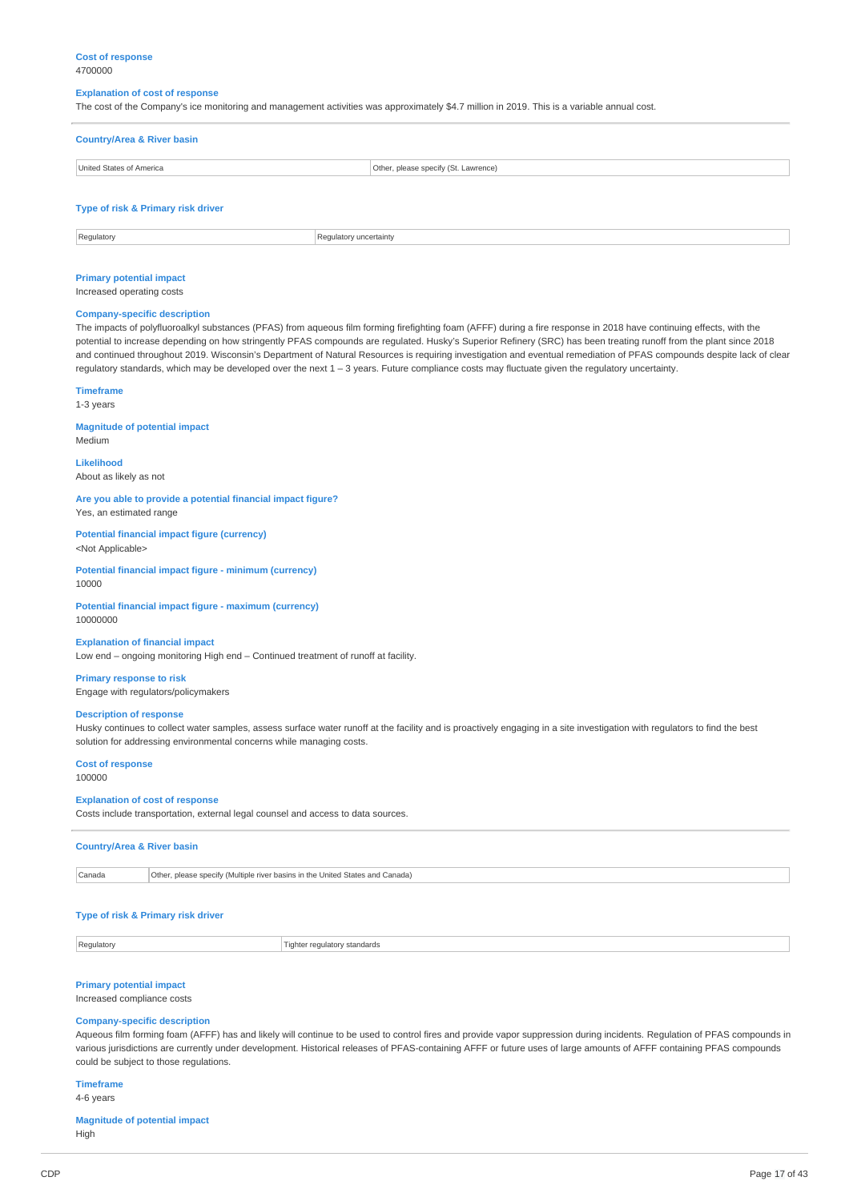#### **Explanation of cost of response**

The cost of the Company's ice monitoring and management activities was approximately \$4.7 million in 2019. This is a variable annual cost.

| <b>Country/Area &amp; River basin</b> |                                      |  |
|---------------------------------------|--------------------------------------|--|
| United States of America              | Other, please specify (St. Lawrence) |  |
|                                       |                                      |  |
| Type of risk & Primary risk driver    |                                      |  |

Regulatory Regulatory extensive properties of  $\sim$  Regulatory uncertainty

# **Primary potential impact**

#### Increased operating costs

#### **Company-specific description**

The impacts of polyfluoroalkyl substances (PFAS) from aqueous film forming firefighting foam (AFFF) during a fire response in 2018 have continuing effects, with the potential to increase depending on how stringently PFAS compounds are regulated. Husky's Superior Refinery (SRC) has been treating runoff from the plant since 2018 and continued throughout 2019. Wisconsin's Department of Natural Resources is requiring investigation and eventual remediation of PFAS compounds despite lack of clear regulatory standards, which may be developed over the next 1 – 3 years. Future compliance costs may fluctuate given the regulatory uncertainty.

#### **Timeframe**

1-3 years

Medium

# **Magnitude of potential impact**

**Likelihood**

About as likely as not

#### **Are you able to provide a potential financial impact figure?** Yes, an estimated range

**Potential financial impact figure (currency)** <Not Applicable>

#### **Potential financial impact figure - minimum (currency)** 10000

**Potential financial impact figure - maximum (currency)** 10000000

#### **Explanation of financial impact**

Low end – ongoing monitoring High end – Continued treatment of runoff at facility.

# **Primary response to risk**

Engage with regulators/policymakers

#### **Description of response**

Husky continues to collect water samples, assess surface water runoff at the facility and is proactively engaging in a site investigation with regulators to find the best solution for addressing environmental concerns while managing costs.

### **Cost of response**

100000

### **Explanation of cost of response**

Costs include transportation, external legal counsel and access to data sources.

# **Country/Area & River basin**

Canada **Other, please specify (Multiple river basins in the United States and Canada)** 

# **Type of risk & Primary risk driver**

Regulatory **Regulatory** Regulatory standards

# **Primary potential impact**

Increased compliance costs

#### **Company-specific description**

Aqueous film forming foam (AFFF) has and likely will continue to be used to control fires and provide vapor suppression during incidents. Regulation of PFAS compounds in various jurisdictions are currently under development. Historical releases of PFAS-containing AFFF or future uses of large amounts of AFFF containing PFAS compounds could be subject to those regulations.

# **Timeframe**

# 4-6 years

**Magnitude of potential impact** High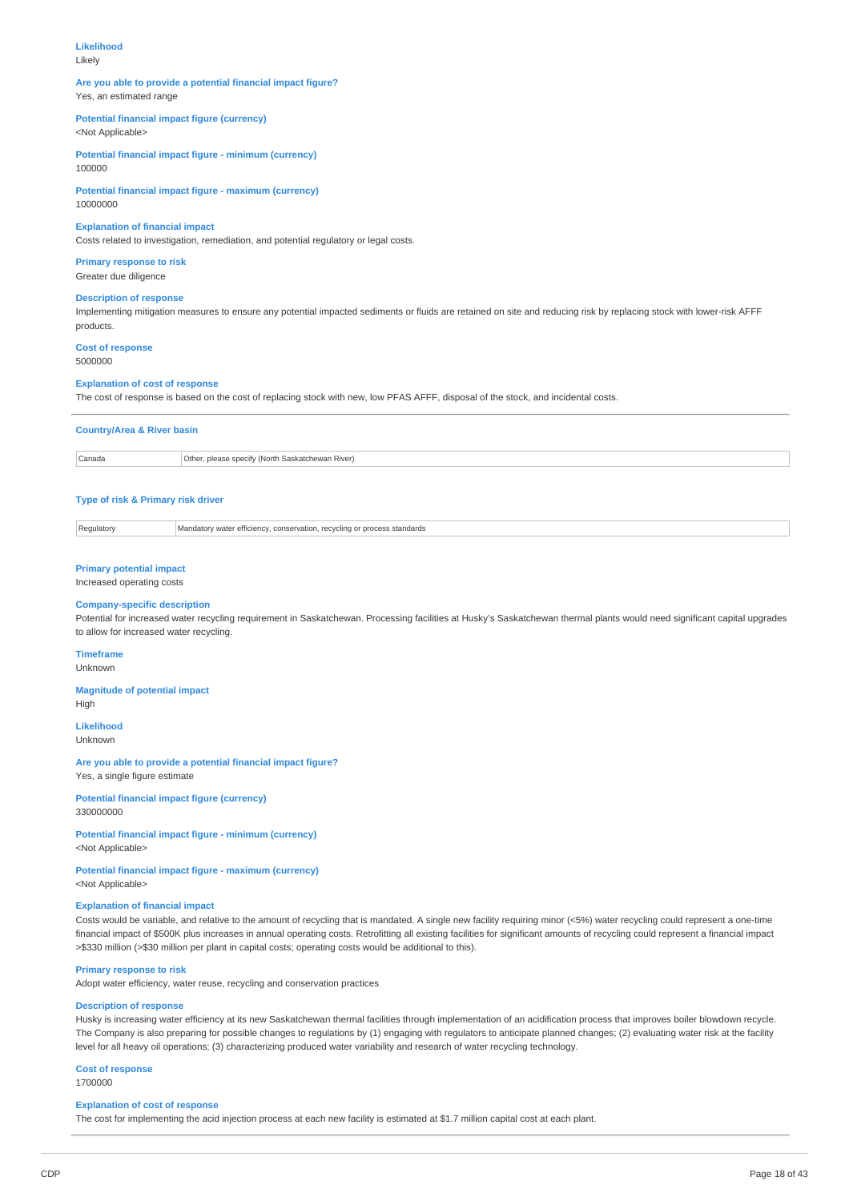### **Likelihood**

Likely

#### **Are you able to provide a potential financial impact figure?** Yes, an estimated range

# **Potential financial impact figure (currency)**

<Not Applicable>

**Potential financial impact figure - minimum (currency)** 100000

**Potential financial impact figure - maximum (currency)** 10000000

#### **Explanation of financial impact**

Costs related to investigation, remediation, and potential regulatory or legal costs.

**Primary response to risk** Greater due diligence

#### **Description of response**

Implementing mitigation measures to ensure any potential impacted sediments or fluids are retained on site and reducing risk by replacing stock with lower-risk AFFF products.

**Cost of response** 5000000

#### **Explanation of cost of response**

The cost of response is based on the cost of replacing stock with new, low PFAS AFFF, disposal of the stock, and incidental costs.

#### **Country/Area & River basin**

Canada Other, please specify (North Saskatchewan River)

#### **Type of risk & Primary risk driver**

Regulatory Mandatory water efficiency, conservation, recycling or process standards

#### **Primary potential impact**

Increased operating costs

#### **Company-specific description**

Potential for increased water recycling requirement in Saskatchewan. Processing facilities at Husky's Saskatchewan thermal plants would need significant capital upgrades to allow for increased water recycling.

# **Timeframe**

Unknown

## **Magnitude of potential impact**

High

# **Likelihood**

Unknown

# **Are you able to provide a potential financial impact figure?**

Yes, a single figure estimate

**Potential financial impact figure (currency)** 330000000

**Potential financial impact figure - minimum (currency)** <Not Applicable>

**Potential financial impact figure - maximum (currency)** <Not Applicable>

### **Explanation of financial impact**

Costs would be variable, and relative to the amount of recycling that is mandated. A single new facility requiring minor (<5%) water recycling could represent a one-time financial impact of \$500K plus increases in annual operating costs. Retrofitting all existing facilities for significant amounts of recycling could represent a financial impact >\$330 million (>\$30 million per plant in capital costs; operating costs would be additional to this).

#### **Primary response to risk**

Adopt water efficiency, water reuse, recycling and conservation practices

### **Description of response**

Husky is increasing water efficiency at its new Saskatchewan thermal facilities through implementation of an acidification process that improves boiler blowdown recycle. The Company is also preparing for possible changes to regulations by (1) engaging with regulators to anticipate planned changes; (2) evaluating water risk at the facility level for all heavy oil operations; (3) characterizing produced water variability and research of water recycling technology.

# **Cost of response**

1700000

#### **Explanation of cost of response**

The cost for implementing the acid injection process at each new facility is estimated at \$1.7 million capital cost at each plant.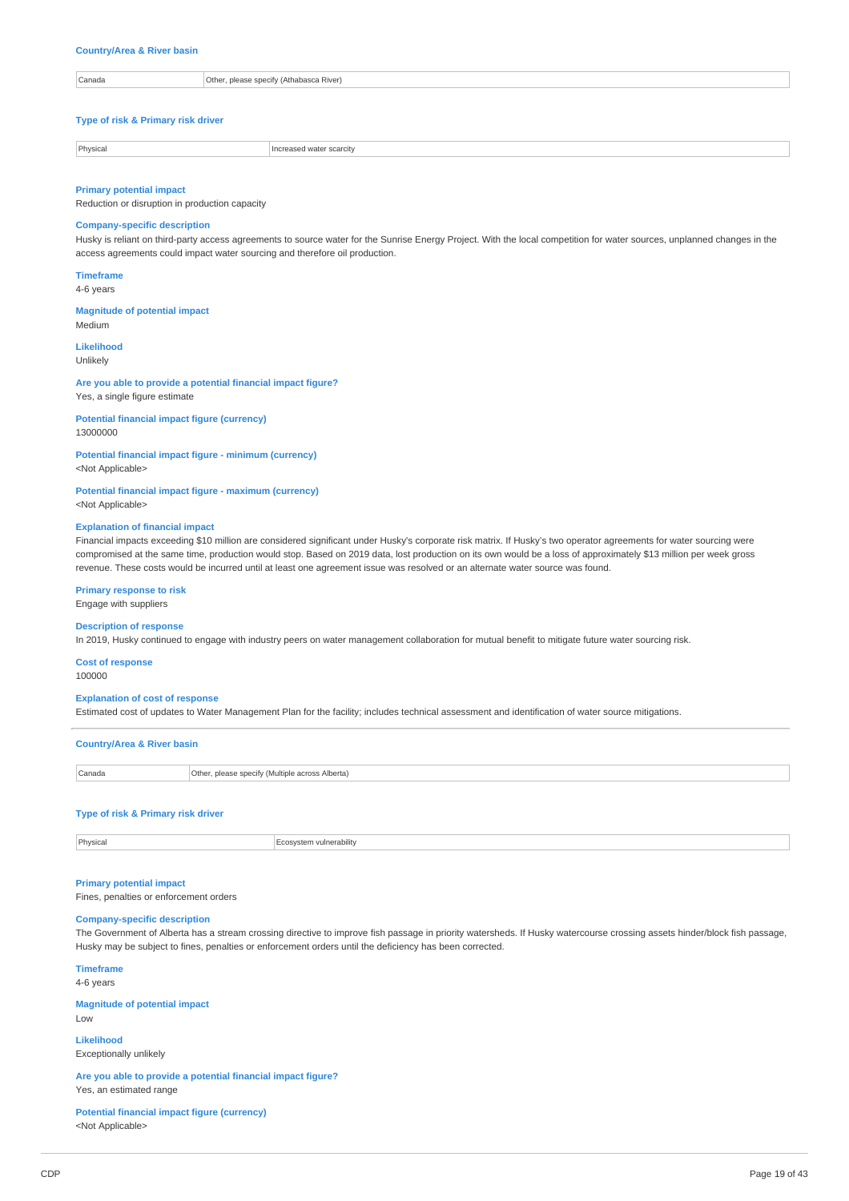#### **Country/Area & River basin**

Canada Other, please specify (Athabasca River)

#### **Type of risk & Primary risk driver**

Physical **Increased water scarcity** 

#### **Primary potential impact**

Reduction or disruption in production capacity

### **Company-specific description**

Husky is reliant on third-party access agreements to source water for the Sunrise Energy Project. With the local competition for water sources, unplanned changes in the access agreements could impact water sourcing and therefore oil production.

#### **Timeframe** 4-6 years

**Magnitude of potential impact** Medium

#### **Likelihood** Unlikely

**Are you able to provide a potential financial impact figure?** Yes, a single figure estimate

#### **Potential financial impact figure (currency)** 13000000

**Potential financial impact figure - minimum (currency)** <Not Applicable>

# **Potential financial impact figure - maximum (currency)**

<Not Applicable>

#### **Explanation of financial impact**

Financial impacts exceeding \$10 million are considered significant under Husky's corporate risk matrix. If Husky's two operator agreements for water sourcing were compromised at the same time, production would stop. Based on 2019 data, lost production on its own would be a loss of approximately \$13 million per week gross revenue. These costs would be incurred until at least one agreement issue was resolved or an alternate water source was found.

#### **Primary response to risk**

Engage with suppliers

### **Description of response**

In 2019, Husky continued to engage with industry peers on water management collaboration for mutual benefit to mitigate future water sourcing risk.

### **Cost of response**

100000

#### **Explanation of cost of response**

Estimated cost of updates to Water Management Plan for the facility; includes technical assessment and identification of water source mitigations.

| <b>Country/Area &amp; River basin</b> |                                                 |  |
|---------------------------------------|-------------------------------------------------|--|
| Canada                                | Other, please specify (Multiple across Alberta) |  |
|                                       |                                                 |  |

#### **Type of risk & Primary risk driver**

**Physical** Ecosystem vulnerability

#### **Primary potential impact**

Fines, penalties or enforcement orders

#### **Company-specific description**

The Government of Alberta has a stream crossing directive to improve fish passage in priority watersheds. If Husky watercourse crossing assets hinder/block fish passage, Husky may be subject to fines, penalties or enforcement orders until the deficiency has been corrected.

**Timeframe**

4-6 years

#### **Magnitude of potential impact** Low

**Likelihood** Exceptionally unlikely

**Are you able to provide a potential financial impact figure?** Yes, an estimated range

#### **Potential financial impact figure (currency)** <Not Applicable>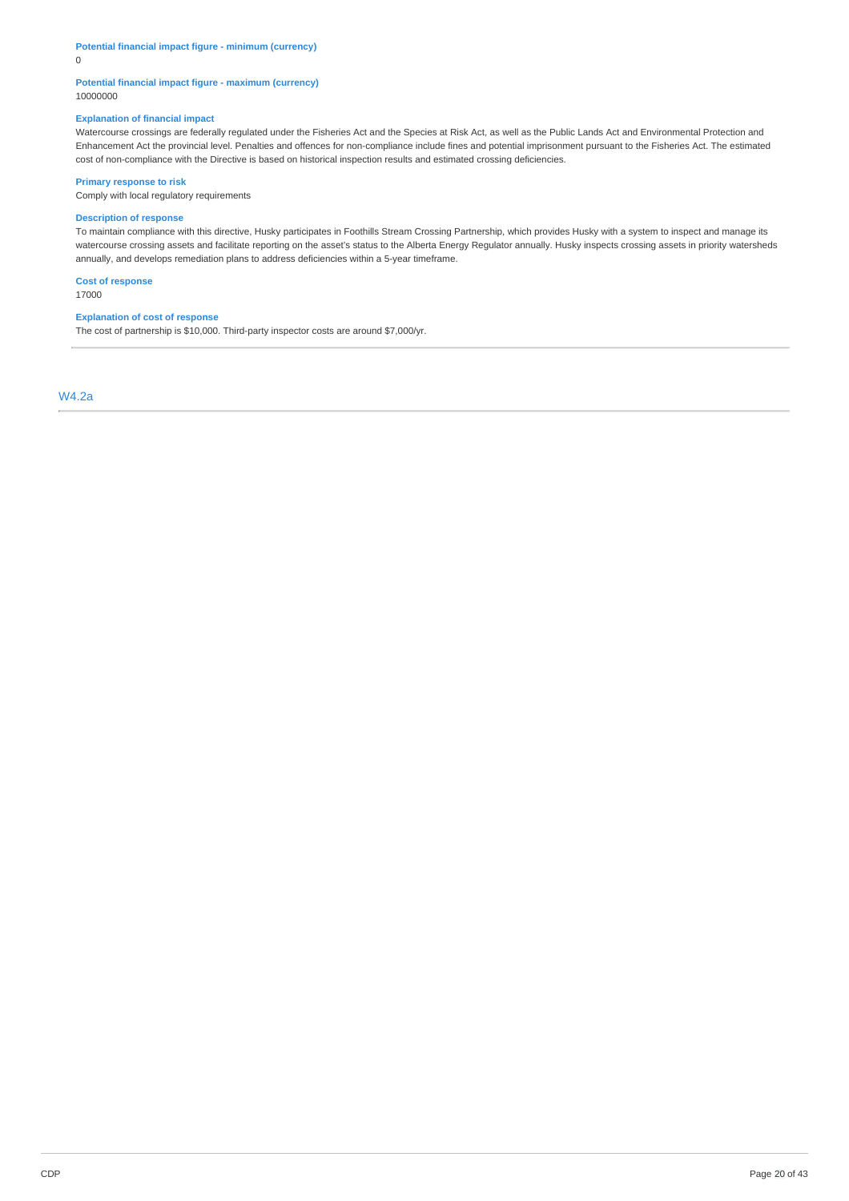### **Potential financial impact figure - minimum (currency)**

0

### **Potential financial impact figure - maximum (currency)** 10000000

#### **Explanation of financial impact**

Watercourse crossings are federally regulated under the Fisheries Act and the Species at Risk Act, as well as the Public Lands Act and Environmental Protection and Enhancement Act the provincial level. Penalties and offences for non-compliance include fines and potential imprisonment pursuant to the Fisheries Act. The estimated cost of non-compliance with the Directive is based on historical inspection results and estimated crossing deficiencies.

### **Primary response to risk**

Comply with local regulatory requirements

#### **Description of response**

To maintain compliance with this directive, Husky participates in Foothills Stream Crossing Partnership, which provides Husky with a system to inspect and manage its watercourse crossing assets and facilitate reporting on the asset's status to the Alberta Energy Regulator annually. Husky inspects crossing assets in priority watersheds annually, and develops remediation plans to address deficiencies within a 5-year timeframe.

**Cost of response** 17000

#### **Explanation of cost of response**

The cost of partnership is \$10,000. Third-party inspector costs are around \$7,000/yr.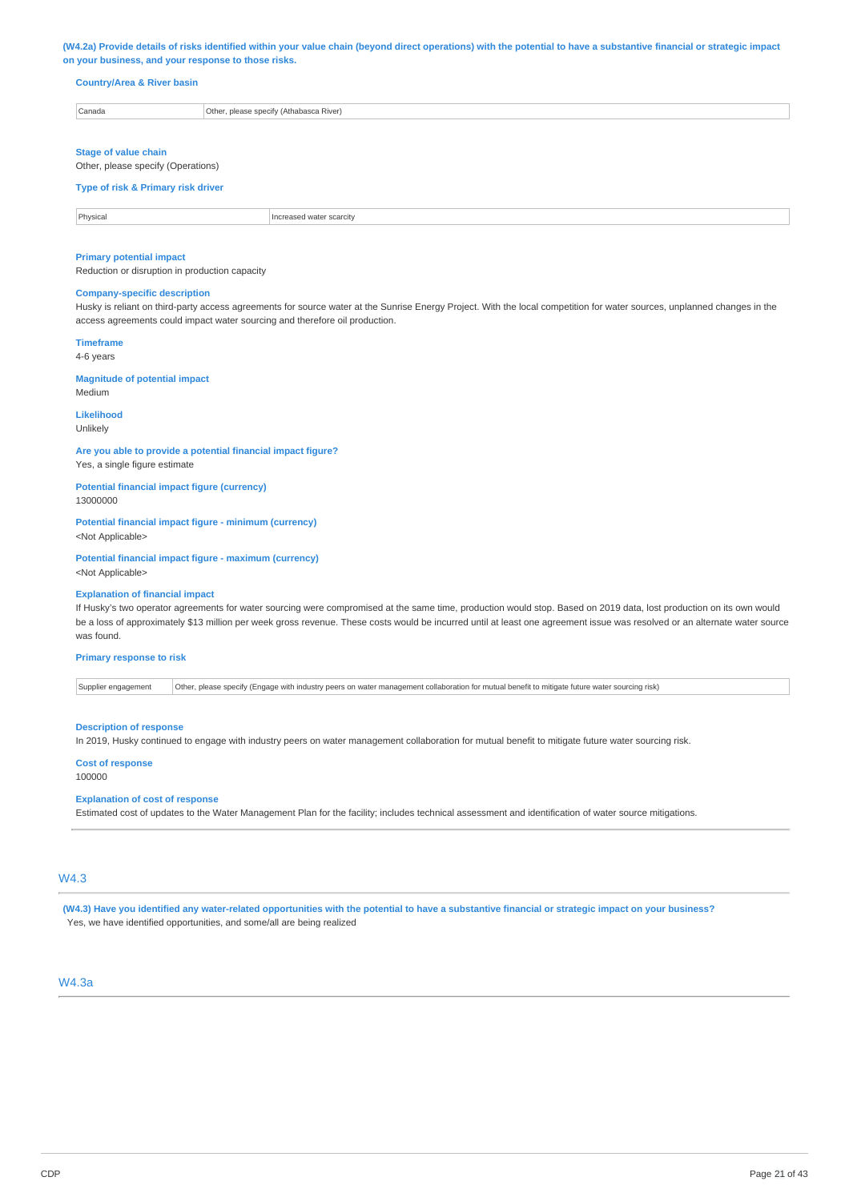#### (W4.2a) Provide details of risks identified within your value chain (beyond direct operations) with the potential to have a substantive financial or strategic impact **on your business, and your response to those risks.**

### **Country/Area & River basin**

| Canada | Othe<br>nlease snecify (Ath<br>าabasca River) |
|--------|-----------------------------------------------|
|        |                                               |

#### **Stage of value chain**

Other, please specify (Operations)

# **Type of risk & Primary risk driver**

**Physical** Increased water scarcity

#### **Primary potential impact**

Reduction or disruption in production capacity

#### **Company-specific description**

Husky is reliant on third-party access agreements for source water at the Sunrise Energy Project. With the local competition for water sources, unplanned changes in the access agreements could impact water sourcing and therefore oil production.

#### **Timeframe**

4-6 years

# **Magnitude of potential impact**

Medium

# **Likelihood**

Unlikely

#### **Are you able to provide a potential financial impact figure?** Yes, a single figure estimate

**Potential financial impact figure (currency)**

13000000

### **Potential financial impact figure - minimum (currency)** <Not Applicable>

**Potential financial impact figure - maximum (currency)** <Not Applicable>

# **Explanation of financial impact**

If Husky's two operator agreements for water sourcing were compromised at the same time, production would stop. Based on 2019 data, lost production on its own would be a loss of approximately \$13 million per week gross revenue. These costs would be incurred until at least one agreement issue was resolved or an alternate water source was found.

#### **Primary response to risk**

Supplier engagement | Other, please specify (Engage with industry peers on water management collaboration for mutual benefit to mitigate future water sourcing risk)

#### **Description of response**

In 2019, Husky continued to engage with industry peers on water management collaboration for mutual benefit to mitigate future water sourcing risk.

#### **Cost of response**

100000

#### **Explanation of cost of response**

Estimated cost of updates to the Water Management Plan for the facility; includes technical assessment and identification of water source mitigations.

# W4.3

(W4.3) Have you identified any water-related opportunities with the potential to have a substantive financial or strategic impact on your business? Yes, we have identified opportunities, and some/all are being realized

# $MA$  3a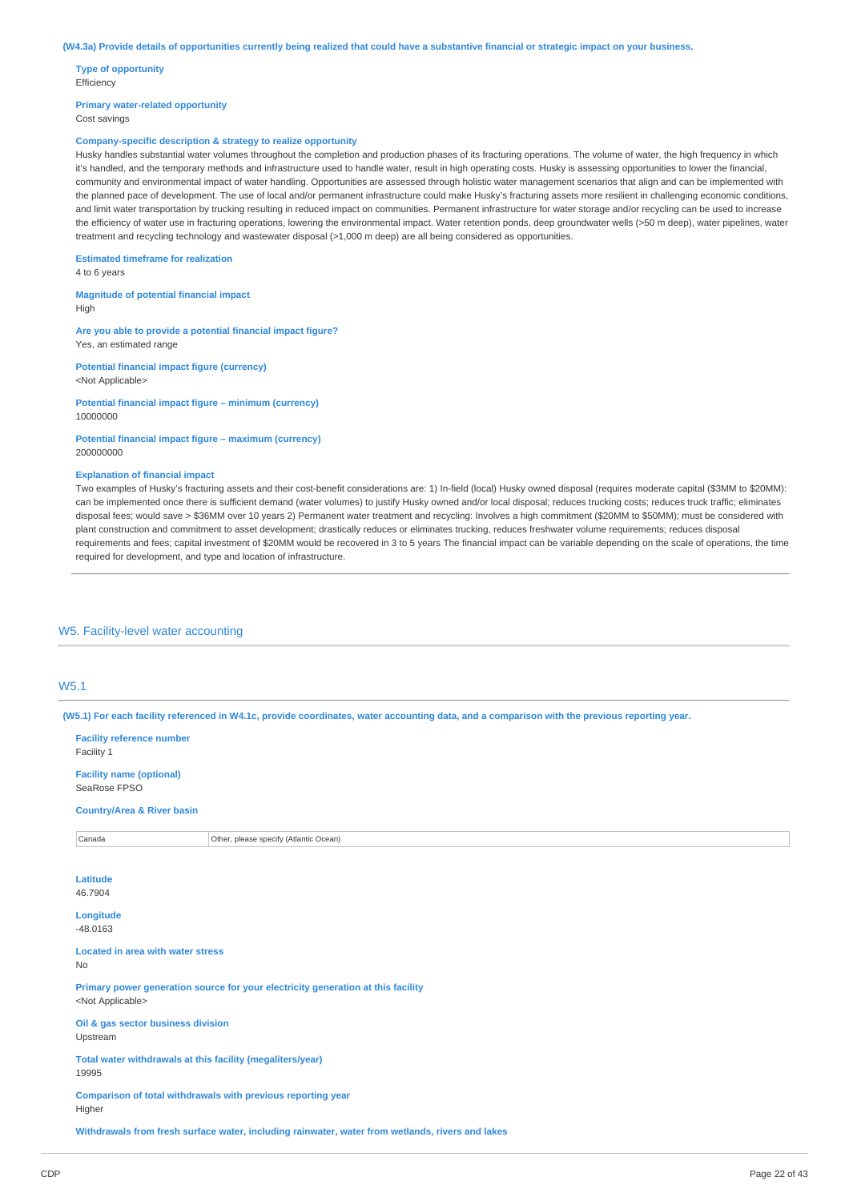#### (W4.3a) Provide details of opportunities currently being realized that could have a substantive financial or strategic impact on your business.

**Type of opportunity** Efficiency

**Primary water-related opportunity** Cost savings

#### **Company-specific description & strategy to realize opportunity**

Husky handles substantial water volumes throughout the completion and production phases of its fracturing operations. The volume of water, the high frequency in which it's handled, and the temporary methods and infrastructure used to handle water, result in high operating costs. Husky is assessing opportunities to lower the financial, community and environmental impact of water handling. Opportunities are assessed through holistic water management scenarios that align and can be implemented with the planned pace of development. The use of local and/or permanent infrastructure could make Husky's fracturing assets more resilient in challenging economic conditions, and limit water transportation by trucking resulting in reduced impact on communities. Permanent infrastructure for water storage and/or recycling can be used to increase the efficiency of water use in fracturing operations, lowering the environmental impact. Water retention ponds, deep groundwater wells (>50 m deep), water pipelines, water treatment and recycling technology and wastewater disposal (>1,000 m deep) are all being considered as opportunities.

**Estimated timeframe for realization**

4 to 6 years

**Magnitude of potential financial impact**

High

**Are you able to provide a potential financial impact figure?** Yes, an estimated range

**Potential financial impact figure (currency)** <Not Applicable>

**Potential financial impact figure – minimum (currency)** 10000000

**Potential financial impact figure – maximum (currency)** 200000000

#### **Explanation of financial impact**

Two examples of Husky's fracturing assets and their cost-benefit considerations are: 1) In-field (local) Husky owned disposal (requires moderate capital (\$3MM to \$20MM): can be implemented once there is sufficient demand (water volumes) to justify Husky owned and/or local disposal; reduces trucking costs; reduces truck traffic; eliminates disposal fees; would save > \$36MM over 10 years 2) Permanent water treatment and recycling: Involves a high commitment (\$20MM to \$50MM); must be considered with plant construction and commitment to asset development; drastically reduces or eliminates trucking, reduces freshwater volume requirements; reduces disposal requirements and fees; capital investment of \$20MM would be recovered in 3 to 5 years The financial impact can be variable depending on the scale of operations, the time required for development, and type and location of infrastructure.

### W5. Facility-level water accounting

# W5.1

(W5.1) For each facility referenced in W4.1c, provide coordinates, water accounting data, and a comparison with the previous reporting year.

**Facility reference number** Facility 1 **Facility name (optional)** SeaRose FPSO **Country/Area & River basin** Canada Other, please specify (Atlantic Ocean) **Latitude** 46.7904 **Longitude** -48.0163 **Located in area with water stress** No **Primary power generation source for your electricity generation at this facility** <Not Applicable> **Oil & gas sector business division** Upstream **Total water withdrawals at this facility (megaliters/year)** 19995 **Comparison of total withdrawals with previous reporting year Higher Withdrawals from fresh surface water, including rainwater, water from wetlands, rivers and lakes**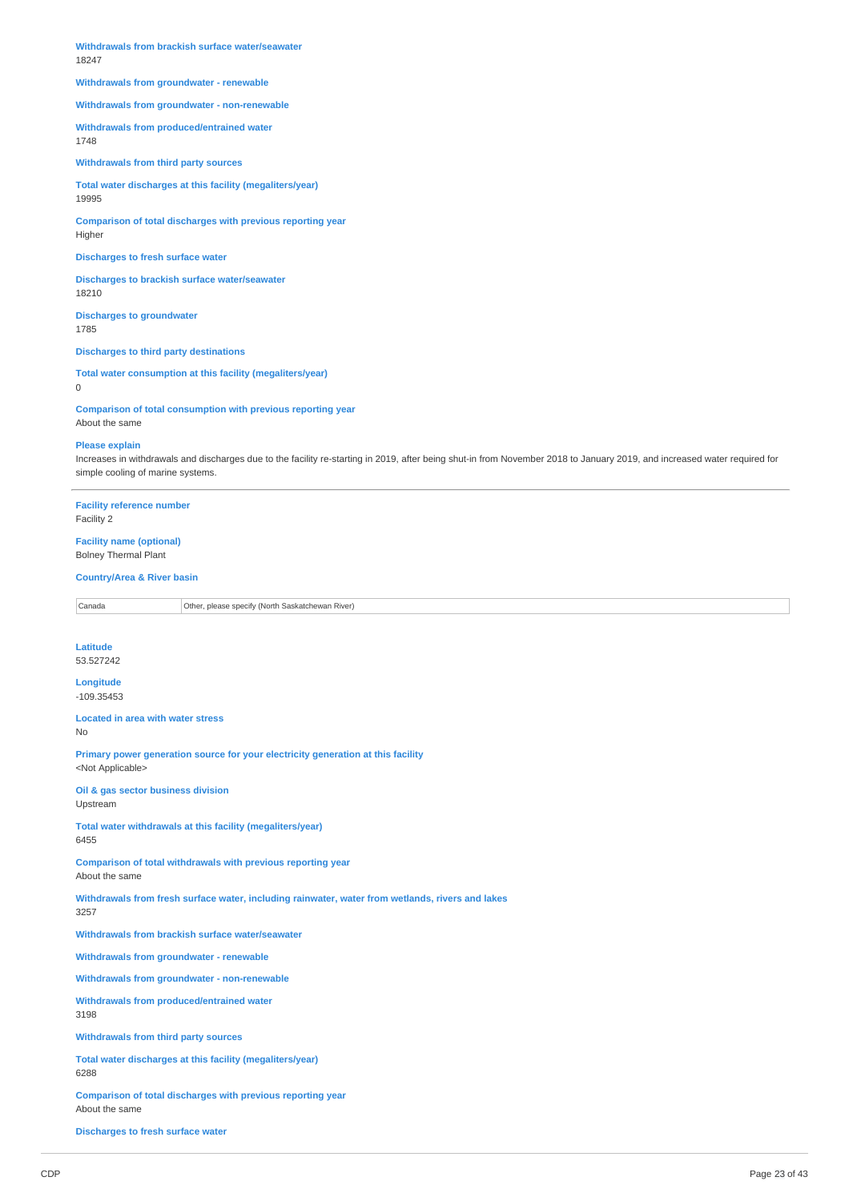**Withdrawals from brackish surface water/seawater** 18247

#### **Withdrawals from groundwater - renewable**

**Withdrawals from groundwater - non-renewable**

**Withdrawals from produced/entrained water** 1748

**Withdrawals from third party sources**

**Total water discharges at this facility (megaliters/year)** 19995

**Comparison of total discharges with previous reporting year** Higher

### **Discharges to fresh surface water**

**Discharges to brackish surface water/seawater** 18210

**Discharges to groundwater** 1785

**Discharges to third party destinations**

**Total water consumption at this facility (megaliters/year)**  $\Omega$ 

**Comparison of total consumption with previous reporting year** About the same

#### **Please explain**

Increases in withdrawals and discharges due to the facility re-starting in 2019, after being shut-in from November 2018 to January 2019, and increased water required for simple cooling of marine systems.

**Facility reference number** Facility 2

# **Facility name (optional)** Bolney Thermal Plant

#### **Country/Area & River basin**

Canada **Other, please specify (North Saskatchewan River)** 

# **Latitude**

53.527242

#### **Longitude** -109.35453

**Located in area with water stress** No

**Primary power generation source for your electricity generation at this facility** <Not Applicable>

**Oil & gas sector business division** Upstream

**Total water withdrawals at this facility (megaliters/year)** 6455

**Comparison of total withdrawals with previous reporting year** About the same

**Withdrawals from fresh surface water, including rainwater, water from wetlands, rivers and lakes** 3257

**Withdrawals from brackish surface water/seawater**

**Withdrawals from groundwater - renewable**

**Withdrawals from groundwater - non-renewable**

**Withdrawals from produced/entrained water** 3198

**Withdrawals from third party sources**

**Total water discharges at this facility (megaliters/year)** 6288

**Comparison of total discharges with previous reporting year** About the same

**Discharges to fresh surface water**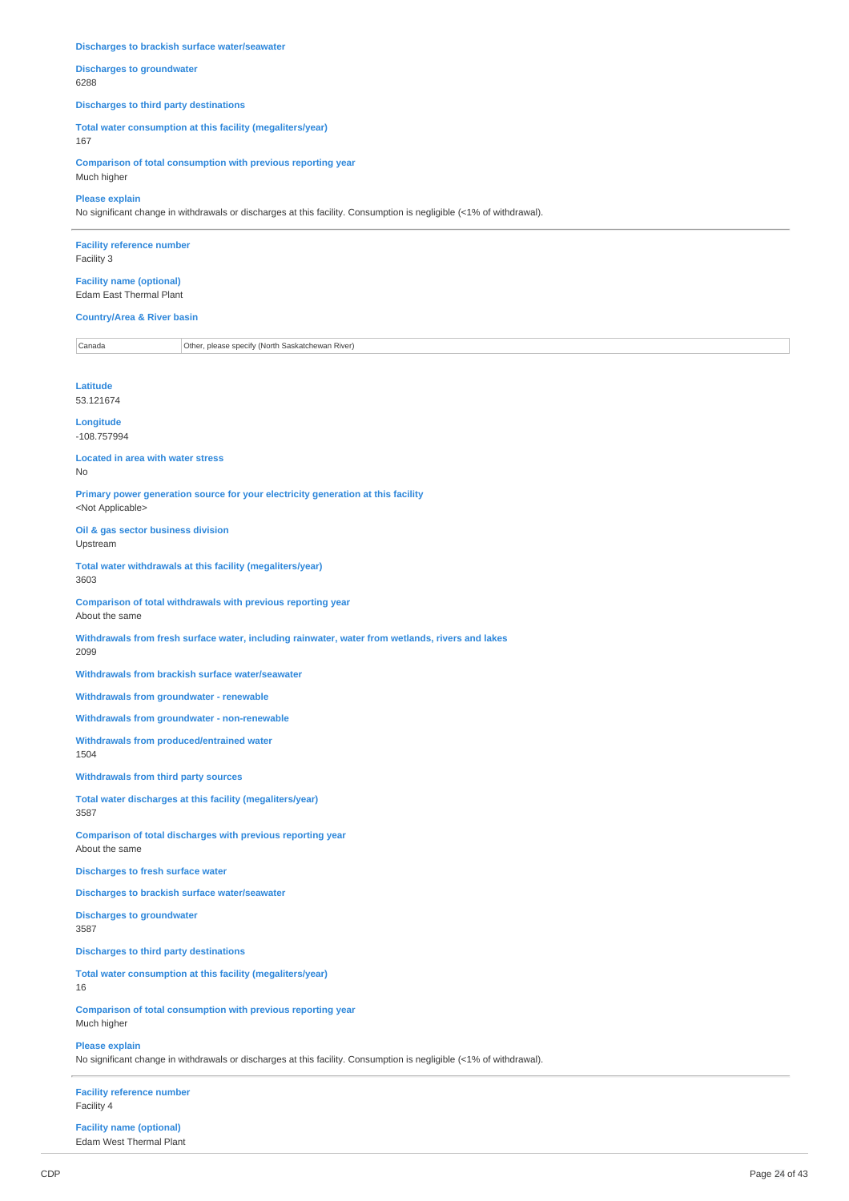#### **Discharges to brackish surface water/seawater**

**Discharges to groundwater** 6288

#### **Discharges to third party destinations**

**Total water consumption at this facility (megaliters/year)** 167

**Comparison of total consumption with previous reporting year** Much higher

### **Please explain**

No significant change in withdrawals or discharges at this facility. Consumption is negligible (<1% of withdrawal).

**Facility reference number** Facility 3

### **Facility name (optional)** Edam East Thermal Plant

**Country/Area & River basin**

Canada Other, please specify (North Saskatchewan River)

**Latitude** 53.121674

**Longitude** -108.757994

**Located in area with water stress** No

**Primary power generation source for your electricity generation at this facility** <Not Applicable>

**Oil & gas sector business division** Upstream

**Total water withdrawals at this facility (megaliters/year)** 3603

**Comparison of total withdrawals with previous reporting year** About the same

**Withdrawals from fresh surface water, including rainwater, water from wetlands, rivers and lakes** 2099

**Withdrawals from brackish surface water/seawater**

**Withdrawals from groundwater - renewable**

**Withdrawals from groundwater - non-renewable**

**Withdrawals from produced/entrained water** 1504

**Withdrawals from third party sources**

**Total water discharges at this facility (megaliters/year)** 3587

**Comparison of total discharges with previous reporting year** About the same

**Discharges to fresh surface water**

**Discharges to brackish surface water/seawater**

**Discharges to groundwater** 3587

**Discharges to third party destinations**

**Total water consumption at this facility (megaliters/year)** 16

**Comparison of total consumption with previous reporting year** Much higher

**Please explain** No significant change in withdrawals or discharges at this facility. Consumption is negligible (<1% of withdrawal).

**Facility reference number** Facility 4

**Facility name (optional)** Edam West Thermal Plant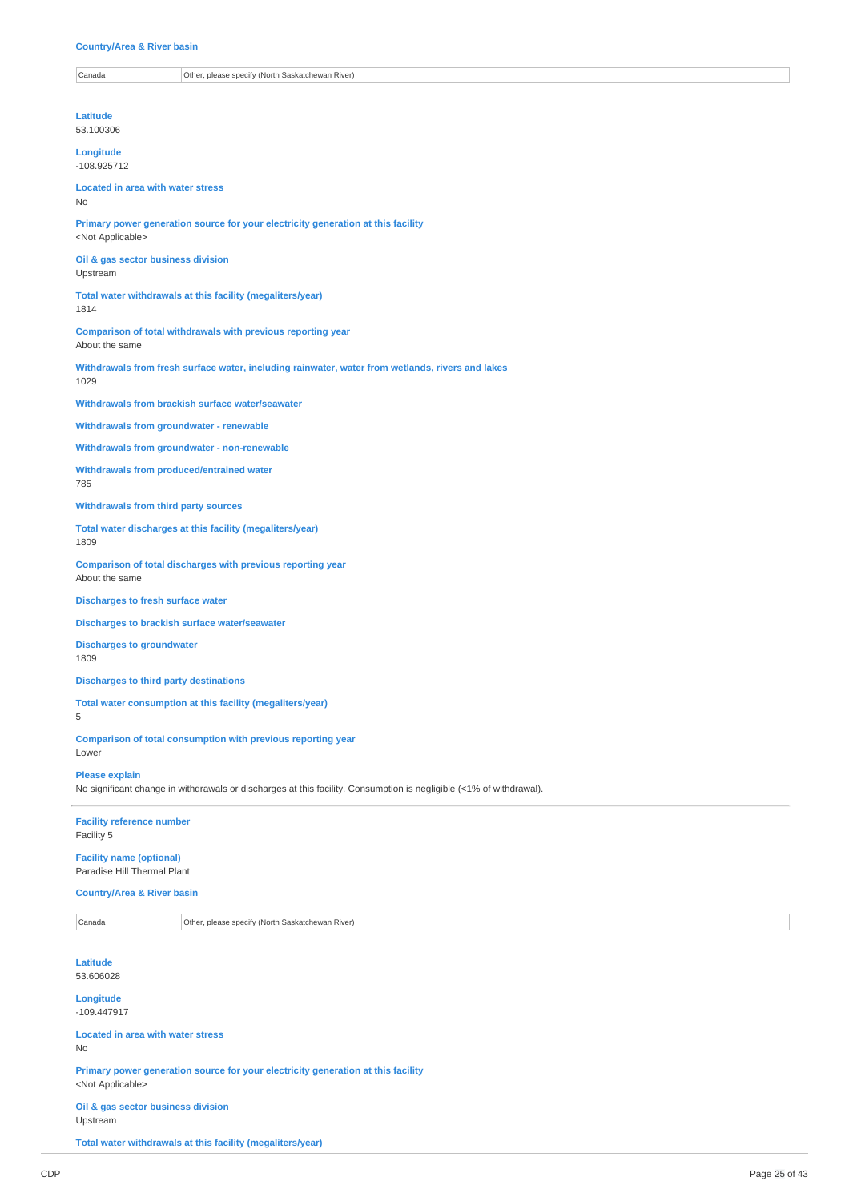#### **Country/Area & River basin**

Other, please specify (North Saskatchewan River)

**Latitude** 53.100306

**Longitude** -108.925712

# **Located in area with water stress**

**Primary power generation source for your electricity generation at this facility** <Not Applicable>

**Oil & gas sector business division** Upstream

**Total water withdrawals at this facility (megaliters/year)**

1814

No

**Comparison of total withdrawals with previous reporting year** About the same

**Withdrawals from fresh surface water, including rainwater, water from wetlands, rivers and lakes** 1029

**Withdrawals from brackish surface water/seawater**

**Withdrawals from groundwater - renewable**

**Withdrawals from groundwater - non-renewable**

**Withdrawals from produced/entrained water**

785

#### **Withdrawals from third party sources**

**Total water discharges at this facility (megaliters/year)** 1809

**Comparison of total discharges with previous reporting year** About the same

**Discharges to fresh surface water**

**Discharges to brackish surface water/seawater**

**Discharges to groundwater**

1809

**Discharges to third party destinations**

**Total water consumption at this facility (megaliters/year)**

5

Lower

**Comparison of total consumption with previous reporting year**

**Please explain**

No significant change in withdrawals or discharges at this facility. Consumption is negligible (<1% of withdrawal).

**Facility reference number** Facility 5

**Facility name (optional)** Paradise Hill Thermal Plant

**Country/Area & River basin**

Canada Other, please specify (North Saskatchewan River)

**Latitude** 53.606028

**Longitude** -109.447917

**Located in area with water stress** No

**Primary power generation source for your electricity generation at this facility** <Not Applicable>

**Oil & gas sector business division**

Upstream

**Total water withdrawals at this facility (megaliters/year)**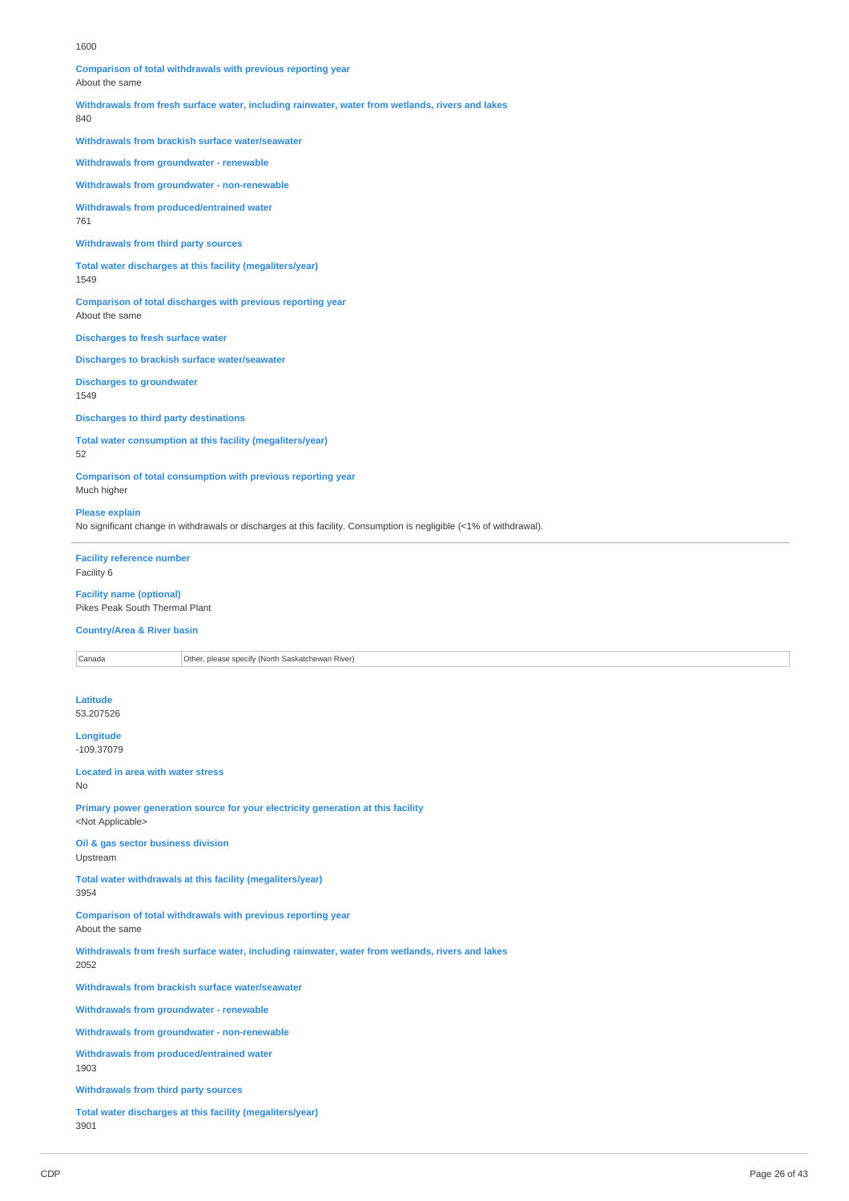#### 1600

**Comparison of total withdrawals with previous reporting year** About the same

**Withdrawals from fresh surface water, including rainwater, water from wetlands, rivers and lakes**

840

**Withdrawals from brackish surface water/seawater**

**Withdrawals from groundwater - renewable**

**Withdrawals from groundwater - non-renewable**

**Withdrawals from produced/entrained water** 761

#### **Withdrawals from third party sources**

**Total water discharges at this facility (megaliters/year)** 1549

**Comparison of total discharges with previous reporting year** About the same

**Discharges to fresh surface water**

**Discharges to brackish surface water/seawater**

**Discharges to groundwater** 1549

**Discharges to third party destinations**

**Total water consumption at this facility (megaliters/year)** 52

**Comparison of total consumption with previous reporting year** Much higher

#### **Please explain**

No significant change in withdrawals or discharges at this facility. Consumption is negligible (<1% of withdrawal).

**Facility reference number** Facility 6

**Facility name (optional)** Pikes Peak South Thermal Plant

**Country/Area & River basin**

Canada **Other, please specify (North Saskatchewan River)** 

**Latitude** 53.207526

**Longitude** -109.37079

**Located in area with water stress**

No

**Primary power generation source for your electricity generation at this facility** <Not Applicable>

**Oil & gas sector business division** Upstream

**Total water withdrawals at this facility (megaliters/year)** 3954

**Comparison of total withdrawals with previous reporting year** About the same

**Withdrawals from fresh surface water, including rainwater, water from wetlands, rivers and lakes** 2052

**Withdrawals from brackish surface water/seawater**

**Withdrawals from groundwater - renewable**

**Withdrawals from groundwater - non-renewable**

**Withdrawals from produced/entrained water** 1903

**Withdrawals from third party sources**

**Total water discharges at this facility (megaliters/year)** 3901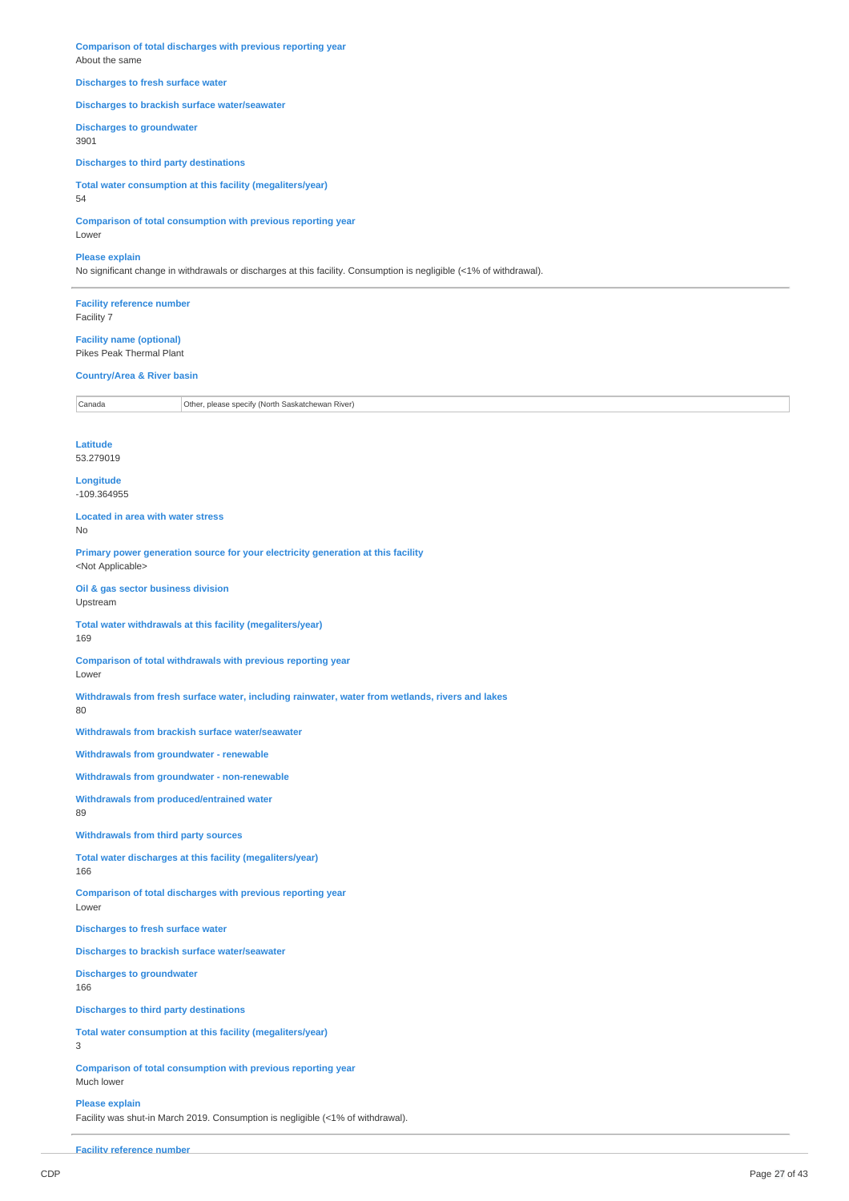**Comparison of total discharges with previous reporting year** About the same

### **Discharges to fresh surface water**

### **Discharges to brackish surface water/seawater**

**Discharges to groundwater**

3901

**Discharges to third party destinations**

**Total water consumption at this facility (megaliters/year)** 54

**Comparison of total consumption with previous reporting year** Lower

#### **Please explain**

No significant change in withdrawals or discharges at this facility. Consumption is negligible (<1% of withdrawal).

**Facility reference number** Facility 7

**Facility name (optional)** Pikes Peak Thermal Plant

# **Country/Area & River basin**

Canada Other, please specify (North Saskatchewan River)

#### **Latitude** 53.279019

**Longitude** -109.364955

**Located in area with water stress** No

**Primary power generation source for your electricity generation at this facility** <Not Applicable>

**Oil & gas sector business division** Upstream

**Total water withdrawals at this facility (megaliters/year)** 169

**Comparison of total withdrawals with previous reporting year** Lower

**Withdrawals from fresh surface water, including rainwater, water from wetlands, rivers and lakes**

80

**Withdrawals from brackish surface water/seawater**

**Withdrawals from groundwater - renewable**

**Withdrawals from groundwater - non-renewable**

**Withdrawals from produced/entrained water** 89

**Withdrawals from third party sources**

**Total water discharges at this facility (megaliters/year)** 166

**Comparison of total discharges with previous reporting year** Lower

**Discharges to fresh surface water**

**Discharges to brackish surface water/seawater**

**Discharges to groundwater** 166

**Discharges to third party destinations**

**Total water consumption at this facility (megaliters/year)**

3

**Comparison of total consumption with previous reporting year** Much lower

**Please explain**

Facility was shut-in March 2019. Consumption is negligible (<1% of withdrawal).

**Facility reference number**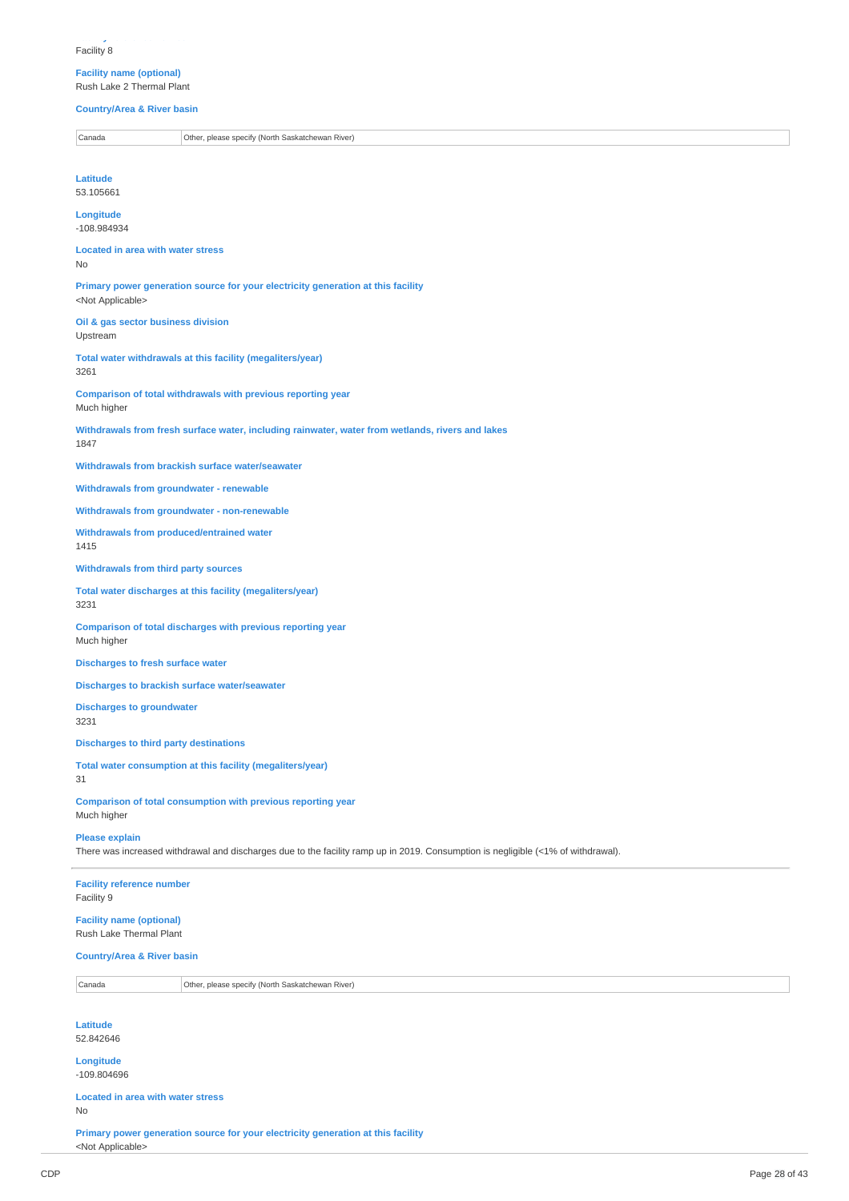**Facility reference number** Facility 8

### **Facility name (optional)** Rush Lake 2 Thermal Plant

**Country/Area & River basin**

Canada **Other, please specify (North Saskatchewan River) Latitude** 53.105661 **Longitude** -108.984934 **Located in area with water stress** No **Primary power generation source for your electricity generation at this facility** <Not Applicable> **Oil & gas sector business division** Upstream **Total water withdrawals at this facility (megaliters/year)** 3261 **Comparison of total withdrawals with previous reporting year** Much higher **Withdrawals from fresh surface water, including rainwater, water from wetlands, rivers and lakes** 1847 **Withdrawals from brackish surface water/seawater Withdrawals from groundwater - renewable Withdrawals from groundwater - non-renewable Withdrawals from produced/entrained water** 1415 **Withdrawals from third party sources Total water discharges at this facility (megaliters/year)** 3231 **Comparison of total discharges with previous reporting year** Much higher **Discharges to fresh surface water Discharges to brackish surface water/seawater Discharges to groundwater** 3231 **Discharges to third party destinations Total water consumption at this facility (megaliters/year)** 31 **Comparison of total consumption with previous reporting year** Much higher **Please explain** There was increased withdrawal and discharges due to the facility ramp up in 2019. Consumption is negligible (<1% of withdrawal). **Facility reference number** Facility 9 **Facility name (optional)** Rush Lake Thermal Plant **Country/Area & River basin** Canada Other, please specify (North Saskatchewan River) **Latitude** 52.842646 **Longitude** -109.804696 **Located in area with water stress** No

**Primary power generation source for your electricity generation at this facility** <Not Applicable>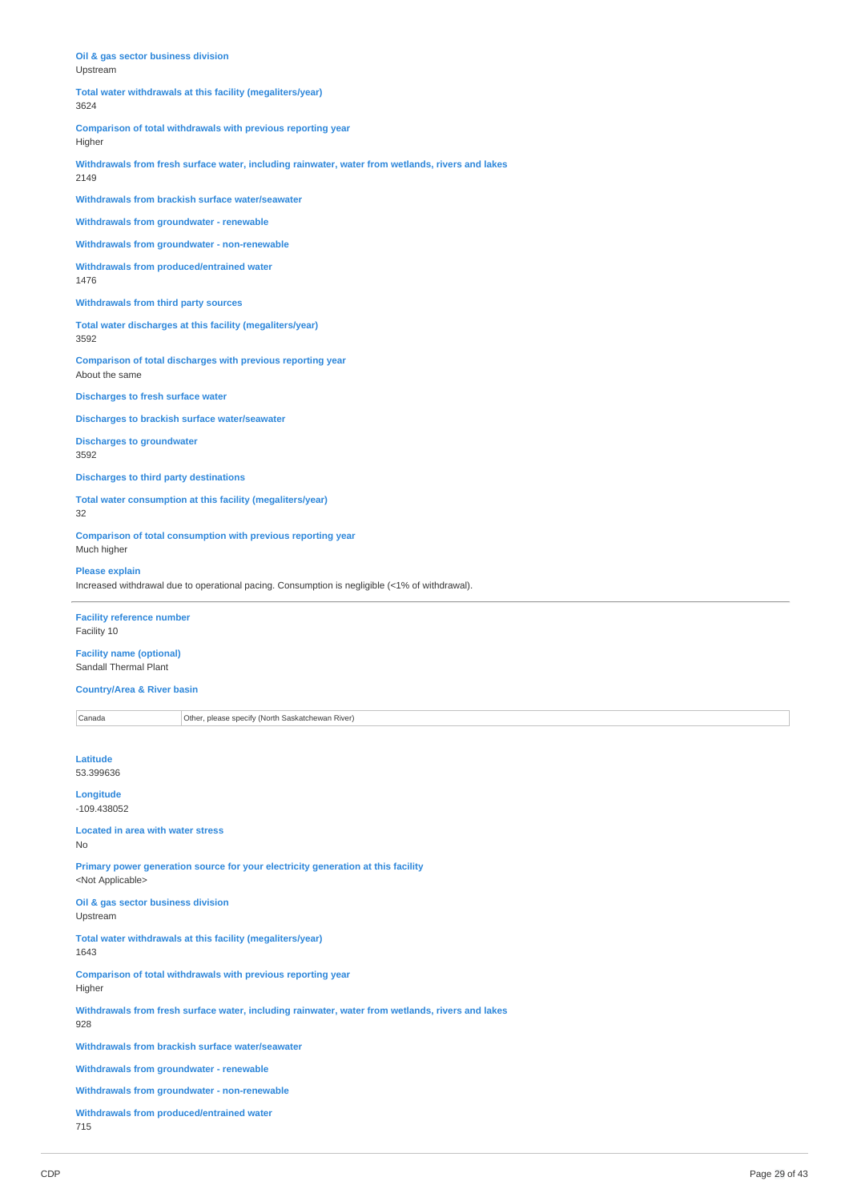| Oil & gas sector business division<br>Upstream                                                           |
|----------------------------------------------------------------------------------------------------------|
| Total water withdrawals at this facility (megaliters/year)<br>3624                                       |
| Comparison of total withdrawals with previous reporting year<br>Higher                                   |
| Withdrawals from fresh surface water, including rainwater, water from wetlands, rivers and lakes<br>2149 |
| Withdrawals from brackish surface water/seawater                                                         |
| <b>Withdrawals from groundwater - renewable</b>                                                          |
| Withdrawals from groundwater - non-renewable                                                             |
| Withdrawals from produced/entrained water<br>1476                                                        |
| <b>Withdrawals from third party sources</b>                                                              |
| Total water discharges at this facility (megaliters/year)<br>3592                                        |
| Comparison of total discharges with previous reporting year<br>About the same                            |
| <b>Discharges to fresh surface water</b>                                                                 |

**Discharges to brackish surface water/seawater**

**Discharges to groundwater**

3592

**Discharges to third party destinations**

**Total water consumption at this facility (megaliters/year)** 32

**Comparison of total consumption with previous reporting year** Much higher

**Please explain** Increased withdrawal due to operational pacing. Consumption is negligible (<1% of withdrawal).

**Facility reference number** Facility 10

**Facility name (optional)** Sandall Thermal Plant

**Country/Area & River basin**

Canada **Other, please specify (North Saskatchewan River)** 

**Latitude** 53.399636

**Longitude**

-109.438052

**Located in area with water stress** No

**Primary power generation source for your electricity generation at this facility** <Not Applicable>

**Oil & gas sector business division** Upstream

**Total water withdrawals at this facility (megaliters/year)** 1643

**Comparison of total withdrawals with previous reporting year** Higher

**Withdrawals from fresh surface water, including rainwater, water from wetlands, rivers and lakes** 928

**Withdrawals from brackish surface water/seawater**

**Withdrawals from groundwater - renewable**

**Withdrawals from groundwater - non-renewable**

**Withdrawals from produced/entrained water** 715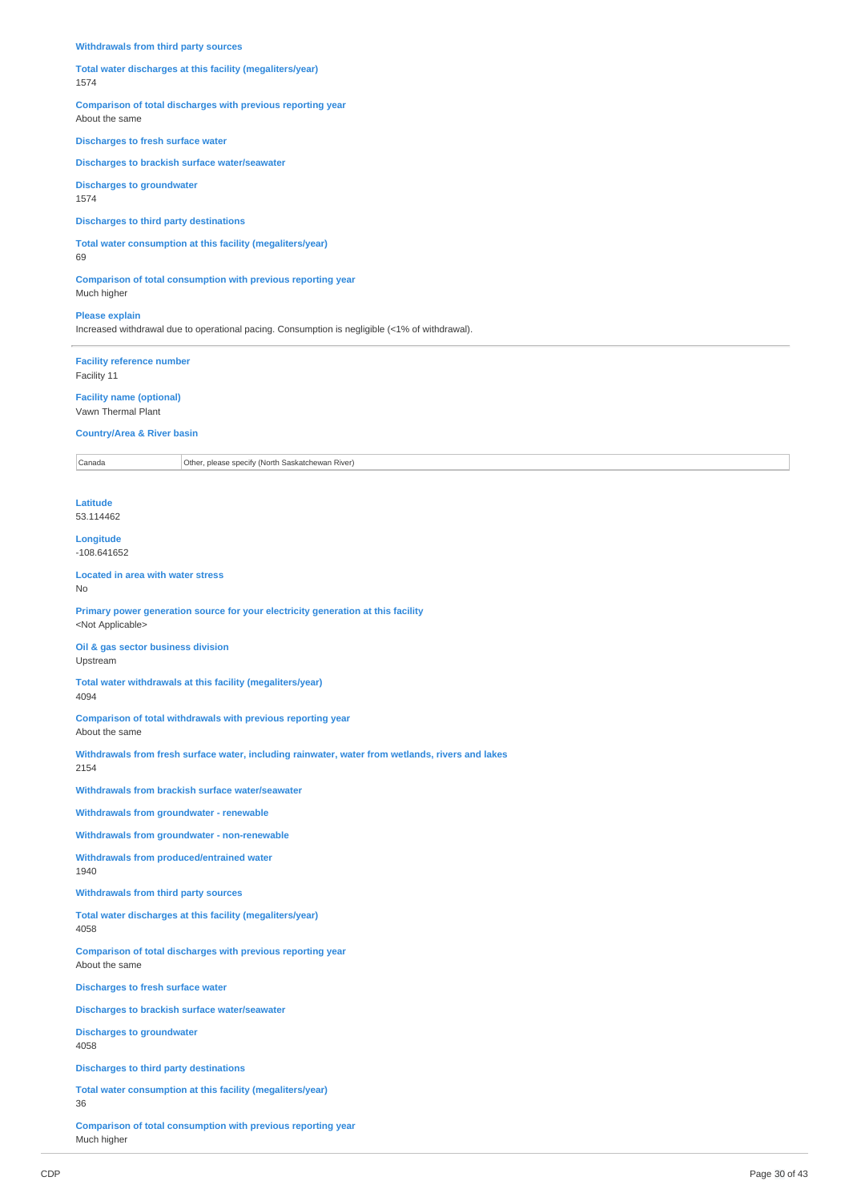#### **Withdrawals from third party sources**

#### **Total water discharges at this facility (megaliters/year)** 1574

**Comparison of total discharges with previous reporting year**

About the same

### **Discharges to fresh surface water**

**Discharges to brackish surface water/seawater**

**Discharges to groundwater** 1574

#### **Discharges to third party destinations**

**Total water consumption at this facility (megaliters/year)**

69

**Comparison of total consumption with previous reporting year** Much higher

**Please explain**

Increased withdrawal due to operational pacing. Consumption is negligible (<1% of withdrawal).

**Facility reference number** Facility 11

**Facility name (optional)** Vawn Thermal Plant

#### **Country/Area & River basin**

Canada Other, please specify (North Saskatchewan River)

**Latitude** 53.114462

**Longitude**

-108.641652

**Located in area with water stress** No

**Primary power generation source for your electricity generation at this facility** <Not Applicable>

**Oil & gas sector business division** Upstream

**Total water withdrawals at this facility (megaliters/year)** 4094

**Comparison of total withdrawals with previous reporting year** About the same

**Withdrawals from fresh surface water, including rainwater, water from wetlands, rivers and lakes** 2154

**Withdrawals from brackish surface water/seawater**

**Withdrawals from groundwater - renewable**

**Withdrawals from groundwater - non-renewable**

**Withdrawals from produced/entrained water** 1940

**Withdrawals from third party sources**

**Total water discharges at this facility (megaliters/year)** 4058

**Comparison of total discharges with previous reporting year** About the same

**Discharges to fresh surface water**

**Discharges to brackish surface water/seawater**

**Discharges to groundwater** 4058

**Discharges to third party destinations**

**Total water consumption at this facility (megaliters/year)** 36

**Comparison of total consumption with previous reporting year** Much higher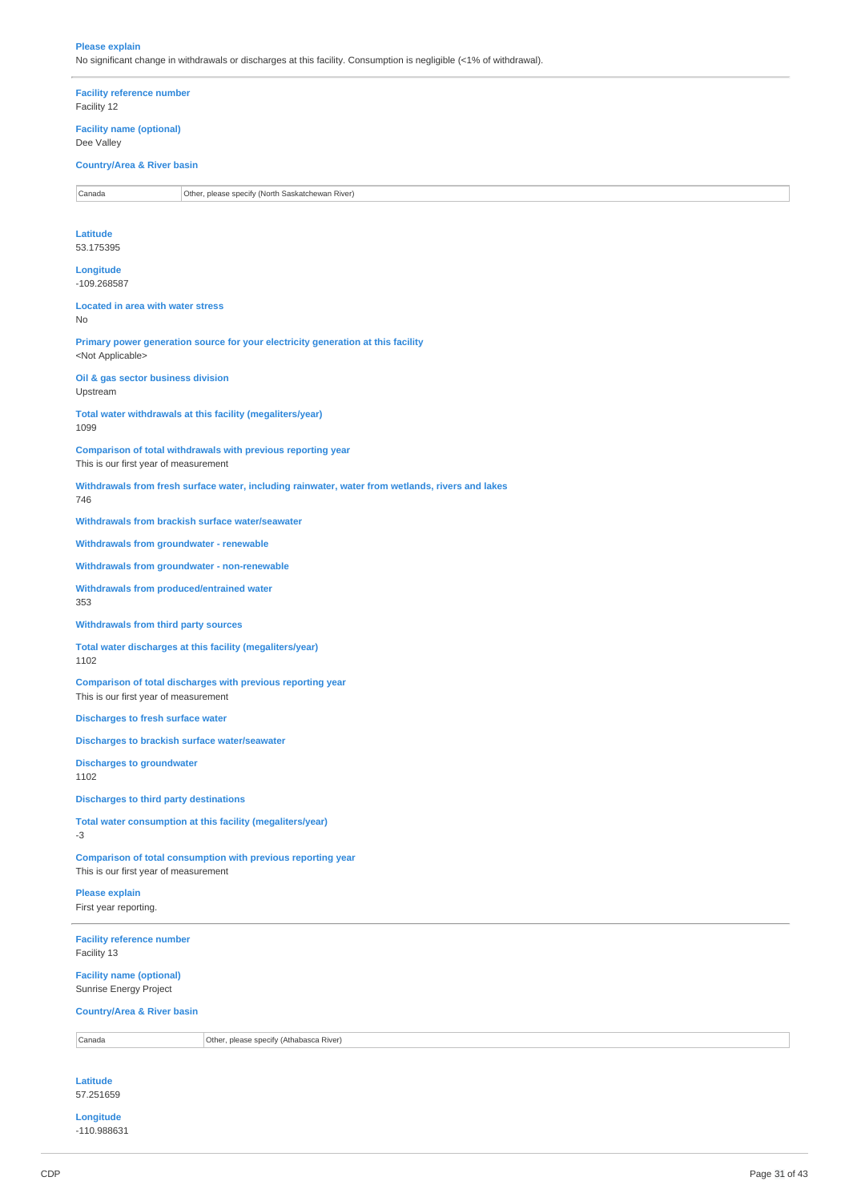#### **Please explain** No significant change in withdrawals or discharges at this facility. Consumption is negligible (<1% of withdrawal).

**Facility reference number** Facility 12

**Facility name (optional)** Dee Valley

# **Country/Area & River basin**

Canada **Other, please specify (North Saskatchewan River)** 

**Latitude** 53.175395

**Longitude** -109.268587

**Located in area with water stress** No

**Primary power generation source for your electricity generation at this facility** <Not Applicable>

**Oil & gas sector business division** Upstream

**Total water withdrawals at this facility (megaliters/year)** 1099

**Comparison of total withdrawals with previous reporting year**

This is our first year of measurement

**Withdrawals from fresh surface water, including rainwater, water from wetlands, rivers and lakes** 746

**Withdrawals from brackish surface water/seawater**

**Withdrawals from groundwater - renewable**

**Withdrawals from groundwater - non-renewable**

**Withdrawals from produced/entrained water** 353

**Withdrawals from third party sources**

**Total water discharges at this facility (megaliters/year)** 1102

**Comparison of total discharges with previous reporting year** This is our first year of measurement

**Discharges to fresh surface water**

**Discharges to brackish surface water/seawater**

**Discharges to groundwater** 1102

**Discharges to third party destinations**

**Total water consumption at this facility (megaliters/year)** -3

**Comparison of total consumption with previous reporting year** This is our first year of measurement

**Please explain** First year reporting.

**Facility reference number** Facility 13

**Facility name (optional)** Sunrise Energy Project

**Country/Area & River basin**

Canada Other, please specify (Athabasca River)

**Latitude** 57.251659

**Longitude**

-110.988631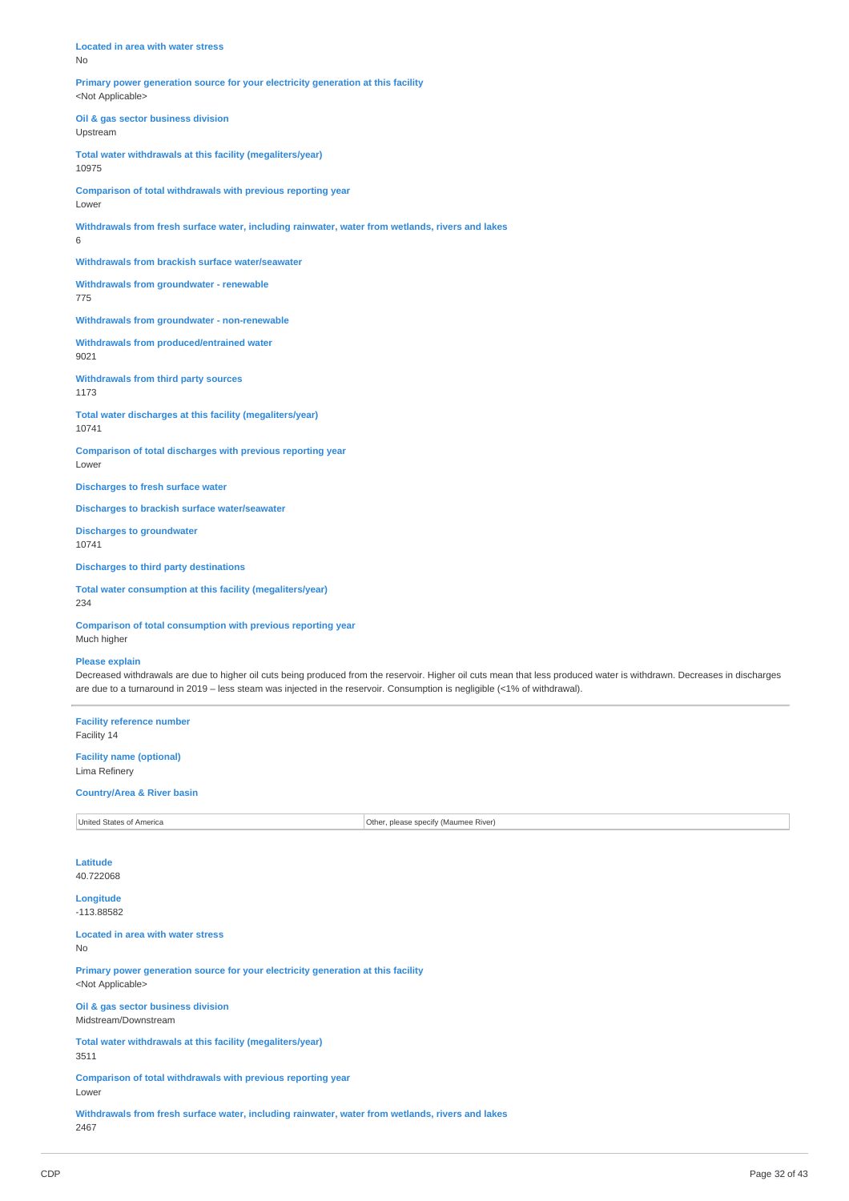**Located in area with water stress** No

**Primary power generation source for your electricity generation at this facility** <Not Applicable>

**Oil & gas sector business division** Upstream

**Total water withdrawals at this facility (megaliters/year)** 10975

**Comparison of total withdrawals with previous reporting year**

Lower

**Withdrawals from fresh surface water, including rainwater, water from wetlands, rivers and lakes** 6

**Withdrawals from brackish surface water/seawater**

**Withdrawals from groundwater - renewable** 775

**Withdrawals from groundwater - non-renewable**

**Withdrawals from produced/entrained water** 9021

**Withdrawals from third party sources** 1173

**Total water discharges at this facility (megaliters/year)** 10741

**Comparison of total discharges with previous reporting year** Lower

**Discharges to fresh surface water**

**Discharges to brackish surface water/seawater**

**Discharges to groundwater** 10741

**Discharges to third party destinations**

**Total water consumption at this facility (megaliters/year)** 234

**Comparison of total consumption with previous reporting year**

Much higher

# **Please explain**

Decreased withdrawals are due to higher oil cuts being produced from the reservoir. Higher oil cuts mean that less produced water is withdrawn. Decreases in discharges are due to a turnaround in 2019 – less steam was injected in the reservoir. Consumption is negligible (<1% of withdrawal).

**Facility reference number** Facility 14

**Facility name (optional)** Lima Refinery

#### **Country/Area & River basin**

United States of America **Other, please specify (Maumee River)** 

**Latitude** 40.722068

**Longitude** -113.88582

**Located in area with water stress** No

**Primary power generation source for your electricity generation at this facility** <Not Applicable>

**Oil & gas sector business division** Midstream/Downstream

**Total water withdrawals at this facility (megaliters/year)** 3511

**Comparison of total withdrawals with previous reporting year** Lower

**Withdrawals from fresh surface water, including rainwater, water from wetlands, rivers and lakes** 2467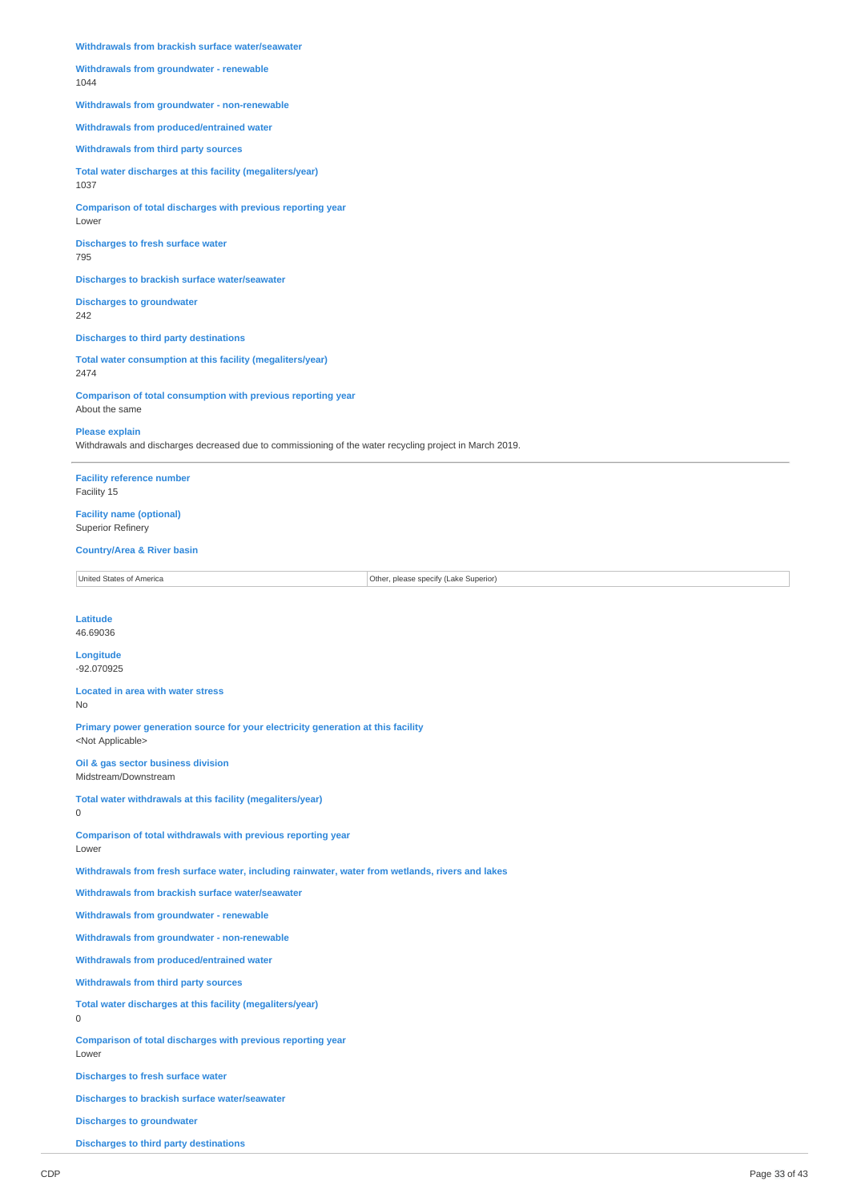**Withdrawals from brackish surface water/seawater**

**Withdrawals from groundwater - renewable** 1044

**Withdrawals from groundwater - non-renewable**

**Withdrawals from produced/entrained water**

**Withdrawals from third party sources**

**Total water discharges at this facility (megaliters/year)** 1037

**Comparison of total discharges with previous reporting year** Lower

**Discharges to fresh surface water** 795

**Discharges to brackish surface water/seawater**

**Discharges to groundwater** 242

**Discharges to third party destinations**

**Total water consumption at this facility (megaliters/year)** 2474

**Comparison of total consumption with previous reporting year** About the same

### **Please explain**

Withdrawals and discharges decreased due to commissioning of the water recycling project in March 2019.

**Facility reference number** Facility 15

**Facility name (optional)** Superior Refinery

### **Country/Area & River basin**

United States of America **Other, please specify (Lake Superior)** 

## **Latitude**

# 46.69036

0

**Longitude** -92.070925

#### **Located in area with water stress** No

**Primary power generation source for your electricity generation at this facility**

<Not Applicable> **Oil & gas sector business division**

Midstream/Downstream

**Total water withdrawals at this facility (megaliters/year)**

**Comparison of total withdrawals with previous reporting year** Lower

**Withdrawals from fresh surface water, including rainwater, water from wetlands, rivers and lakes**

**Withdrawals from brackish surface water/seawater**

**Withdrawals from groundwater - renewable**

**Withdrawals from groundwater - non-renewable**

**Withdrawals from produced/entrained water**

**Withdrawals from third party sources**

**Total water discharges at this facility (megaliters/year)**

# $\Omega$

**Comparison of total discharges with previous reporting year** Lower

**Discharges to fresh surface water**

**Discharges to brackish surface water/seawater**

**Discharges to groundwater**

**Discharges to third party destinations**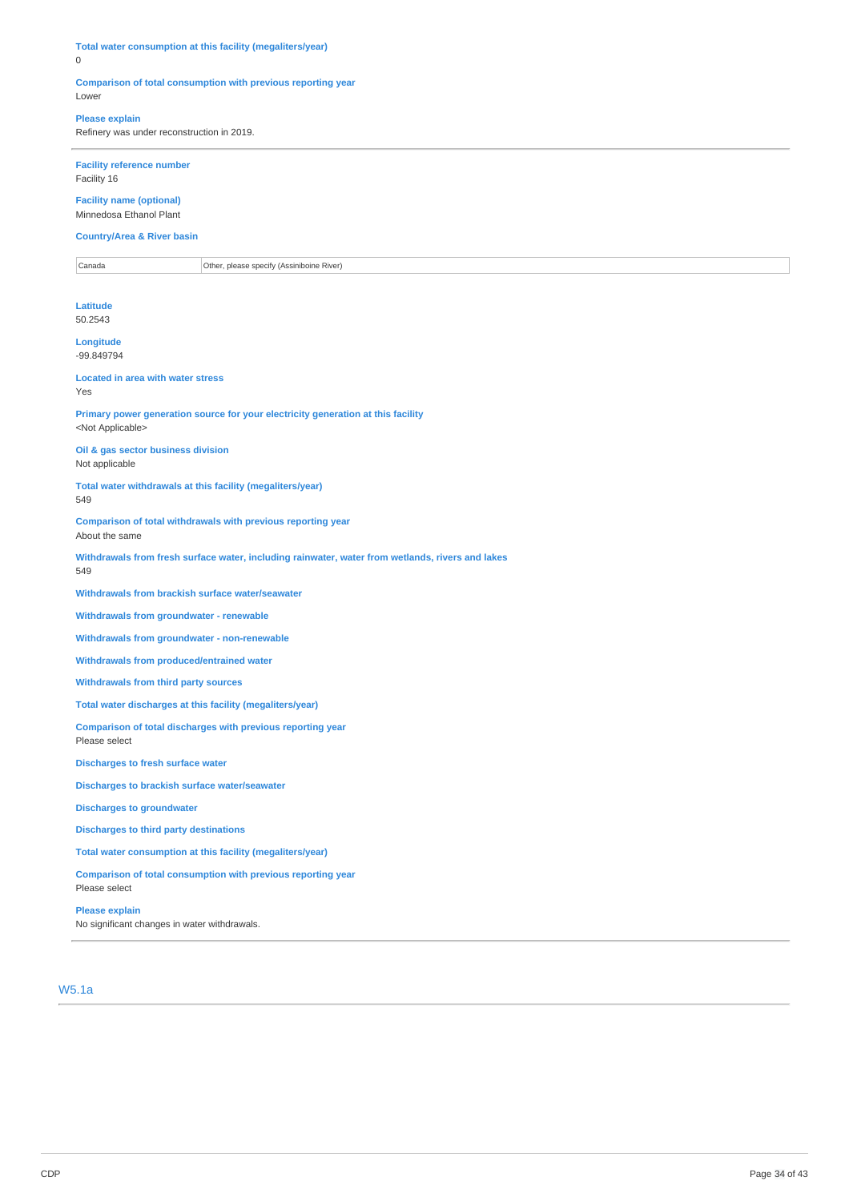**Total water consumption at this facility (megaliters/year)** 0

### **Comparison of total consumption with previous reporting year** Lower

# **Please explain**

Refinery was under reconstruction in 2019.

**Facility reference number** Facility 16

**Facility name (optional)** Minnedosa Ethanol Plant

**Country/Area & River basin**

**Canada Other, please specify (Assiniboine River)** Canada

**Latitude** 50.2543

**Longitude** -99.849794

**Located in area with water stress** Yes

**Primary power generation source for your electricity generation at this facility** <Not Applicable>

**Oil & gas sector business division** Not applicable

**Total water withdrawals at this facility (megaliters/year)** 549

**Comparison of total withdrawals with previous reporting year** About the same

**Withdrawals from fresh surface water, including rainwater, water from wetlands, rivers and lakes** 549

**Withdrawals from brackish surface water/seawater**

**Withdrawals from groundwater - renewable**

**Withdrawals from groundwater - non-renewable**

**Withdrawals from produced/entrained water**

**Withdrawals from third party sources**

**Total water discharges at this facility (megaliters/year)**

**Comparison of total discharges with previous reporting year** Please select

**Discharges to fresh surface water**

**Discharges to brackish surface water/seawater**

**Discharges to groundwater**

**Discharges to third party destinations**

**Total water consumption at this facility (megaliters/year)**

**Comparison of total consumption with previous reporting year** Please select

**Please explain**

No significant changes in water withdrawals.

W5.1a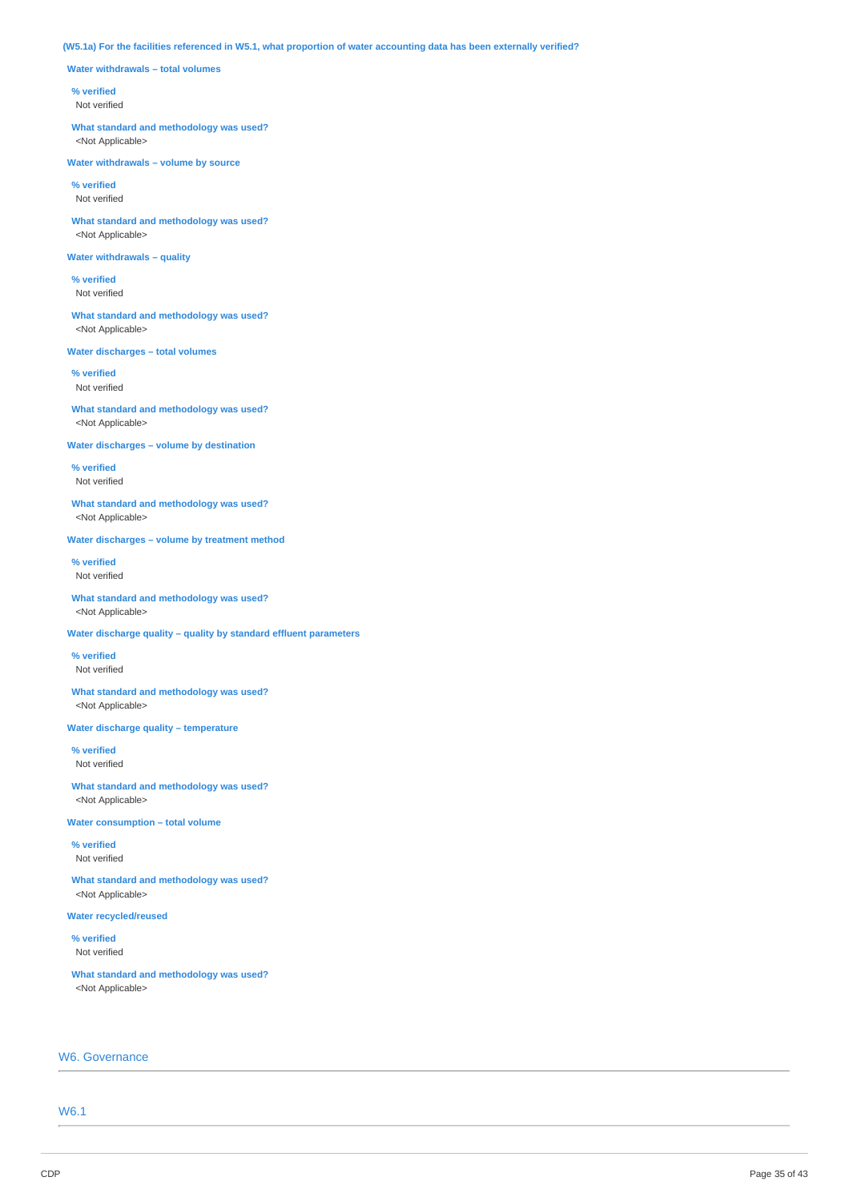### (W5.1a) For the facilities referenced in W5.1, what proportion of water accounting data has been externally verified?

**Water withdrawals – total volumes**

#### **% verified**

Not verified

**What standard and methodology was used?** <Not Applicable>

**Water withdrawals – volume by source**

**% verified** Not verified

**What standard and methodology was used?** <Not Applicable>

### **Water withdrawals – quality**

**% verified** Not verified

**What standard and methodology was used?** <Not Applicable>

**Water discharges – total volumes**

**% verified** Not verified

**What standard and methodology was used?** <Not Applicable>

**Water discharges – volume by destination**

**% verified** Not verified

**What standard and methodology was used?** <Not Applicable>

**Water discharges – volume by treatment method**

**% verified** Not verified

**What standard and methodology was used?** <Not Applicable>

**Water discharge quality – quality by standard effluent parameters**

**% verified** Not verified

**What standard and methodology was used?** <Not Applicable>

**Water discharge quality – temperature**

**% verified** Not verified

**What standard and methodology was used?** <Not Applicable>

**Water consumption – total volume**

**% verified** Not verified

**What standard and methodology was used?** <Not Applicable>

**Water recycled/reused**

**% verified** Not verified

**What standard and methodology was used?** <Not Applicable>

# W6. Governance

W6.1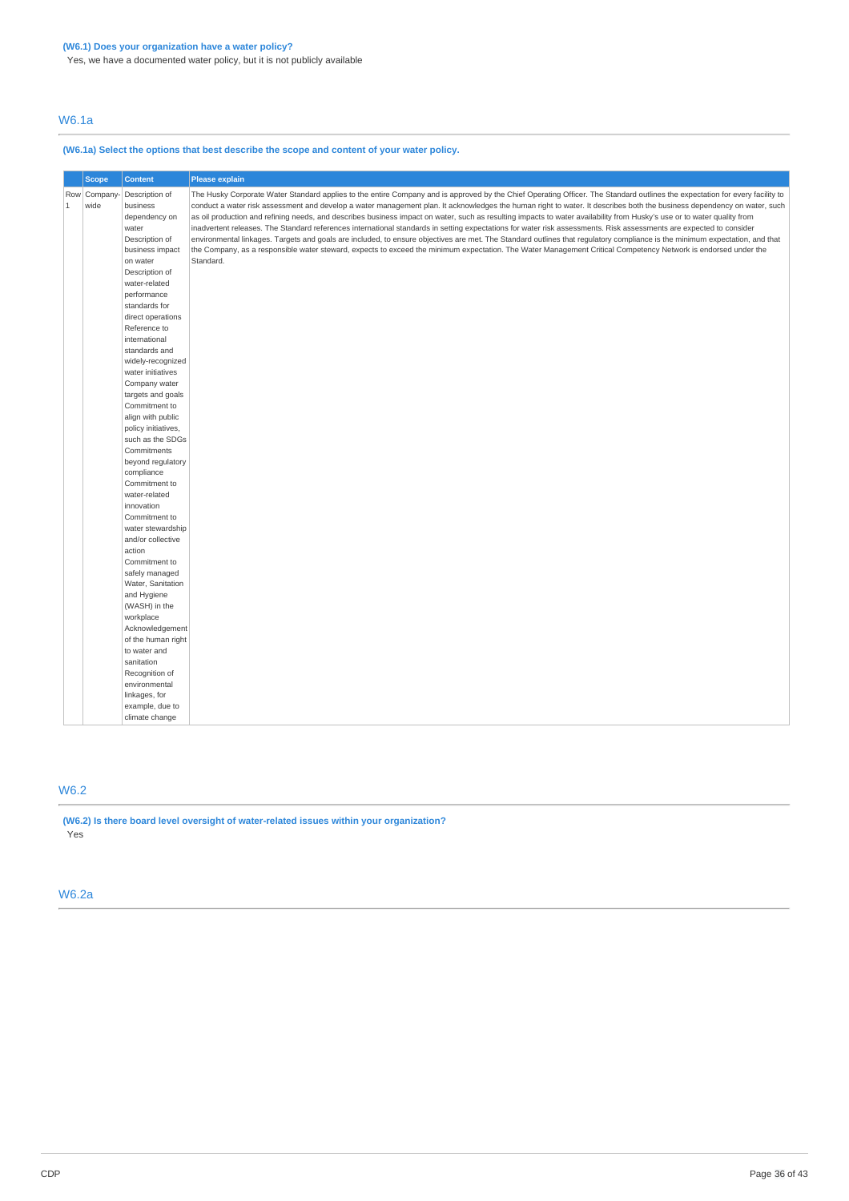W6.1a

# **(W6.1a) Select the options that best describe the scope and content of your water policy.**

|              | <b>Scope</b>         | <b>Content</b>                                                                            | <b>Please explain</b>                                                                                                                                                                                                                                                                                                                                                                                                                                                                                                                                                                                                                                                                                                                                                                                                                                                                                                                                                                                                                                      |  |
|--------------|----------------------|-------------------------------------------------------------------------------------------|------------------------------------------------------------------------------------------------------------------------------------------------------------------------------------------------------------------------------------------------------------------------------------------------------------------------------------------------------------------------------------------------------------------------------------------------------------------------------------------------------------------------------------------------------------------------------------------------------------------------------------------------------------------------------------------------------------------------------------------------------------------------------------------------------------------------------------------------------------------------------------------------------------------------------------------------------------------------------------------------------------------------------------------------------------|--|
| $\mathbf{1}$ | Row Company-<br>wide | Description of<br>business<br>dependency on<br>water<br>Description of<br>business impact | The Husky Corporate Water Standard applies to the entire Company and is approved by the Chief Operating Officer. The Standard outlines the expectation for every facility to<br>conduct a water risk assessment and develop a water management plan. It acknowledges the human right to water. It describes both the business dependency on water, such<br>as oil production and refining needs, and describes business impact on water, such as resulting impacts to water availability from Husky's use or to water quality from<br>inadvertent releases. The Standard references international standards in setting expectations for water risk assessments. Risk assessments are expected to consider<br>environmental linkages. Targets and goals are included, to ensure objectives are met. The Standard outlines that regulatory compliance is the minimum expectation, and that<br>the Company, as a responsible water steward, expects to exceed the minimum expectation. The Water Management Critical Competency Network is endorsed under the |  |
|              |                      | on water<br>Description of<br>water-related<br>performance                                | Standard.                                                                                                                                                                                                                                                                                                                                                                                                                                                                                                                                                                                                                                                                                                                                                                                                                                                                                                                                                                                                                                                  |  |
|              |                      | standards for<br>direct operations                                                        |                                                                                                                                                                                                                                                                                                                                                                                                                                                                                                                                                                                                                                                                                                                                                                                                                                                                                                                                                                                                                                                            |  |
|              |                      | Reference to<br>international                                                             |                                                                                                                                                                                                                                                                                                                                                                                                                                                                                                                                                                                                                                                                                                                                                                                                                                                                                                                                                                                                                                                            |  |
|              |                      | standards and<br>widely-recognized<br>water initiatives                                   |                                                                                                                                                                                                                                                                                                                                                                                                                                                                                                                                                                                                                                                                                                                                                                                                                                                                                                                                                                                                                                                            |  |
|              |                      | Company water<br>targets and goals                                                        |                                                                                                                                                                                                                                                                                                                                                                                                                                                                                                                                                                                                                                                                                                                                                                                                                                                                                                                                                                                                                                                            |  |
|              |                      | Commitment to<br>align with public                                                        |                                                                                                                                                                                                                                                                                                                                                                                                                                                                                                                                                                                                                                                                                                                                                                                                                                                                                                                                                                                                                                                            |  |
|              |                      | policy initiatives,<br>such as the SDGs<br>Commitments                                    |                                                                                                                                                                                                                                                                                                                                                                                                                                                                                                                                                                                                                                                                                                                                                                                                                                                                                                                                                                                                                                                            |  |
|              |                      | beyond regulatory<br>compliance                                                           |                                                                                                                                                                                                                                                                                                                                                                                                                                                                                                                                                                                                                                                                                                                                                                                                                                                                                                                                                                                                                                                            |  |
|              |                      | Commitment to<br>water-related<br>innovation                                              |                                                                                                                                                                                                                                                                                                                                                                                                                                                                                                                                                                                                                                                                                                                                                                                                                                                                                                                                                                                                                                                            |  |
|              |                      | Commitment to<br>water stewardship                                                        |                                                                                                                                                                                                                                                                                                                                                                                                                                                                                                                                                                                                                                                                                                                                                                                                                                                                                                                                                                                                                                                            |  |
|              |                      | and/or collective<br>action                                                               |                                                                                                                                                                                                                                                                                                                                                                                                                                                                                                                                                                                                                                                                                                                                                                                                                                                                                                                                                                                                                                                            |  |
|              |                      | Commitment to<br>safely managed<br>Water, Sanitation                                      |                                                                                                                                                                                                                                                                                                                                                                                                                                                                                                                                                                                                                                                                                                                                                                                                                                                                                                                                                                                                                                                            |  |
|              |                      | and Hygiene<br>(WASH) in the                                                              |                                                                                                                                                                                                                                                                                                                                                                                                                                                                                                                                                                                                                                                                                                                                                                                                                                                                                                                                                                                                                                                            |  |
|              |                      | workplace<br>Acknowledgement                                                              |                                                                                                                                                                                                                                                                                                                                                                                                                                                                                                                                                                                                                                                                                                                                                                                                                                                                                                                                                                                                                                                            |  |
|              |                      | of the human right<br>to water and<br>sanitation                                          |                                                                                                                                                                                                                                                                                                                                                                                                                                                                                                                                                                                                                                                                                                                                                                                                                                                                                                                                                                                                                                                            |  |
|              |                      | Recognition of<br>environmental                                                           |                                                                                                                                                                                                                                                                                                                                                                                                                                                                                                                                                                                                                                                                                                                                                                                                                                                                                                                                                                                                                                                            |  |
|              |                      | linkages, for<br>example, due to<br>climate change                                        |                                                                                                                                                                                                                                                                                                                                                                                                                                                                                                                                                                                                                                                                                                                                                                                                                                                                                                                                                                                                                                                            |  |

# W6.2

**(W6.2) Is there board level oversight of water-related issues within your organization?** Yes

# W6.2a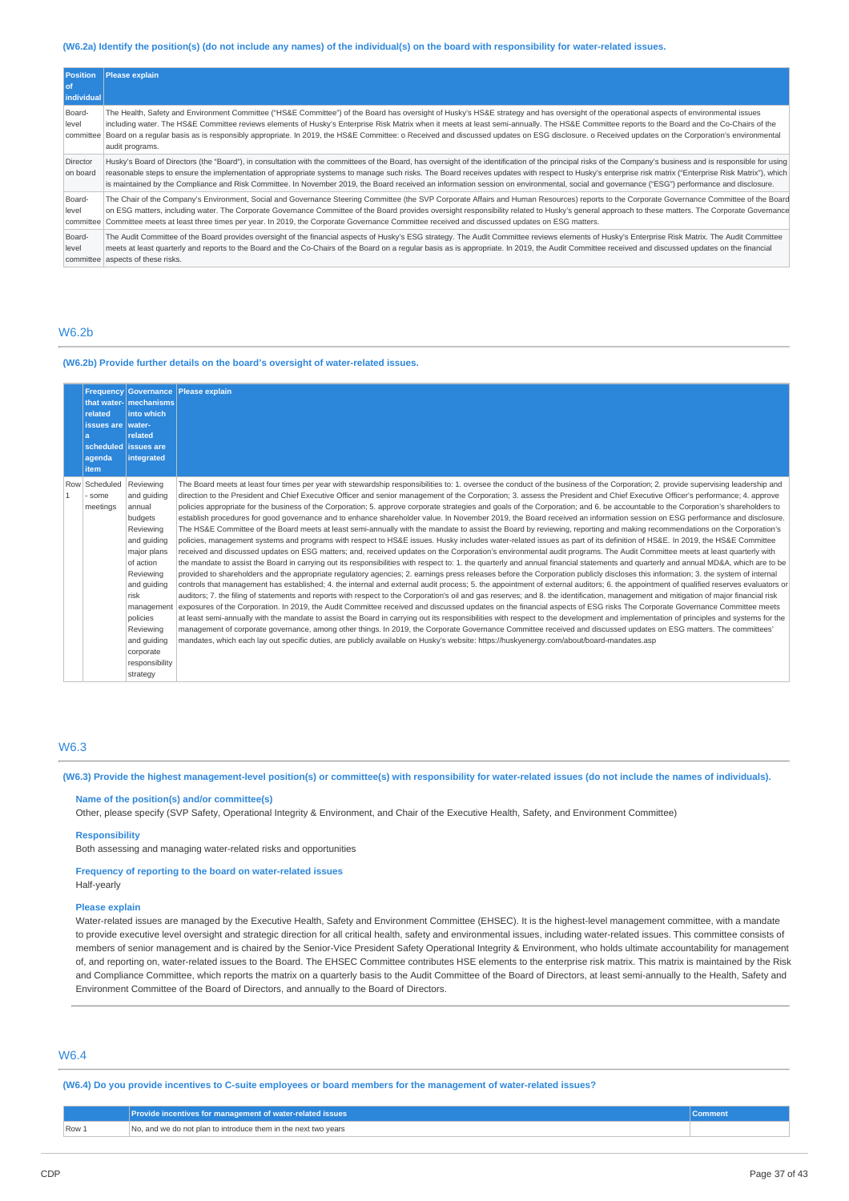#### (W6.2a) Identify the position(s) (do not include any names) of the individual(s) on the board with responsibility for water-related issues.

| <b>Position</b><br>l of<br>individual | <b>Please explain</b>                                                                                                                                                                                                                                                                                                                                                                                                                                                                                                                                                                                                  |
|---------------------------------------|------------------------------------------------------------------------------------------------------------------------------------------------------------------------------------------------------------------------------------------------------------------------------------------------------------------------------------------------------------------------------------------------------------------------------------------------------------------------------------------------------------------------------------------------------------------------------------------------------------------------|
| Board-<br>level<br>committee          | The Health, Safety and Environment Committee ("HS&E Committee") of the Board has oversight of Husky's HS&E strategy and has oversight of the operational aspects of environmental issues<br>including water. The HS&E Committee reviews elements of Husky's Enterprise Risk Matrix when it meets at least semi-annually. The HS&E Committee reports to the Board and the Co-Chairs of the<br>Board on a regular basis as is responsibly appropriate. In 2019, the HS&E Committee: o Received and discussed updates on ESG disclosure. o Received updates on the Corporation's environmental<br>audit programs.         |
| Director<br>on board                  | Husky's Board of Directors (the "Board"), in consultation with the committees of the Board, has oversight of the identification of the principal risks of the Company's business and is responsible for using<br>reasonable steps to ensure the implementation of appropriate systems to manage such risks. The Board receives updates with respect to Husky's enterprise risk matrix ("Enterprise Risk Matrix"), which<br>is maintained by the Compliance and Risk Committee. In November 2019, the Board received an information session on environmental, social and governance ("ESG") performance and disclosure. |
| Board-<br>level<br>committee          | The Chair of the Company's Environment, Social and Governance Steering Committee (the SVP Corporate Affairs and Human Resources) reports to the Corporate Governance Committee of the Board<br>on ESG matters, including water. The Corporate Governance Committee of the Board provides oversight responsibility related to Husky's general approach to these matters. The Corporate Governance<br>Committee meets at least three times per year. In 2019, the Corporate Governance Committee received and discussed updates on ESG matters.                                                                          |
| Board-<br>level                       | The Audit Committee of the Board provides oversight of the financial aspects of Husky's ESG strategy. The Audit Committee reviews elements of Husky's Enterprise Risk Matrix. The Audit Committee<br>meets at least quarterly and reports to the Board and the Co-Chairs of the Board on a reqular basis as is appropriate. In 2019, the Audit Committee received and discussed updates on the financial<br>committee aspects of these risks.                                                                                                                                                                          |

# W6.2b

#### **(W6.2b) Provide further details on the board's oversight of water-related issues.**

| related<br>issues are   water-<br>a<br>agenda<br>item | that water- mechanisms<br>into which<br>related<br>scheduled issues are<br>integrated                                                                                                                                                      | Frequency Governance Please explain                                                                                                                                                                                                                                                                                                                                                                                                                                                                                                                                                                                                                                                                                                                                                                                                                                                                                                                                                                                                                                                                                                                                                                                                                                                                                                                                                                                                                                                                                                                                                                                                                                                                                                                                                                                                                                                                                                                                                                                                                                                                                                                                                                                                                                                                                                                                                                                                                                                                                                                                                                                                                                                                                                       |
|-------------------------------------------------------|--------------------------------------------------------------------------------------------------------------------------------------------------------------------------------------------------------------------------------------------|-------------------------------------------------------------------------------------------------------------------------------------------------------------------------------------------------------------------------------------------------------------------------------------------------------------------------------------------------------------------------------------------------------------------------------------------------------------------------------------------------------------------------------------------------------------------------------------------------------------------------------------------------------------------------------------------------------------------------------------------------------------------------------------------------------------------------------------------------------------------------------------------------------------------------------------------------------------------------------------------------------------------------------------------------------------------------------------------------------------------------------------------------------------------------------------------------------------------------------------------------------------------------------------------------------------------------------------------------------------------------------------------------------------------------------------------------------------------------------------------------------------------------------------------------------------------------------------------------------------------------------------------------------------------------------------------------------------------------------------------------------------------------------------------------------------------------------------------------------------------------------------------------------------------------------------------------------------------------------------------------------------------------------------------------------------------------------------------------------------------------------------------------------------------------------------------------------------------------------------------------------------------------------------------------------------------------------------------------------------------------------------------------------------------------------------------------------------------------------------------------------------------------------------------------------------------------------------------------------------------------------------------------------------------------------------------------------------------------------------------|
| Row Scheduled<br>some<br>meetings                     | Reviewing<br>and quiding<br>annual<br>budgets<br>Reviewing<br>and quiding<br>major plans<br>of action<br>Reviewing<br>and quiding<br>risk<br>management<br>policies<br>Reviewing<br>and quiding<br>corporate<br>responsibility<br>strategy | The Board meets at least four times per year with stewardship responsibilities to: 1. oversee the conduct of the business of the Corporation; 2. provide supervising leadership and<br>direction to the President and Chief Executive Officer and senior management of the Corporation; 3. assess the President and Chief Executive Officer's performance; 4. approve<br>policies appropriate for the business of the Corporation; 5. approve corporate strategies and goals of the Corporation; and 6. be accountable to the Corporation's shareholders to<br>establish procedures for good governance and to enhance shareholder value. In November 2019, the Board received an information session on ESG performance and disclosure.<br>The HS&E Committee of the Board meets at least semi-annually with the mandate to assist the Board by reviewing, reporting and making recommendations on the Corporation's<br>policies, management systems and programs with respect to HS&E issues. Husky includes water-related issues as part of its definition of HS&E. In 2019, the HS&E Committee<br>received and discussed updates on ESG matters; and, received updates on the Corporation's environmental audit programs. The Audit Committee meets at least quarterly with<br>the mandate to assist the Board in carrying out its responsibilities with respect to: 1, the quarterly and annual financial statements and quarterly and annual MD&A, which are to be<br>provided to shareholders and the appropriate requlatory agencies; 2. earnings press releases before the Corporation publicly discloses this information; 3. the system of internal<br>controls that management has established; 4. the internal and external audit process; 5. the appointment of external auditors; 6. the appointment of qualified reserves evaluators or<br>auditors; 7. the filing of statements and reports with respect to the Corporation's oil and gas reserves; and 8. the identification, management and mitigation of major financial risk<br>exposures of the Corporation. In 2019, the Audit Committee received and discussed updates on the financial aspects of ESG risks The Corporate Governance Committee meets<br>at least semi-annually with the mandate to assist the Board in carrying out its responsibilities with respect to the development and implementation of principles and systems for the<br>management of corporate governance, among other things. In 2019, the Corporate Governance Committee received and discussed updates on ESG matters. The committees'<br>mandates, which each lay out specific duties, are publicly available on Husky's website: https://huskyenergy.com/about/board-mandates.asp |

# W6.3

(W6.3) Provide the highest management-level position(s) or committee(s) with responsibility for water-related issues (do not include the names of individuals).

**Name of the position(s) and/or committee(s)**

Other, please specify (SVP Safety, Operational Integrity & Environment, and Chair of the Executive Health, Safety, and Environment Committee)

#### **Responsibility**

Both assessing and managing water-related risks and opportunities

**Frequency of reporting to the board on water-related issues**

# Half-yearly

#### **Please explain**

Water-related issues are managed by the Executive Health, Safety and Environment Committee (EHSEC). It is the highest-level management committee, with a mandate to provide executive level oversight and strategic direction for all critical health, safety and environmental issues, including water-related issues. This committee consists of members of senior management and is chaired by the Senior-Vice President Safety Operational Integrity & Environment, who holds ultimate accountability for management of, and reporting on, water-related issues to the Board. The EHSEC Committee contributes HSE elements to the enterprise risk matrix. This matrix is maintained by the Risk and Compliance Committee, which reports the matrix on a quarterly basis to the Audit Committee of the Board of Directors, at least semi-annually to the Health, Safety and Environment Committee of the Board of Directors, and annually to the Board of Directors.

# W6.4

(W6.4) Do you provide incentives to C-suite employees or board members for the management of water-related issues?

|       | Provide incentives for management of water-related issues <b>\</b> |  |
|-------|--------------------------------------------------------------------|--|
| Row 1 | No, and we do not plan to introduce them in the next two years     |  |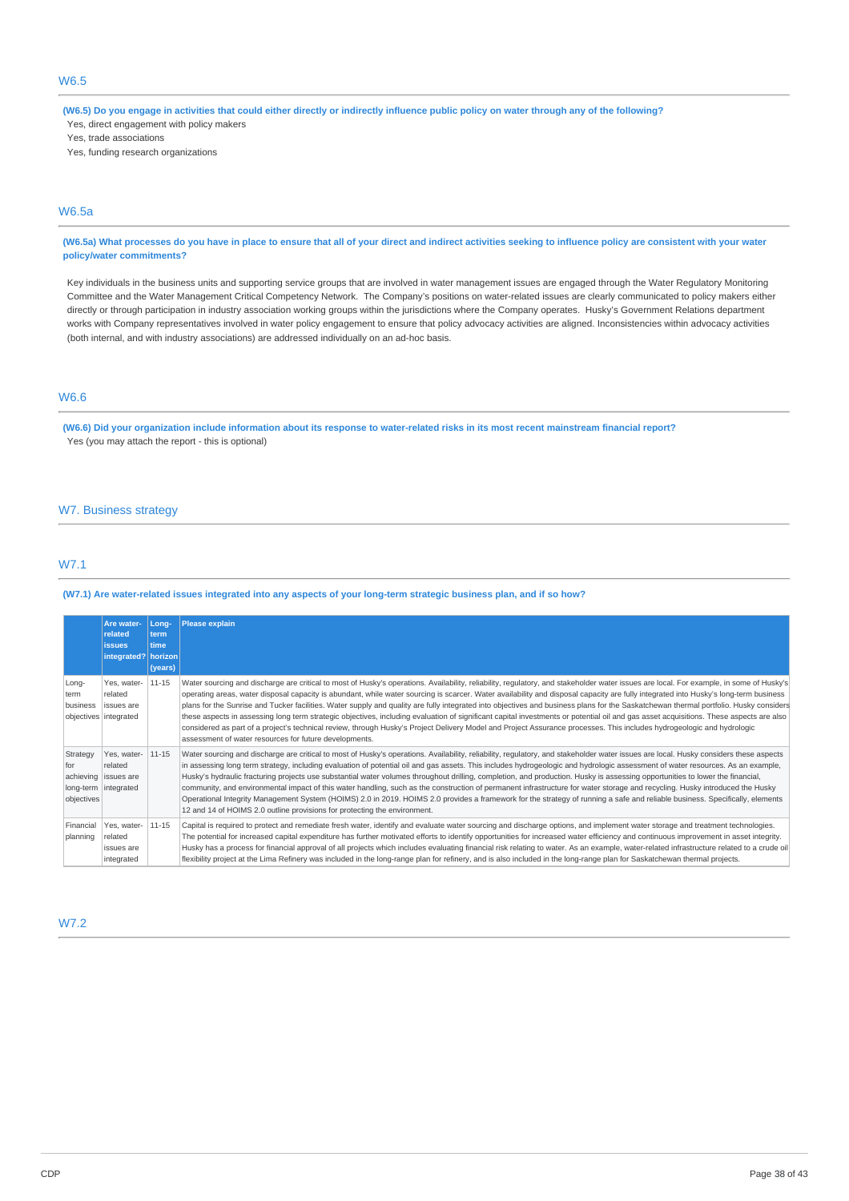(W6.5) Do you engage in activities that could either directly or indirectly influence public policy on water through any of the following? Yes, direct engagement with policy makers

Yes, trade associations

Yes, funding research organizations

# W6.5a

(W6.5a) What processes do you have in place to ensure that all of your direct and indirect activities seeking to influence policy are consistent with your water **policy/water commitments?**

Key individuals in the business units and supporting service groups that are involved in water management issues are engaged through the Water Regulatory Monitoring Committee and the Water Management Critical Competency Network. The Company's positions on water-related issues are clearly communicated to policy makers either directly or through participation in industry association working groups within the jurisdictions where the Company operates. Husky's Government Relations department works with Company representatives involved in water policy engagement to ensure that policy advocacy activities are aligned. Inconsistencies within advocacy activities (both internal, and with industry associations) are addressed individually on an ad-hoc basis.

# W6.6

(W6.6) Did your organization include information about its response to water-related risks in its most recent mainstream financial report? Yes (you may attach the report - this is optional)

# W7. Business strategy

# W7.1

(W7.1) Are water-related issues integrated into any aspects of your long-term strategic business plan, and if so how?

|                               | Are water-<br>related<br><b>issues</b><br>integrated? horizon            | Lona-<br>term<br>time<br>(years) | <b>Please explain</b>                                                                                                                                                                                                                                                                                                                                                                                                                                                                                                                                                                                                                                                                                                                                                                                                                                                                                                                                                                                  |
|-------------------------------|--------------------------------------------------------------------------|----------------------------------|--------------------------------------------------------------------------------------------------------------------------------------------------------------------------------------------------------------------------------------------------------------------------------------------------------------------------------------------------------------------------------------------------------------------------------------------------------------------------------------------------------------------------------------------------------------------------------------------------------------------------------------------------------------------------------------------------------------------------------------------------------------------------------------------------------------------------------------------------------------------------------------------------------------------------------------------------------------------------------------------------------|
| Long-<br>term<br>business     | Yes, water-<br>related<br>issues are<br>objectives   integrated          | $11 - 15$                        | Water sourcing and discharge are critical to most of Husky's operations. Availability, reliability, requlatory, and stakeholder water issues are local. For example, in some of Husky's<br>operating areas, water disposal capacity is abundant, while water sourcing is scarcer. Water availability and disposal capacity are fully integrated into Husky's long-term business<br>plans for the Sunrise and Tucker facilities. Water supply and quality are fully integrated into objectives and business plans for the Saskatchewan thermal portfolio. Husky considers<br>these aspects in assessing long term strategic objectives, including evaluation of significant capital investments or potential oil and gas asset acquisitions. These aspects are also<br>considered as part of a project's technical review, through Husky's Project Delivery Model and Project Assurance processes. This includes hydrogeologic and hydrologic<br>assessment of water resources for future developments. |
| Strategy<br>for<br>objectives | Yes, water-<br>related<br>achieving issues are<br>long-term   integrated | 11-15                            | Water sourcing and discharge are critical to most of Husky's operations. Availability, reliability, regulatory, and stakeholder water issues are local. Husky considers these aspects<br>in assessing long term strategy, including evaluation of potential oil and gas assets. This includes hydrogeologic and hydrologic assessment of water resources. As an example,<br>Husky's hydraulic fracturing projects use substantial water volumes throughout drilling, completion, and production. Husky is assessing opportunities to lower the financial,<br>community, and environmental impact of this water handling, such as the construction of permanent infrastructure for water storage and recycling. Husky introduced the Husky<br>Operational Integrity Management System (HOIMS) 2.0 in 2019. HOIMS 2.0 provides a framework for the strategy of running a safe and reliable business. Specifically, elements<br>12 and 14 of HOIMS 2.0 outline provisions for protecting the environment. |
| Financial<br>planning         | Yes, water-<br>related<br>issues are<br>integrated                       | 11-15                            | Capital is required to protect and remediate fresh water, identify and evaluate water sourcing and discharge options, and implement water storage and treatment technologies.<br>The potential for increased capital expenditure has further motivated efforts to identify opportunities for increased water efficiency and continuous improvement in asset integrity.<br>Husky has a process for financial approval of all projects which includes evaluating financial risk relating to water. As an example, water-related infrastructure related to a crude oil<br>flexibility project at the Lima Refinery was included in the long-range plan for refinery, and is also included in the long-range plan for Saskatchewan thermal projects.                                                                                                                                                                                                                                                       |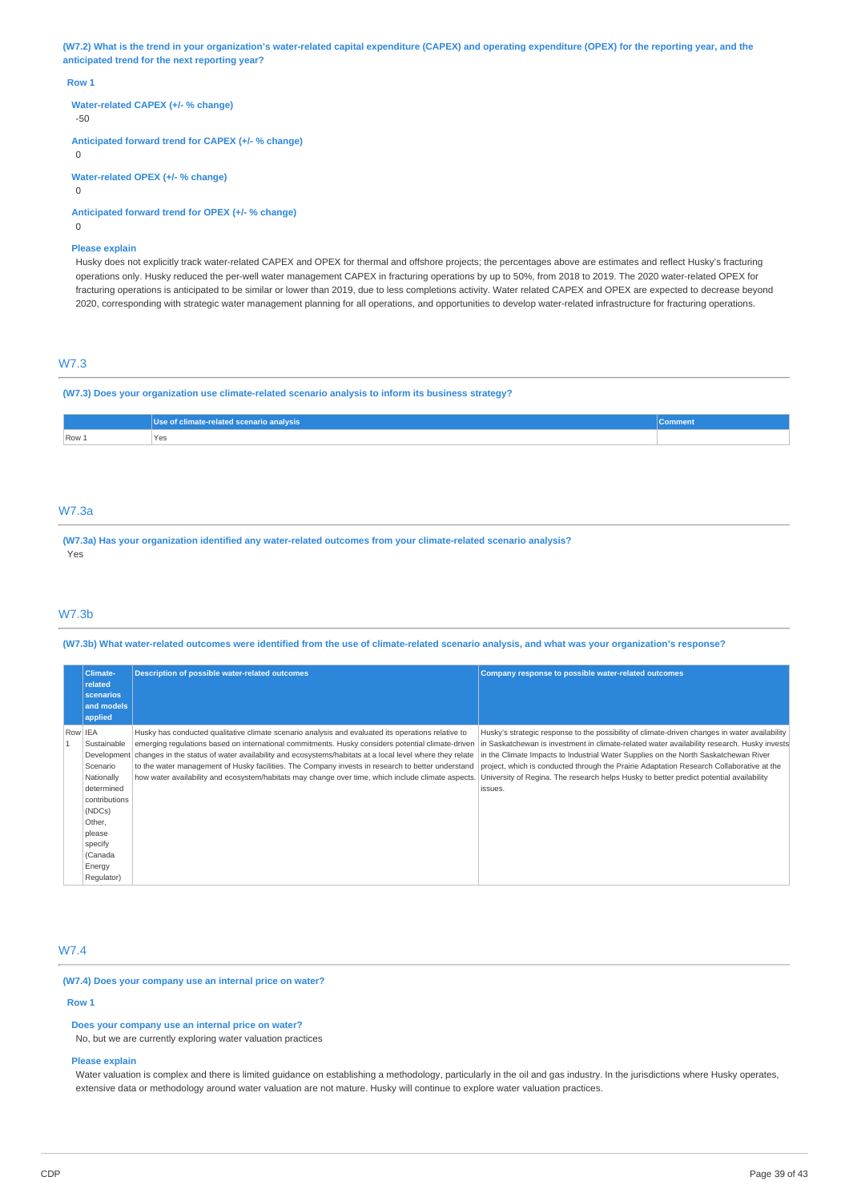(W7.2) What is the trend in your organization's water-related capital expenditure (CAPEX) and operating expenditure (OPEX) for the reporting year, and the **anticipated trend for the next reporting year?**

#### **Row 1**

**Water-related CAPEX (+/- % change)**

-50

**Anticipated forward trend for CAPEX (+/- % change)**

 $\Omega$ 

**Water-related OPEX (+/- % change)**

 $\Omega$ 

**Anticipated forward trend for OPEX (+/- % change)**

 $\Omega$ 

### **Please explain**

Husky does not explicitly track water-related CAPEX and OPEX for thermal and offshore projects; the percentages above are estimates and reflect Husky's fracturing operations only. Husky reduced the per-well water management CAPEX in fracturing operations by up to 50%, from 2018 to 2019. The 2020 water-related OPEX for fracturing operations is anticipated to be similar or lower than 2019, due to less completions activity. Water related CAPEX and OPEX are expected to decrease beyond 2020, corresponding with strategic water management planning for all operations, and opportunities to develop water-related infrastructure for fracturing operations.

### W7.3

**(W7.3) Does your organization use climate-related scenario analysis to inform its business strategy?**

|       | Use of climate-related scenario analysis | $-$ = quinters. |
|-------|------------------------------------------|-----------------|
| Row 1 | Yes                                      |                 |
|       |                                          |                 |

# W7.3a

**(W7.3a) Has your organization identified any water-related outcomes from your climate-related scenario analysis?** Yes

### W7.3b

(W7.3b) What water-related outcomes were identified from the use of climate-related scenario analysis, and what was your organization's response?

| Climate-                                      | <b>Description of possible water-related outcomes</b>                                                                                                                                                                                                                                                                          | Company response to possible water-related outcomes                                                                                                                                                                                                                            |
|-----------------------------------------------|--------------------------------------------------------------------------------------------------------------------------------------------------------------------------------------------------------------------------------------------------------------------------------------------------------------------------------|--------------------------------------------------------------------------------------------------------------------------------------------------------------------------------------------------------------------------------------------------------------------------------|
| related<br>scenarios<br>and models<br>applied |                                                                                                                                                                                                                                                                                                                                |                                                                                                                                                                                                                                                                                |
| Row IEA                                       | Husky has conducted qualitative climate scenario analysis and evaluated its operations relative to                                                                                                                                                                                                                             | Husky's strategic response to the possibility of climate-driven changes in water availability                                                                                                                                                                                  |
| Sustainable<br>Scenario                       | emerging regulations based on international commitments. Husky considers potential climate-driven<br>Development   changes in the status of water availability and ecosystems/habitats at a local level where they relate<br>to the water management of Husky facilities. The Company invests in research to better understand | in Saskatchewan is investment in climate-related water availability research. Husky invests<br>in the Climate Impacts to Industrial Water Supplies on the North Saskatchewan River<br>project, which is conducted through the Prairie Adaptation Research Collaborative at the |
| Nationally                                    | how water availability and ecosystem/habitats may change over time, which include climate aspects. University of Regina. The research helps Husky to better predict potential availability                                                                                                                                     |                                                                                                                                                                                                                                                                                |
| determined                                    |                                                                                                                                                                                                                                                                                                                                | issues.                                                                                                                                                                                                                                                                        |
| contributions                                 |                                                                                                                                                                                                                                                                                                                                |                                                                                                                                                                                                                                                                                |
| (NDCs)                                        |                                                                                                                                                                                                                                                                                                                                |                                                                                                                                                                                                                                                                                |
| Other,                                        |                                                                                                                                                                                                                                                                                                                                |                                                                                                                                                                                                                                                                                |
| please                                        |                                                                                                                                                                                                                                                                                                                                |                                                                                                                                                                                                                                                                                |
| specify                                       |                                                                                                                                                                                                                                                                                                                                |                                                                                                                                                                                                                                                                                |
| (Canada                                       |                                                                                                                                                                                                                                                                                                                                |                                                                                                                                                                                                                                                                                |
| Energy                                        |                                                                                                                                                                                                                                                                                                                                |                                                                                                                                                                                                                                                                                |
| Regulator)                                    |                                                                                                                                                                                                                                                                                                                                |                                                                                                                                                                                                                                                                                |

# W7.4

**(W7.4) Does your company use an internal price on water?**

**Row 1**

**Does your company use an internal price on water?**

No, but we are currently exploring water valuation practices

# **Please explain**

Water valuation is complex and there is limited guidance on establishing a methodology, particularly in the oil and gas industry. In the jurisdictions where Husky operates, extensive data or methodology around water valuation are not mature. Husky will continue to explore water valuation practices.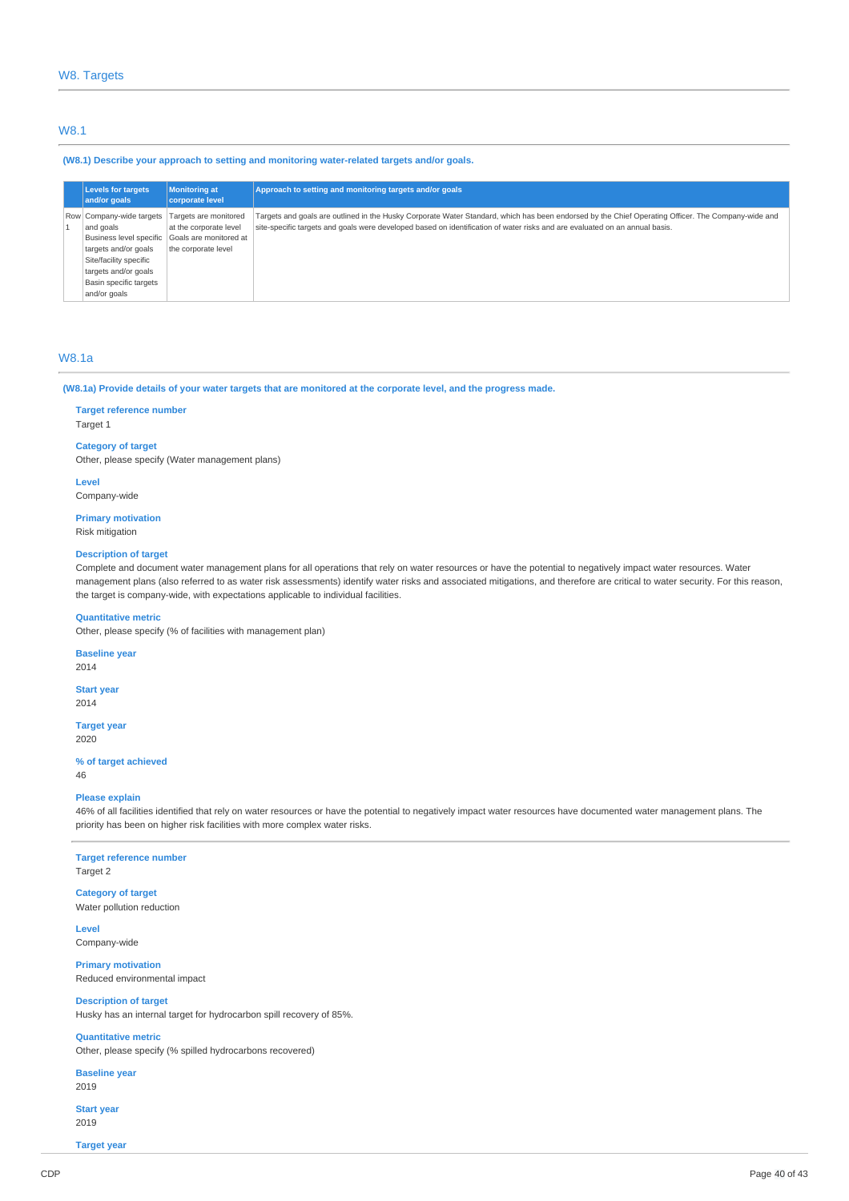### W8.1

#### **(W8.1) Describe your approach to setting and monitoring water-related targets and/or goals.**

| <b>Levels for targets</b><br>and/or goals | <b>Monitoring at</b><br><b>corporate level</b> | Approach to setting and monitoring targets and/or goals                                                                                            |
|-------------------------------------------|------------------------------------------------|----------------------------------------------------------------------------------------------------------------------------------------------------|
| Row Company-wide targets                  | Targets are monitored                          | Targets and goals are outlined in the Husky Corporate Water Standard, which has been endorsed by the Chief Operating Officer. The Company-wide and |
| and goals                                 | at the corporate level                         | site-specific targets and goals were developed based on identification of water risks and are evaluated on an annual basis.                        |
|                                           | Business level specific Goals are monitored at |                                                                                                                                                    |
| targets and/or goals                      | the corporate level                            |                                                                                                                                                    |
| Site/facility specific                    |                                                |                                                                                                                                                    |
| targets and/or goals                      |                                                |                                                                                                                                                    |
| Basin specific targets                    |                                                |                                                                                                                                                    |
| and/or goals                              |                                                |                                                                                                                                                    |

# W8.1a

#### (W8.1a) Provide details of your water targets that are monitored at the corporate level, and the progress made.

#### **Target reference number**

Target 1

# **Category of target**

Other, please specify (Water management plans)

**Level** Company-wide

# **Primary motivation**

Risk mitigation

### **Description of target**

Complete and document water management plans for all operations that rely on water resources or have the potential to negatively impact water resources. Water management plans (also referred to as water risk assessments) identify water risks and associated mitigations, and therefore are critical to water security. For this reason, the target is company-wide, with expectations applicable to individual facilities.

#### **Quantitative metric**

Other, please specify (% of facilities with management plan)

**Baseline year** 2014

### **Start year**

2014

**Target year** 2020

#### **% of target achieved**

46

### **Please explain**

46% of all facilities identified that rely on water resources or have the potential to negatively impact water resources have documented water management plans. The priority has been on higher risk facilities with more complex water risks.

### **Target reference number** Target 2

**Category of target** Water pollution reduction

**Level** Company-wide

**Primary motivation** Reduced environmental impact

# **Description of target**

Husky has an internal target for hydrocarbon spill recovery of 85%.

# **Quantitative metric**

Other, please specify (% spilled hydrocarbons recovered)

**Baseline year** 2019

**Start year** 2019

**Target year**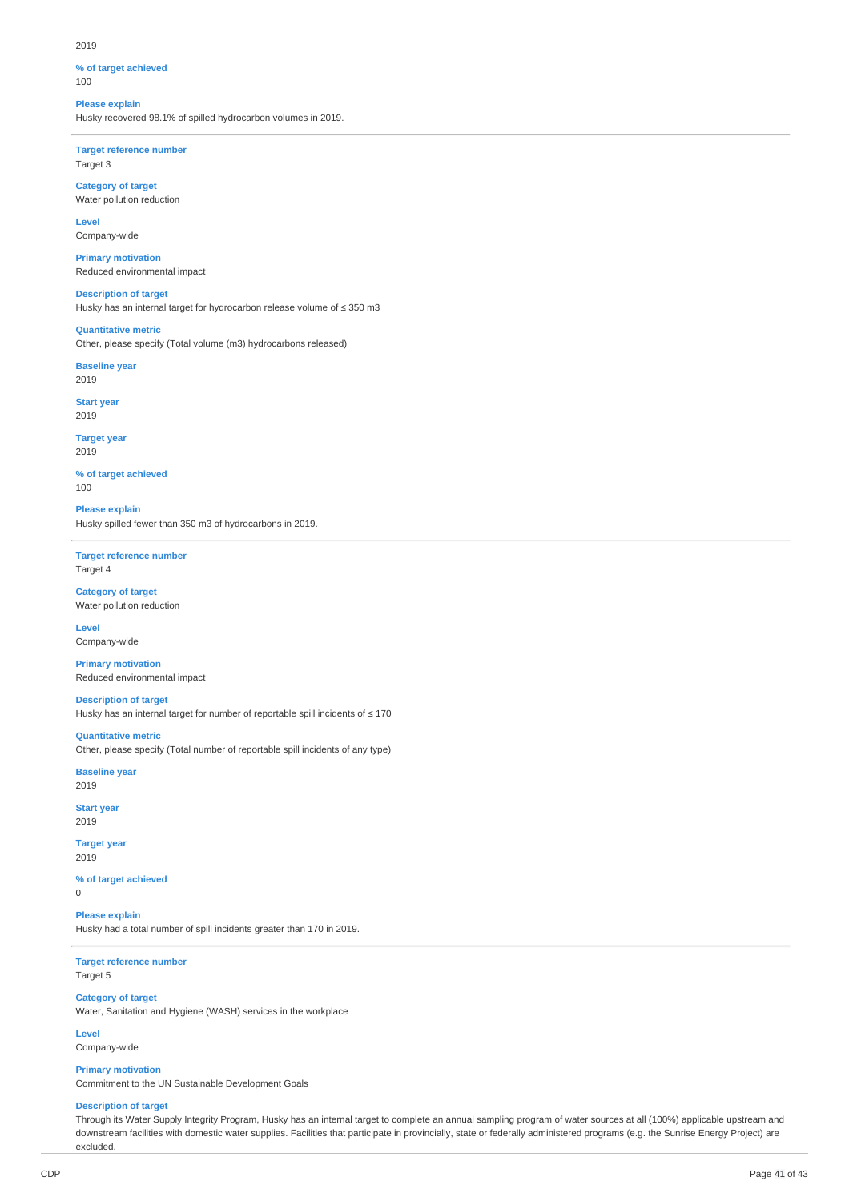#### 2019

# **% of target achieved**

100

# **Please explain**

Husky recovered 98.1% of spilled hydrocarbon volumes in 2019.

**Target reference number** Target 3

**Category of target** Water pollution reduction

**Level** Company-wide

**Primary motivation** Reduced environmental impact

**Description of target** Husky has an internal target for hydrocarbon release volume of ≤ 350 m3

**Quantitative metric** Other, please specify (Total volume (m3) hydrocarbons released)

**Baseline year**

2019

**Start year** 2019

**Target year** 2019

**% of target achieved** 100

**Please explain** Husky spilled fewer than 350 m3 of hydrocarbons in 2019.

**Target reference number** Target 4

#### **Category of target** Water pollution reduction

**Level**

Company-wide **Primary motivation**

Reduced environmental impact

**Description of target**

Husky has an internal target for number of reportable spill incidents of  $\leq 170$ 

**Quantitative metric** Other, please specify (Total number of reportable spill incidents of any type)

**Baseline year** 2019

**Start year** 2019

**Target year**

2019

**% of target achieved** 0

**Please explain** Husky had a total number of spill incidents greater than 170 in 2019.

**Target reference number** Target 5

**Category of target**

Water, Sanitation and Hygiene (WASH) services in the workplace

**Level**

Company-wide

**Primary motivation** Commitment to the UN Sustainable Development Goals

# **Description of target**

Through its Water Supply Integrity Program, Husky has an internal target to complete an annual sampling program of water sources at all (100%) applicable upstream and downstream facilities with domestic water supplies. Facilities that participate in provincially, state or federally administered programs (e.g. the Sunrise Energy Project) are excluded.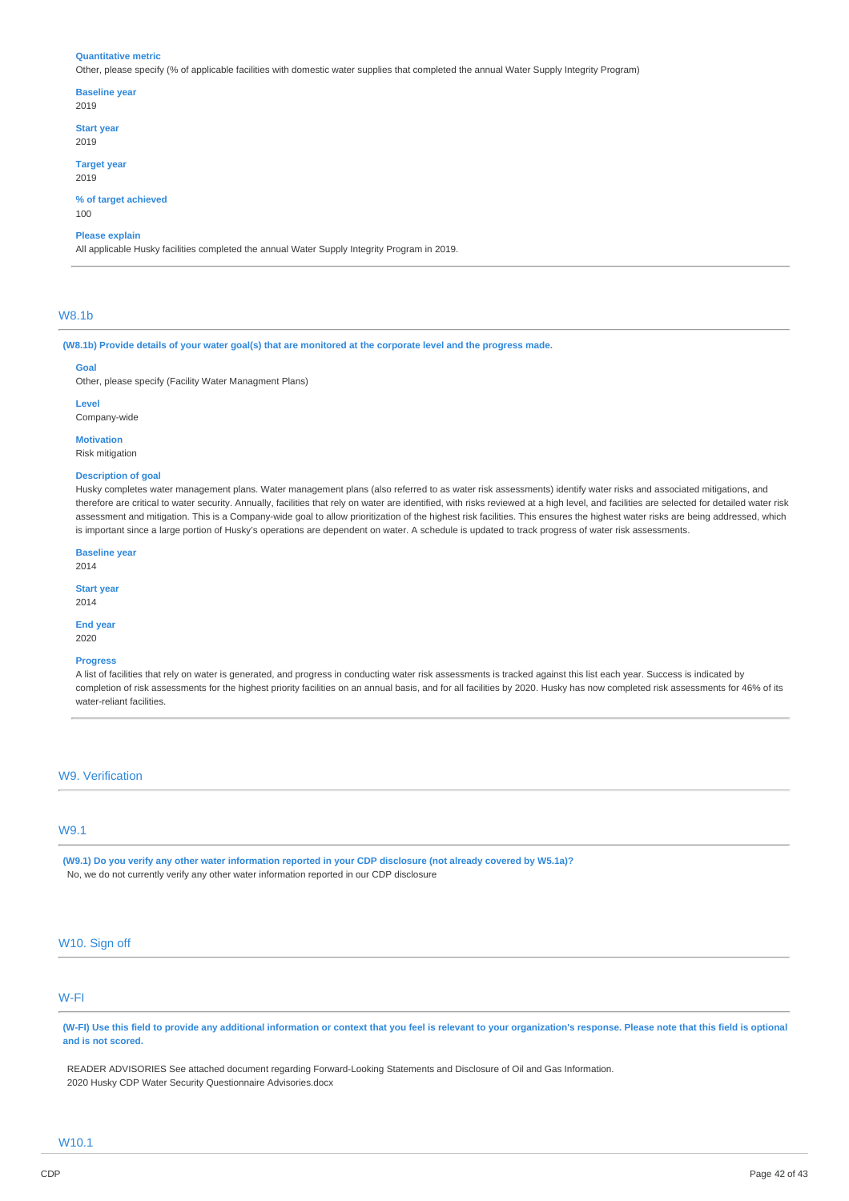#### **Quantitative metric**

Other, please specify (% of applicable facilities with domestic water supplies that completed the annual Water Supply Integrity Program)

#### **Baseline year**

- 2019
- **Start year** 2019
- 

#### **Target year** 2019

**% of target achieved** 100

**Please explain**

All applicable Husky facilities completed the annual Water Supply Integrity Program in 2019.

#### W8.1b

(W8.1b) Provide details of your water goal(s) that are monitored at the corporate level and the progress made.

#### **Goal**

Other, please specify (Facility Water Managment Plans)

**Level**

Company-wide

**Motivation**

Risk mitigation

### **Description of goal**

Husky completes water management plans. Water management plans (also referred to as water risk assessments) identify water risks and associated mitigations, and therefore are critical to water security. Annually, facilities that rely on water are identified, with risks reviewed at a high level, and facilities are selected for detailed water risk assessment and mitigation. This is a Company-wide goal to allow prioritization of the highest risk facilities. This ensures the highest water risks are being addressed, which is important since a large portion of Husky's operations are dependent on water. A schedule is updated to track progress of water risk assessments.

**Baseline year**

2014

**Start year** 2014

#### **End year** 2020

# **Progress**

A list of facilities that rely on water is generated, and progress in conducting water risk assessments is tracked against this list each year. Success is indicated by completion of risk assessments for the highest priority facilities on an annual basis, and for all facilities by 2020. Husky has now completed risk assessments for 46% of its water-reliant facilities.

#### W9. Verification

# W9.1

(W9.1) Do you verify any other water information reported in your CDP disclosure (not already covered by W5.1a)? No, we do not currently verify any other water information reported in our CDP disclosure

# W10. Sign off

# W-FI

(W-FI) Use this field to provide any additional information or context that you feel is relevant to your organization's response. Please note that this field is optional **and is not scored.**

READER ADVISORIES See attached document regarding Forward-Looking Statements and Disclosure of Oil and Gas Information. 2020 Husky CDP Water Security Questionnaire Advisories.docx